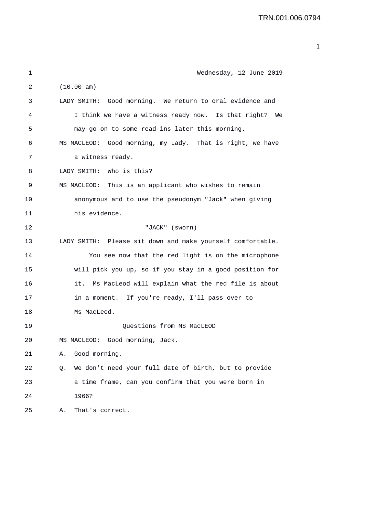| 1  | Wednesday, 12 June 2019                                     |
|----|-------------------------------------------------------------|
| 2  | (10.00 am)                                                  |
| 3  | LADY SMITH: Good morning. We return to oral evidence and    |
| 4  | I think we have a witness ready now. Is that right?<br>We   |
| 5  | may go on to some read-ins later this morning.              |
| 6  | MS MACLEOD: Good morning, my Lady. That is right, we have   |
| 7  | a witness ready.                                            |
| 8  | Who is this?<br>LADY SMITH:                                 |
| 9  | MS MACLEOD: This is an applicant who wishes to remain       |
| 10 | anonymous and to use the pseudonym "Jack" when giving       |
| 11 | his evidence.                                               |
| 12 | "JACK" (sworn)                                              |
| 13 | LADY SMITH: Please sit down and make yourself comfortable.  |
| 14 | You see now that the red light is on the microphone         |
| 15 | will pick you up, so if you stay in a good position for     |
| 16 | Ms MacLeod will explain what the red file is about<br>it.   |
| 17 | in a moment. If you're ready, I'll pass over to             |
| 18 | Ms MacLeod.                                                 |
| 19 | Ouestions from MS MacLEOD                                   |
| 20 | Good morning, Jack.<br>MS MACLEOD:                          |
| 21 | Good morning.<br>Α.                                         |
| 22 | We don't need your full date of birth, but to provide<br>Q. |
| 23 | a time frame, can you confirm that you were born in         |
| 24 | 1966?                                                       |
| 25 | That's correct.<br>Α.                                       |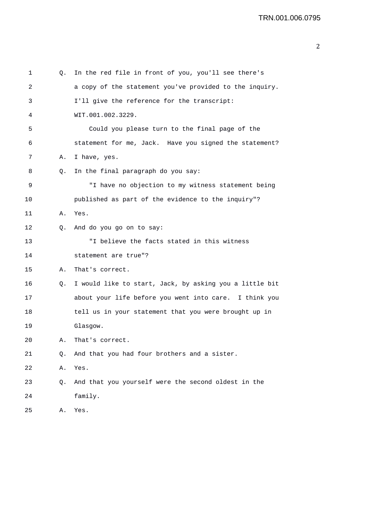| 1  | Q. | In the red file in front of you, you'll see there's     |
|----|----|---------------------------------------------------------|
| 2  |    | a copy of the statement you've provided to the inquiry. |
| 3  |    | I'll give the reference for the transcript:             |
| 4  |    | WIT.001.002.3229.                                       |
| 5  |    | Could you please turn to the final page of the          |
| 6  |    | statement for me, Jack. Have you signed the statement?  |
| 7  | Α. | I have, yes.                                            |
| 8  | Q. | In the final paragraph do you say:                      |
| 9  |    | "I have no objection to my witness statement being      |
| 10 |    | published as part of the evidence to the inquiry"?      |
| 11 | Α. | Yes.                                                    |
| 12 | Q. | And do you go on to say:                                |
| 13 |    | "I believe the facts stated in this witness             |
| 14 |    | statement are true"?                                    |
| 15 | Α. | That's correct.                                         |
| 16 | Q. | I would like to start, Jack, by asking you a little bit |
| 17 |    | about your life before you went into care. I think you  |
| 18 |    | tell us in your statement that you were brought up in   |
| 19 |    | Glasgow.                                                |
| 20 | А. | That's correct                                          |
| 21 | Q. | And that you had four brothers and a sister.            |
| 22 | Α. | Yes.                                                    |
| 23 | Q. | And that you yourself were the second oldest in the     |
| 24 |    | family.                                                 |
| 25 | Α. | Yes.                                                    |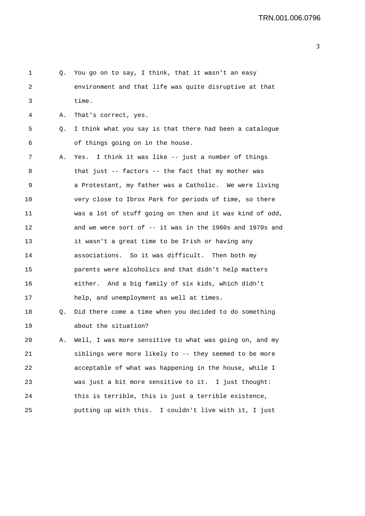| Q. | You go on to say, I think, that it wasn't an easy        |
|----|----------------------------------------------------------|
|    | environment and that life was quite disruptive at that   |
|    | time.                                                    |
| Α. | That's correct, yes.                                     |
| Q. | I think what you say is that there had been a catalogue  |
|    | of things going on in the house.                         |
| Α. | Yes. I think it was like -- just a number of things      |
|    | that just -- factors -- the fact that my mother was      |
|    | a Protestant, my father was a Catholic. We were living   |
|    | very close to Ibrox Park for periods of time, so there   |
|    | was a lot of stuff going on then and it was kind of odd, |
|    | and we were sort of -- it was in the 1960s and 1970s and |
|    | it wasn't a great time to be Irish or having any         |
|    | associations. So it was difficult. Then both my          |
|    | parents were alcoholics and that didn't help matters     |
|    | either. And a big family of six kids, which didn't       |
|    | help, and unemployment as well at times.                 |
| Q. | Did there come a time when you decided to do something   |
|    | about the situation?                                     |
| А. | Well, I was more sensitive to what was going on, and my  |
|    | siblings were more likely to -- they seemed to be more   |
|    | acceptable of what was happening in the house, while I   |
|    | was just a bit more sensitive to it. I just thought:     |
|    | this is terrible, this is just a terrible existence,     |
|    | putting up with this. I couldn't live with it, I just    |
|    |                                                          |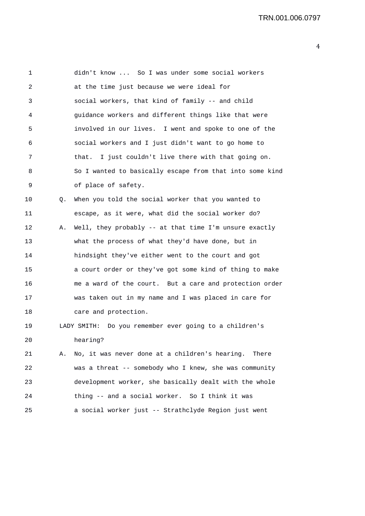1 didn't know ... So I was under some social workers 2 at the time just because we were ideal for 3 social workers, that kind of family -- and child 4 guidance workers and different things like that were 5 involved in our lives. I went and spoke to one of the 6 social workers and I just didn't want to go home to 7 that. I just couldn't live there with that going on. 8 So I wanted to basically escape from that into some kind 9 of place of safety. 10 Q. When you told the social worker that you wanted to 11 escape, as it were, what did the social worker do? 12 A. Well, they probably -- at that time I'm unsure exactly 13 what the process of what they'd have done, but in 14 hindsight they've either went to the court and got 15 a court order or they've got some kind of thing to make 16 me a ward of the court. But a care and protection order 17 was taken out in my name and I was placed in care for 18 care and protection. 19 LADY SMITH: Do you remember ever going to a children's 20 hearing? 21 A. No, it was never done at a children's hearing. There 22 was a threat -- somebody who I knew, she was community 23 development worker, she basically dealt with the whole

24 thing -- and a social worker. So I think it was

25 a social worker just -- Strathclyde Region just went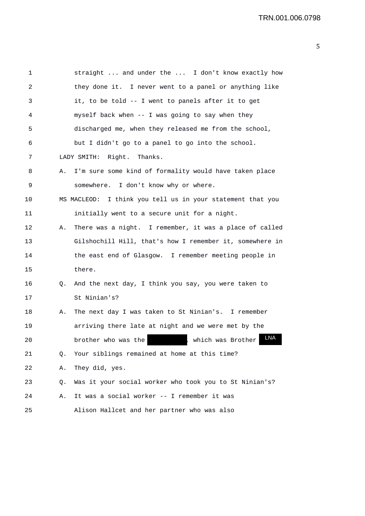1 straight ... and under the ... I don't know exactly how 2 they done it. I never went to a panel or anything like 3 it, to be told -- I went to panels after it to get 4 myself back when -- I was going to say when they 5 discharged me, when they released me from the school, 6 but I didn't go to a panel to go into the school. 7 LADY SMITH: Right. Thanks. 8 A. I'm sure some kind of formality would have taken place 9 somewhere. I don't know why or where. 10 MS MACLEOD: I think you tell us in your statement that you 11 initially went to a secure unit for a night. 12 A. There was a night. I remember, it was a place of called 13 Gilshochill Hill, that's how I remember it, somewhere in 14 the east end of Glasgow. I remember meeting people in 15 there. 16 Q. And the next day, I think you say, you were taken to 17 St Ninian's? 18 A. The next day I was taken to St Ninian's. I remember 19 arriving there late at night and we were met by the 20 brother who was the  $\overline{L}$ , which was Brother 21 Q. Your siblings remained at home at this time? 22 A. They did, yes. 23 Q. Was it your social worker who took you to St Ninian's? 24 A. It was a social worker -- I remember it was 25 Alison Hallcet and her partner who was also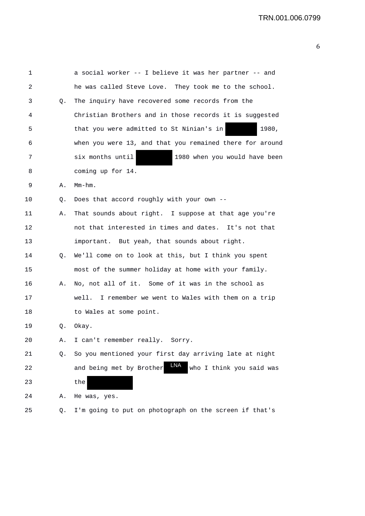| 1  |    | a social worker -- I believe it was her partner -- and      |
|----|----|-------------------------------------------------------------|
| 2  |    | he was called Steve Love. They took me to the school.       |
| 3  | Q. | The inquiry have recovered some records from the            |
| 4  |    | Christian Brothers and in those records it is suggested     |
| 5  |    | that you were admitted to St Ninian's in<br>1980,           |
| 6  |    | when you were 13, and that you remained there for around    |
| 7  |    | six months until<br>1980 when you would have been           |
| 8  |    | coming up for 14.                                           |
| 9  | Α. | $Mm-hm$ .                                                   |
| 10 | Q. | Does that accord roughly with your own --                   |
| 11 | Α. | That sounds about right. I suppose at that age you're       |
| 12 |    | not that interested in times and dates. It's not that       |
| 13 |    | important. But yeah, that sounds about right.               |
| 14 | Q. | We'll come on to look at this, but I think you spent        |
| 15 |    | most of the summer holiday at home with your family.        |
| 16 | Α. | No, not all of it. Some of it was in the school as          |
| 17 |    | I remember we went to Wales with them on a trip<br>well.    |
| 18 |    | to Wales at some point.                                     |
| 19 | Q. | Okay.                                                       |
| 20 | А. | I can't remember really.<br>Sorry.                          |
| 21 | Q. | So you mentioned your first day arriving late at night      |
| 22 |    | LNA<br>and being met by Brother<br>who I think you said was |
| 23 |    | the                                                         |
| 24 | Α. | He was, yes.                                                |
| 25 | Q. | I'm going to put on photograph on the screen if that's      |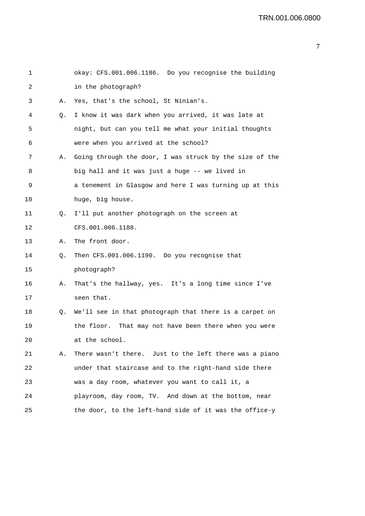| 1  |    | okay: CFS.001.006.1186. Do you recognise the building   |
|----|----|---------------------------------------------------------|
| 2  |    | in the photograph?                                      |
| 3  | Α. | Yes, that's the school, St Ninian's.                    |
| 4  | Q. | I know it was dark when you arrived, it was late at     |
| 5  |    | night, but can you tell me what your initial thoughts   |
| 6  |    | were when you arrived at the school?                    |
| 7  | Α. | Going through the door, I was struck by the size of the |
| 8  |    | big hall and it was just a huge -- we lived in          |
| 9  |    | a tenement in Glasgow and here I was turning up at this |
| 10 |    | huge, big house.                                        |
| 11 | Q. | I'll put another photograph on the screen at            |
| 12 |    | CFS.001.006.1188.                                       |
| 13 | Α. | The front door.                                         |
| 14 | Q. | Then CFS.001.006.1190. Do you recognise that            |
| 15 |    | photograph?                                             |
| 16 | Α. | That's the hallway, yes. It's a long time since I've    |
| 17 |    | seen that.                                              |
| 18 | Q. | We'll see in that photograph that there is a carpet on  |
| 19 |    | the floor. That may not have been there when you were   |
| 20 |    | at the school.                                          |
| 21 | Α. | There wasn't there. Just to the left there was a piano  |
| 22 |    | under that staircase and to the right-hand side there   |
| 23 |    | was a day room, whatever you want to call it, a         |
| 24 |    | playroom, day room, TV. And down at the bottom, near    |
| 25 |    | the door, to the left-hand side of it was the office-y  |
|    |    |                                                         |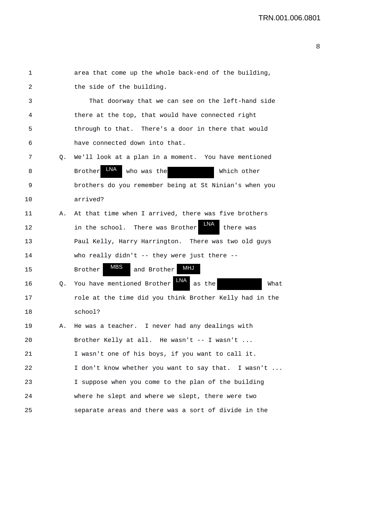| 1  |    | area that come up the whole back-end of the building,   |
|----|----|---------------------------------------------------------|
| 2  |    | the side of the building.                               |
| 3  |    | That doorway that we can see on the left-hand side      |
| 4  |    | there at the top, that would have connected right       |
| 5  |    | through to that. There's a door in there that would     |
| 6  |    | have connected down into that.                          |
| 7  | Q. | We'll look at a plan in a moment. You have mentioned    |
| 8  |    | LNA<br><b>Brother</b><br>who was the<br>Which other     |
| 9  |    | brothers do you remember being at St Ninian's when you  |
| 10 |    | arrived?                                                |
| 11 | Α. | At that time when I arrived, there was five brothers    |
| 12 |    | LNA<br>in the school. There was Brother<br>there was    |
| 13 |    | Paul Kelly, Harry Harrington. There was two old guys    |
| 14 |    | who really didn't -- they were just there --            |
| 15 |    | MBS<br>MHJ<br>and Brother<br>Brother                    |
| 16 | Q. | You have mentioned Brother<br>as the<br>What            |
| 17 |    | role at the time did you think Brother Kelly had in the |
| 18 |    | school?                                                 |
| 19 | Α. | He was a teacher. I never had any dealings with         |
| 20 |    | Brother Kelly at all. He wasn't -- I wasn't             |
| 21 |    | I wasn't one of his boys, if you want to call it.       |
| 22 |    | I don't know whether you want to say that. I wasn't     |
| 23 |    | I suppose when you come to the plan of the building     |
| 24 |    | where he slept and where we slept, there were two       |
| 25 |    | separate areas and there was a sort of divide in the    |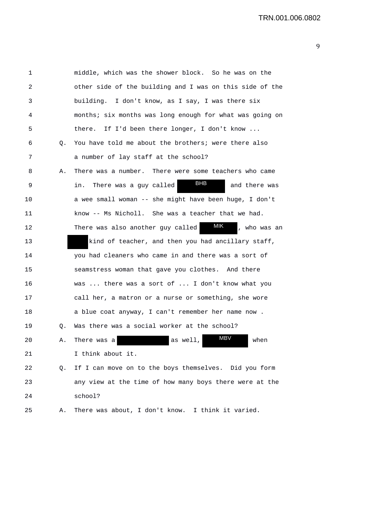1 middle, which was the shower block. So he was on the 2 other side of the building and I was on this side of the 3 building. I don't know, as I say, I was there six 4 months; six months was long enough for what was going on 5 there. If I'd been there longer, I don't know ... 6 Q. You have told me about the brothers; were there also 7 a number of lay staff at the school? 8 A. There was a number. There were some teachers who came 9 in. There was a guy called **BHB** and there was 10 a wee small woman -- she might have been huge, I don't 11 know -- Ms Nicholl. She was a teacher that we had. 12 There was also another guy called **MIK**, who was an 13 kind of teacher, and then you had ancillary staff, 14 you had cleaners who came in and there was a sort of 15 seamstress woman that gave you clothes. And there 16 was ... there was a sort of ... I don't know what you 17 call her, a matron or a nurse or something, she wore 18 a blue coat anyway, I can't remember her name now . 19 Q. Was there was a social worker at the school? 20 A. There was a as well, MBV when 21 I think about it. 22 Q. If I can move on to the boys themselves. Did you form 23 any view at the time of how many boys there were at the 24 school? 25 A. There was about, I don't know. I think it varied. MBV MIK BHB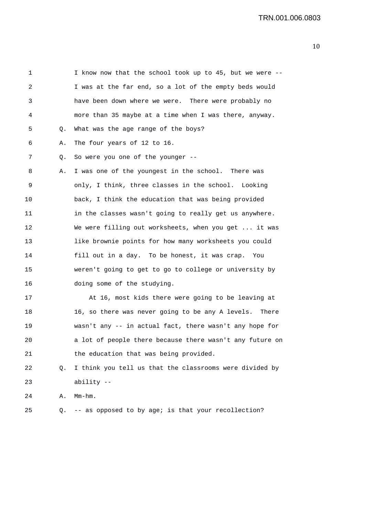1 I know now that the school took up to 45, but we were -- 2 I was at the far end, so a lot of the empty beds would 3 have been down where we were. There were probably no 4 more than 35 maybe at a time when I was there, anyway. 5 Q. What was the age range of the boys? 6 A. The four years of 12 to 16. 7 Q. So were you one of the younger -- 8 A. I was one of the youngest in the school. There was 9 only, I think, three classes in the school. Looking 10 back, I think the education that was being provided 11 in the classes wasn't going to really get us anywhere. 12 We were filling out worksheets, when you get ... it was 13 like brownie points for how many worksheets you could 14 fill out in a day. To be honest, it was crap. You 15 weren't going to get to go to college or university by 16 doing some of the studying. 17 At 16, most kids there were going to be leaving at

18 16, so there was never going to be any A levels. There 19 wasn't any -- in actual fact, there wasn't any hope for 20 a lot of people there because there wasn't any future on 21 the education that was being provided.

## 22 Q. I think you tell us that the classrooms were divided by 23 ability --

24 A. Mm-hm.

25 Q. -- as opposed to by age; is that your recollection?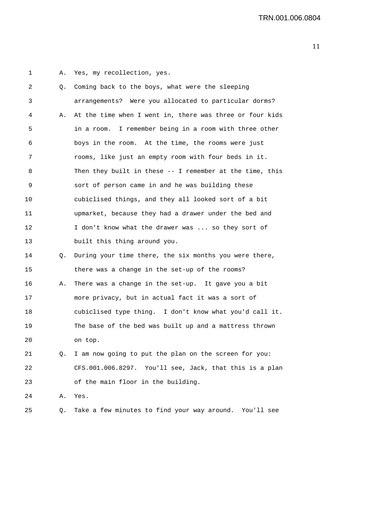1 A. Yes, my recollection, yes.

| 2  | Q. | Coming back to the boys, what were the sleeping          |
|----|----|----------------------------------------------------------|
| 3  |    | arrangements? Were you allocated to particular dorms?    |
| 4  | Α. | At the time when I went in, there was three or four kids |
| 5  |    | in a room. I remember being in a room with three other   |
| 6  |    | boys in the room. At the time, the rooms were just       |
| 7  |    | rooms, like just an empty room with four beds in it.     |
| 8  |    | Then they built in these -- I remember at the time, this |
| 9  |    | sort of person came in and he was building these         |
| 10 |    | cubiclised things, and they all looked sort of a bit     |
| 11 |    | upmarket, because they had a drawer under the bed and    |
| 12 |    | I don't know what the drawer was  so they sort of        |
| 13 |    | built this thing around you.                             |
| 14 | Q. | During your time there, the six months you were there,   |
| 15 |    | there was a change in the set-up of the rooms?           |
| 16 | Α. | There was a change in the set-up. It gave you a bit      |
| 17 |    | more privacy, but in actual fact it was a sort of        |
| 18 |    | cubiclised type thing. I don't know what you'd call it.  |
| 19 |    | The base of the bed was built up and a mattress thrown   |
| 20 |    | on top.                                                  |
| 21 | Q. | I am now going to put the plan on the screen for you:    |
| 22 |    | CFS.001.006.8297. You'll see, Jack, that this is a plan  |
| 23 |    | of the main floor in the building.                       |
| 24 | Α. | Yes.                                                     |
|    |    |                                                          |

25 Q. Take a few minutes to find your way around. You'll see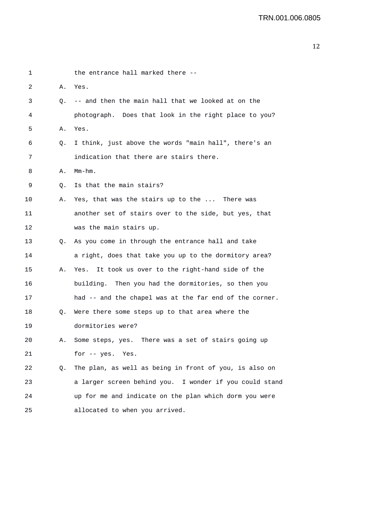```
1 the entrance hall marked there --
2 A. Yes. 
3 Q. -- and then the main hall that we looked at on the 
4 photograph. Does that look in the right place to you? 
5 A. Yes. 
6 Q. I think, just above the words "main hall", there's an 
7 indication that there are stairs there. 
8 A. Mm-hm.
9 Q. Is that the main stairs? 
10 A. Yes, that was the stairs up to the ... There was 
11 another set of stairs over to the side, but yes, that 
12 was the main stairs up. 
13 Q. As you come in through the entrance hall and take 
14 a right, does that take you up to the dormitory area? 
15 A. Yes. It took us over to the right-hand side of the 
16 building. Then you had the dormitories, so then you 
17 had -- and the chapel was at the far end of the corner. 
18 Q. Were there some steps up to that area where the 
19 dormitories were? 
20 A. Some steps, yes. There was a set of stairs going up 
21 for -- yes. Yes. 
22 Q. The plan, as well as being in front of you, is also on 
23 a larger screen behind you. I wonder if you could stand 
24 up for me and indicate on the plan which dorm you were 
25 allocated to when you arrived.
```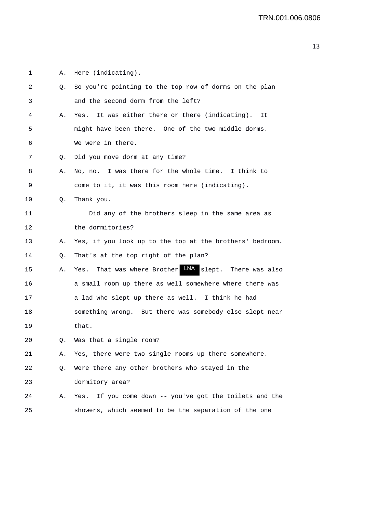1 A. Here (indicating). 2 Q. So you're pointing to the top row of dorms on the plan 3 and the second dorm from the left? 4 A. Yes. It was either there or there (indicating). It 5 might have been there. One of the two middle dorms. 6 We were in there. 7 Q. Did you move dorm at any time? 8 A. No, no. I was there for the whole time. I think to 9 come to it, it was this room here (indicating). 10 Q. Thank you. 11 Did any of the brothers sleep in the same area as 12 the dormitories? 13 A. Yes, if you look up to the top at the brothers' bedroom. 14 Q. That's at the top right of the plan? 15 A. Yes. That was where Brother LNA slept. There was also 16 a small room up there as well somewhere where there was 17 a lad who slept up there as well. I think he had 18 something wrong. But there was somebody else slept near 19 that. 20 Q. Was that a single room? 21 A. Yes, there were two single rooms up there somewhere. 22 Q. Were there any other brothers who stayed in the 23 dormitory area? 24 A. Yes. If you come down -- you've got the toilets and the 25 showers, which seemed to be the separation of the one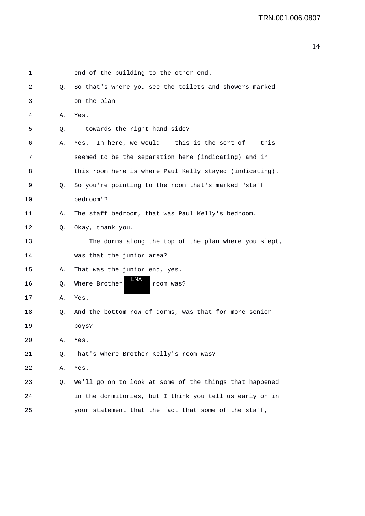| 1  |    | end of the building to the other end.                    |
|----|----|----------------------------------------------------------|
| 2  | Q. | So that's where you see the toilets and showers marked   |
| 3  |    | on the plan --                                           |
| 4  | Α. | Yes.                                                     |
| 5  | Q. | -- towards the right-hand side?                          |
| 6  | Α. | In here, we would -- this is the sort of -- this<br>Yes. |
| 7  |    | seemed to be the separation here (indicating) and in     |
| 8  |    | this room here is where Paul Kelly stayed (indicating).  |
| 9  | Q. | So you're pointing to the room that's marked "staff      |
| 10 |    | bedroom"?                                                |
| 11 | Α. | The staff bedroom, that was Paul Kelly's bedroom.        |
| 12 | Q. | Okay, thank you.                                         |
| 13 |    | The dorms along the top of the plan where you slept,     |
| 14 |    | was that the junior area?                                |
| 15 | Α. | That was the junior end, yes.                            |
| 16 | Q. | LNA<br>Where Brother<br>room was?                        |
| 17 | Α. | Yes.                                                     |
| 18 | Q. | And the bottom row of dorms, was that for more senior    |
| 19 |    | boys?                                                    |
| 20 | Α. | Yes.                                                     |
| 21 | Q. | That's where Brother Kelly's room was?                   |
| 22 | Α. | Yes.                                                     |
| 23 | Q. | We'll go on to look at some of the things that happened  |
| 24 |    | in the dormitories, but I think you tell us early on in  |
| 25 |    | your statement that the fact that some of the staff,     |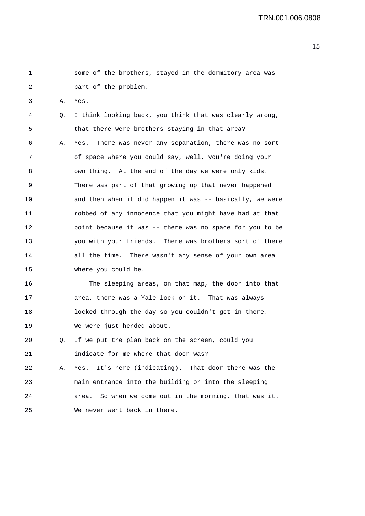1 some of the brothers, stayed in the dormitory area was 2 part of the problem. 3 A. Yes. 4 Q. I think looking back, you think that was clearly wrong, 5 that there were brothers staying in that area? 6 A. Yes. There was never any separation, there was no sort 7 of space where you could say, well, you're doing your 8 own thing. At the end of the day we were only kids. 9 There was part of that growing up that never happened 10 and then when it did happen it was -- basically, we were 11 robbed of any innocence that you might have had at that 12 point because it was -- there was no space for you to be 13 you with your friends. There was brothers sort of there 14 all the time. There wasn't any sense of your own area 15 where you could be. 16 The sleeping areas, on that map, the door into that 17 area, there was a Yale lock on it. That was always 18 locked through the day so you couldn't get in there. 19 We were just herded about. 20 Q. If we put the plan back on the screen, could you

- 21 indicate for me where that door was? 22 A. Yes. It's here (indicating). That door there was the 23 main entrance into the building or into the sleeping 24 area. So when we come out in the morning, that was it.
- 25 We never went back in there.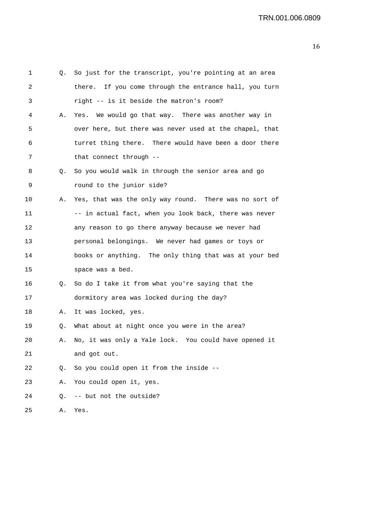| 1  |    | Q. So just for the transcript, you're pointing at an area |
|----|----|-----------------------------------------------------------|
| 2  |    | there. If you come through the entrance hall, you turn    |
| 3  |    | right -- is it beside the matron's room?                  |
| 4  | Α. | Yes. We would go that way. There was another way in       |
| 5  |    | over here, but there was never used at the chapel, that   |
| 6  |    | turret thing there. There would have been a door there    |
| 7  |    | that connect through --                                   |
| 8  | Q. | So you would walk in through the senior area and go       |
| 9  |    | round to the junior side?                                 |
| 10 | Α. | Yes, that was the only way round. There was no sort of    |
| 11 |    | -- in actual fact, when you look back, there was never    |
| 12 |    | any reason to go there anyway because we never had        |
| 13 |    | personal belongings. We never had games or toys or        |
| 14 |    | books or anything. The only thing that was at your bed    |
| 15 |    | space was a bed.                                          |
| 16 | Q. | So do I take it from what you're saying that the          |
| 17 |    | dormitory area was locked during the day?                 |
| 18 | Α. | It was locked, yes.                                       |
| 19 | Q. | What about at night once you were in the area?            |
| 20 | Α. | No, it was only a Yale lock. You could have opened it     |
| 21 |    | and got out.                                              |
| 22 | Q. | So you could open it from the inside --                   |
| 23 | Α. | You could open it, yes.                                   |
| 24 | Q. | -- but not the outside?                                   |
| 25 | Α. | Yes.                                                      |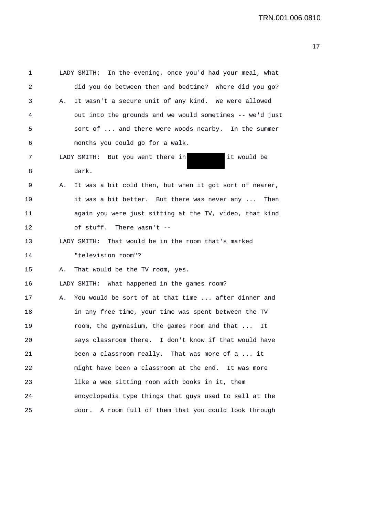| 1  |    | LADY SMITH: In the evening, once you'd had your meal, what |
|----|----|------------------------------------------------------------|
| 2  |    | did you do between then and bedtime? Where did you go?     |
| 3  | А. | It wasn't a secure unit of any kind. We were allowed       |
| 4  |    | out into the grounds and we would sometimes -- we'd just   |
| 5  |    | sort of  and there were woods nearby. In the summer        |
| 6  |    | months you could go for a walk.                            |
| 7  |    | LADY SMITH: But you went there in<br>it would be           |
| 8  |    | dark.                                                      |
| 9  | Α. | It was a bit cold then, but when it got sort of nearer,    |
| 10 |    | it was a bit better. But there was never any  Then         |
| 11 |    | again you were just sitting at the TV, video, that kind    |
| 12 |    | of stuff. There wasn't --                                  |
| 13 |    | LADY SMITH:<br>That would be in the room that's marked     |
| 14 |    | "television room"?                                         |
| 15 | Α. | That would be the TV room, yes.                            |
| 16 |    | LADY SMITH: What happened in the games room?               |
| 17 | А. | You would be sort of at that time  after dinner and        |
| 18 |    | in any free time, your time was spent between the TV       |
| 19 |    | room, the gymnasium, the games room and that<br>It         |
| 20 |    | says classroom there. I don't know if that would have      |
| 21 |    | been a classroom really. That was more of a  it            |
| 22 |    | might have been a classroom at the end. It was more        |
| 23 |    | like a wee sitting room with books in it, them             |
| 24 |    | encyclopedia type things that guys used to sell at the     |
| 25 |    | A room full of them that you could look through<br>door.   |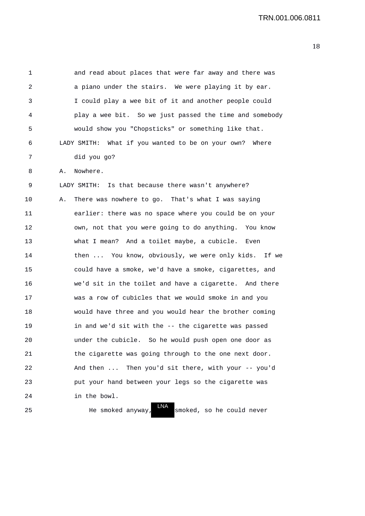1 and read about places that were far away and there was 2 a piano under the stairs. We were playing it by ear. 3 I could play a wee bit of it and another people could 4 play a wee bit. So we just passed the time and somebody 5 would show you "Chopsticks" or something like that. 6 LADY SMITH: What if you wanted to be on your own? Where 7 did you go? 8 A. Nowhere. 9 LADY SMITH: Is that because there wasn't anywhere? 10 A. There was nowhere to go. That's what I was saying 11 earlier: there was no space where you could be on your 12 own, not that you were going to do anything. You know 13 what I mean? And a toilet maybe, a cubicle. Even 14 then ... You know, obviously, we were only kids. If we 15 could have a smoke, we'd have a smoke, cigarettes, and 16 we'd sit in the toilet and have a cigarette. And there 17 was a row of cubicles that we would smoke in and you 18 would have three and you would hear the brother coming 19 in and we'd sit with the -- the cigarette was passed 20 under the cubicle. So he would push open one door as 21 the cigarette was going through to the one next door. 22 And then ... Then you'd sit there, with your -- you'd 23 put your hand between your legs so the cigarette was 24 in the bowl. LNA

25 He smoked anyway, smoked, so he could never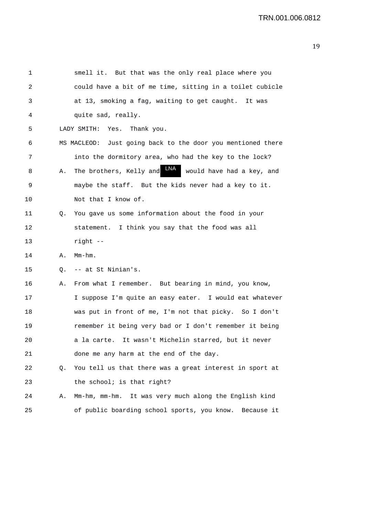| 1       |    | smell it. But that was the only real place where you               |
|---------|----|--------------------------------------------------------------------|
| 2       |    | could have a bit of me time, sitting in a toilet cubicle           |
| 3       |    | at 13, smoking a fag, waiting to get caught. It was                |
| 4       |    | quite sad, really.                                                 |
| 5       |    | Yes.<br>Thank you.<br>LADY SMITH:                                  |
| 6       |    | MS MACLEOD: Just going back to the door you mentioned there        |
| 7       |    | into the dormitory area, who had the key to the lock?              |
| 8       | Α. | <b>LNA</b><br>The brothers, Kelly and<br>would have had a key, and |
| 9       |    | maybe the staff. But the kids never had a key to it.               |
| $10 \,$ |    | Not that I know of.                                                |
| 11      | Q. | You gave us some information about the food in your                |
| 12      |    | statement. I think you say that the food was all                   |
| 13      |    | $right - -$                                                        |
| 14      | Α. | $Mm-hm$ .                                                          |
| 15      | Q. | -- at St Ninian's.                                                 |
| 16      | Α. | From what I remember. But bearing in mind, you know,               |
| 17      |    | I suppose I'm quite an easy eater. I would eat whatever            |
| 18      |    | was put in front of me, I'm not that picky. So I don't             |
| 19      |    | remember it being very bad or I don't remember it being            |
| 20      |    | It wasn't Michelin starred, but it never<br>a la carte.            |
| 21      |    | done me any harm at the end of the day.                            |
| 22      | Q. | You tell us that there was a great interest in sport at            |
| 23      |    | the school; is that right?                                         |
| 24      | Α. | Mm-hm, mm-hm. It was very much along the English kind              |
| 25      |    | of public boarding school sports, you know.<br>Because it          |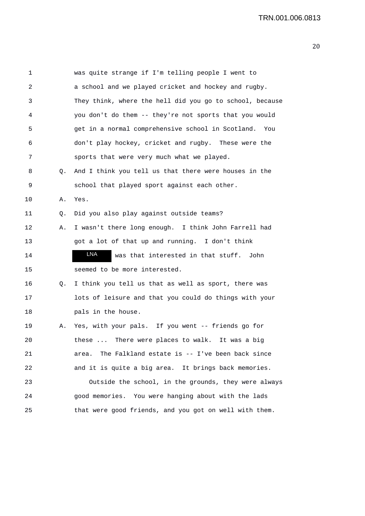| 1  |    | was quite strange if I'm telling people I went to        |
|----|----|----------------------------------------------------------|
| 2  |    | a school and we played cricket and hockey and rugby.     |
| 3  |    | They think, where the hell did you go to school, because |
| 4  |    | you don't do them -- they're not sports that you would   |
| 5  |    | get in a normal comprehensive school in Scotland. You    |
| 6  |    | don't play hockey, cricket and rugby. These were the     |
| 7  |    | sports that were very much what we played.               |
| 8  | Q. | And I think you tell us that there were houses in the    |
| 9  |    | school that played sport against each other.             |
| 10 | Α. | Yes.                                                     |
| 11 | Q. | Did you also play against outside teams?                 |
| 12 | Α. | I wasn't there long enough. I think John Farrell had     |
| 13 |    | got a lot of that up and running. I don't think          |
| 14 |    | LNA<br>was that interested in that stuff. John           |
| 15 |    | seemed to be more interested.                            |
| 16 | Q. | I think you tell us that as well as sport, there was     |
| 17 |    | lots of leisure and that you could do things with your   |
| 18 |    | pals in the house.                                       |
| 19 | Α. | Yes, with your pals. If you went -- friends go for       |
| 20 |    | these  There were places to walk. It was a big           |
| 21 |    | The Falkland estate is -- I've been back since<br>area.  |
| 22 |    | and it is quite a big area. It brings back memories.     |
| 23 |    | Outside the school, in the grounds, they were always     |
| 24 |    | good memories. You were hanging about with the lads      |
| 25 |    | that were good friends, and you got on well with them.   |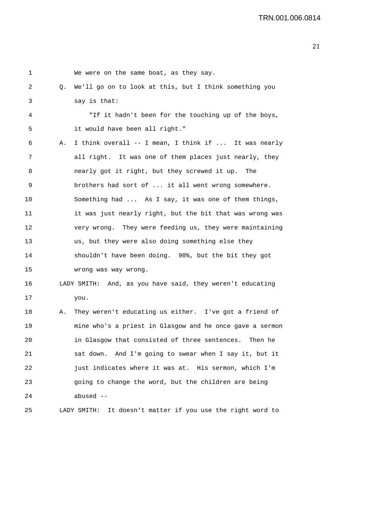| 1  |    | We were on the same boat, as they say.                     |
|----|----|------------------------------------------------------------|
| 2  | Q. | We'll go on to look at this, but I think something you     |
| 3  |    | say is that:                                               |
| 4  |    | "If it hadn't been for the touching up of the boys,        |
| 5  |    | it would have been all right."                             |
| 6  | Α. | I think overall -- I mean, I think if  It was nearly       |
| 7  |    | all right. It was one of them places just nearly, they     |
| 8  |    | nearly got it right, but they screwed it up. The           |
| 9  |    | brothers had sort of  it all went wrong somewhere.         |
| 10 |    | Something had  As I say, it was one of them things,        |
| 11 |    | it was just nearly right, but the bit that was wrong was   |
| 12 |    | very wrong. They were feeding us, they were maintaining    |
| 13 |    | us, but they were also doing something else they           |
| 14 |    | shouldn't have been doing. 90%, but the bit they got       |
| 15 |    | wrong was way wrong.                                       |
| 16 |    | LADY SMITH: And, as you have said, they weren't educating  |
| 17 |    | you.                                                       |
| 18 | Α. | They weren't educating us either. I've got a friend of     |
| 19 |    | mine who's a priest in Glasgow and he once gave a sermon   |
| 20 |    | in Glasgow that consisted of three sentences. Then he      |
| 21 |    | sat down. And I'm going to swear when I say it, but it     |
| 22 |    | just indicates where it was at. His sermon, which I'm      |
| 23 |    | going to change the word, but the children are being       |
| 24 |    | abused $--$                                                |
| 25 |    | LADY SMITH: It doesn't matter if you use the right word to |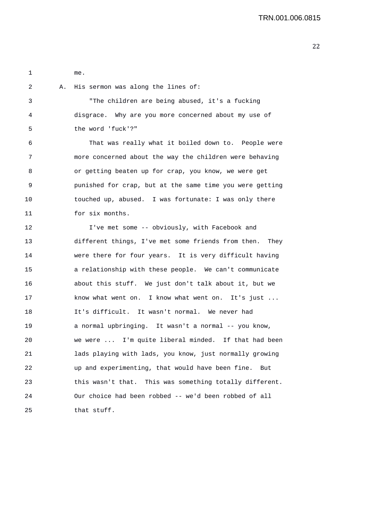1 me.

| $^{2}$ | A. His sermon was along the lines of:                |
|--------|------------------------------------------------------|
| 3      | "The children are being abused, it's a fucking       |
| 4      | disgrace. Why are you more concerned about my use of |
| 5      | the word 'fuck'?"                                    |
|        |                                                      |

6 That was really what it boiled down to. People were 7 more concerned about the way the children were behaving 8 or getting beaten up for crap, you know, we were get 9 punished for crap, but at the same time you were getting 10 touched up, abused. I was fortunate: I was only there 11 for six months.

12 I've met some -- obviously, with Facebook and 13 different things, I've met some friends from then. They 14 were there for four years. It is very difficult having 15 a relationship with these people. We can't communicate 16 about this stuff. We just don't talk about it, but we 17 know what went on. I know what went on. It's just ... 18 It's difficult. It wasn't normal. We never had 19 a normal upbringing. It wasn't a normal -- you know, 20 we were ... I'm quite liberal minded. If that had been 21 lads playing with lads, you know, just normally growing 22 up and experimenting, that would have been fine. But 23 this wasn't that. This was something totally different. 24 Our choice had been robbed -- we'd been robbed of all 25 that stuff.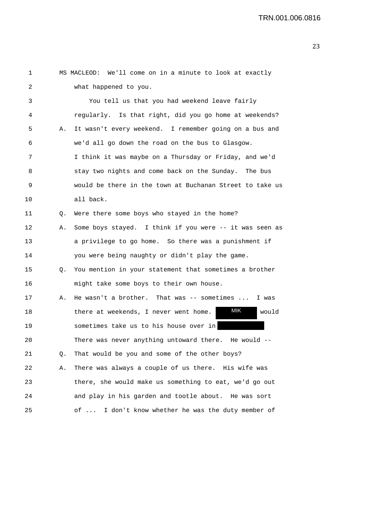| 1  |    | MS MACLEOD: We'll come on in a minute to look at exactly |
|----|----|----------------------------------------------------------|
| 2  |    | what happened to you.                                    |
| 3  |    | You tell us that you had weekend leave fairly            |
| 4  |    | regularly. Is that right, did you go home at weekends?   |
| 5  | Α. | It wasn't every weekend. I remember going on a bus and   |
| 6  |    | we'd all go down the road on the bus to Glasgow.         |
| 7  |    | I think it was maybe on a Thursday or Friday, and we'd   |
| 8  |    | stay two nights and come back on the Sunday. The bus     |
| 9  |    | would be there in the town at Buchanan Street to take us |
| 10 |    | all back.                                                |
| 11 | Q. | Were there some boys who stayed in the home?             |
| 12 | А. | Some boys stayed. I think if you were -- it was seen as  |
| 13 |    | a privilege to go home. So there was a punishment if     |
| 14 |    | you were being naughty or didn't play the game.          |
| 15 | Q. | You mention in your statement that sometimes a brother   |
| 16 |    | might take some boys to their own house.                 |
| 17 | Α. | He wasn't a brother. That was $-$ - sometimes<br>I was   |
| 18 |    | MIK<br>would<br>there at weekends, I never went home.    |
| 19 |    | sometimes take us to his house over in                   |
| 20 |    | There was never anything untoward there. He would --     |
| 21 | Q. | That would be you and some of the other boys?            |
| 22 | Α. | There was always a couple of us there. His wife was      |
| 23 |    | there, she would make us something to eat, we'd go out   |
| 24 |    | and play in his garden and tootle about. He was sort     |
| 25 |    | of  I don't know whether he was the duty member of       |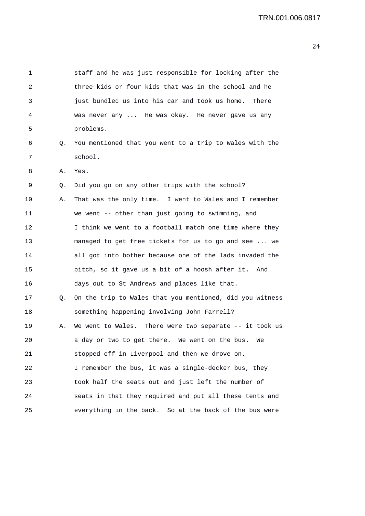| 1  |    | staff and he was just responsible for looking after the  |
|----|----|----------------------------------------------------------|
| 2  |    | three kids or four kids that was in the school and he    |
| 3  |    | just bundled us into his car and took us home.<br>There  |
| 4  |    | was never any  He was okay. He never gave us any         |
| 5  |    | problems.                                                |
| 6  | Q. | You mentioned that you went to a trip to Wales with the  |
| 7  |    | school.                                                  |
| 8  | Α. | Yes.                                                     |
| 9  | Q. | Did you go on any other trips with the school?           |
| 10 | Α. | That was the only time. I went to Wales and I remember   |
| 11 |    | we went -- other than just going to swimming, and        |
| 12 |    | I think we went to a football match one time where they  |
| 13 |    | managed to get free tickets for us to go and see  we     |
| 14 |    | all got into bother because one of the lads invaded the  |
| 15 |    | pitch, so it gave us a bit of a hoosh after it. And      |
| 16 |    | days out to St Andrews and places like that.             |
| 17 | Q. | On the trip to Wales that you mentioned, did you witness |
| 18 |    | something happening involving John Farrell?              |
| 19 | Α. | We went to Wales. There were two separate -- it took us  |
| 20 |    | a day or two to get there. We went on the bus.<br>We     |
| 21 |    | stopped off in Liverpool and then we drove on.           |
| 22 |    | I remember the bus, it was a single-decker bus, they     |
| 23 |    | took half the seats out and just left the number of      |
| 24 |    | seats in that they required and put all these tents and  |
| 25 |    | everything in the back. So at the back of the bus were   |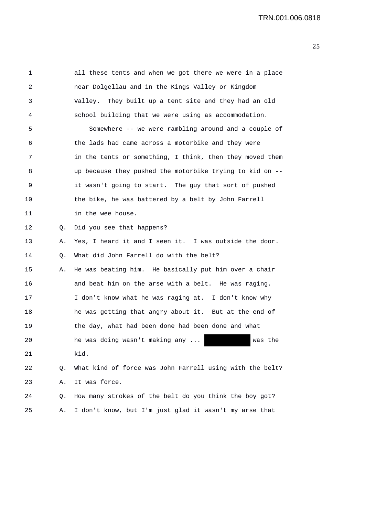| 1  |    | all these tents and when we got there we were in a place |
|----|----|----------------------------------------------------------|
| 2  |    | near Dolgellau and in the Kings Valley or Kingdom        |
| 3  |    | Valley. They built up a tent site and they had an old    |
| 4  |    | school building that we were using as accommodation.     |
| 5  |    | Somewhere -- we were rambling around and a couple of     |
| 6  |    | the lads had came across a motorbike and they were       |
| 7  |    | in the tents or something, I think, then they moved them |
| 8  |    | up because they pushed the motorbike trying to kid on -- |
| 9  |    | it wasn't going to start. The guy that sort of pushed    |
| 10 |    | the bike, he was battered by a belt by John Farrell      |
| 11 |    | in the wee house.                                        |
| 12 | Q. | Did you see that happens?                                |
| 13 | Α. | Yes, I heard it and I seen it. I was outside the door.   |
| 14 | Q. | What did John Farrell do with the belt?                  |
| 15 | Α. | He was beating him. He basically put him over a chair    |
| 16 |    | and beat him on the arse with a belt. He was raging.     |
| 17 |    | I don't know what he was raging at. I don't know why     |
| 18 |    | he was getting that angry about it. But at the end of    |
| 19 |    | the day, what had been done had been done and what       |
| 20 |    | he was doing wasn't making any<br>was the                |
| 21 |    | kid.                                                     |
| 22 | Q. | What kind of force was John Farrell using with the belt? |
| 23 | Α. | It was force.                                            |
| 24 | Q. | How many strokes of the belt do you think the boy got?   |
| 25 | Α. | I don't know, but I'm just glad it wasn't my arse that   |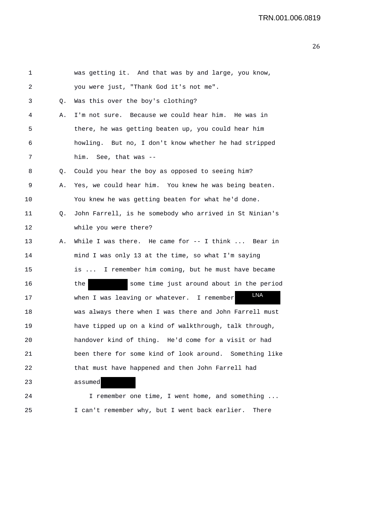| 1       |    | was getting it. And that was by and large, you know,    |
|---------|----|---------------------------------------------------------|
| 2       |    | you were just, "Thank God it's not me".                 |
| 3       | Q. | Was this over the boy's clothing?                       |
| 4       | Α. | I'm not sure. Because we could hear him. He was in      |
| 5       |    | there, he was getting beaten up, you could hear him     |
| 6       |    | howling. But no, I don't know whether he had stripped   |
| 7       |    | him. See, that was --                                   |
| 8       | Q. | Could you hear the boy as opposed to seeing him?        |
| 9       | Α. | Yes, we could hear him. You knew he was being beaten.   |
| $10 \,$ |    | You knew he was getting beaten for what he'd done.      |
| 11      | Q. | John Farrell, is he somebody who arrived in St Ninian's |
| 12      |    | while you were there?                                   |
| 13      | Α. | While I was there. He came for $-$ I think  Bear in     |
| 14      |    | mind I was only 13 at the time, so what I'm saying      |
| 15      |    | is  I remember him coming, but he must have became      |
| 16      |    | the<br>some time just around about in the period        |
| 17      |    | LNA<br>when I was leaving or whatever. I remember       |
| 18      |    | was always there when I was there and John Farrell must |
| 19      |    | have tipped up on a kind of walkthrough, talk through,  |
| 20      |    | handover kind of thing. He'd come for a visit or had    |
| 21      |    | been there for some kind of look around. Something like |
| 22      |    | that must have happened and then John Farrell had       |
| 23      |    | assumed                                                 |
| 24      |    | I remember one time, I went home, and something         |

25 I can't remember why, but I went back earlier. There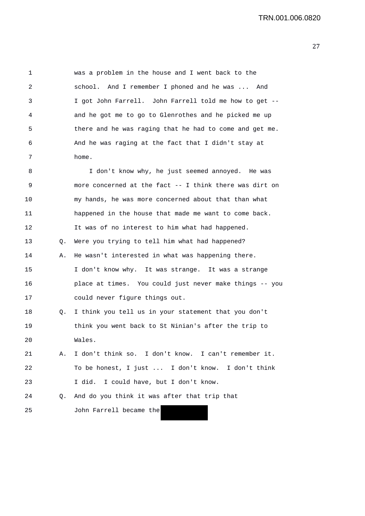1 was a problem in the house and I went back to the 2 school. And I remember I phoned and he was ... And 3 I got John Farrell. John Farrell told me how to get -- 4 and he got me to go to Glenrothes and he picked me up 5 there and he was raging that he had to come and get me. 6 And he was raging at the fact that I didn't stay at 7 home. 8 I don't know why, he just seemed annoyed. He was 9 more concerned at the fact -- I think there was dirt on 10 my hands, he was more concerned about that than what 11 happened in the house that made me want to come back. 12 It was of no interest to him what had happened. 13 Q. Were you trying to tell him what had happened? 14 A. He wasn't interested in what was happening there. 15 I don't know why. It was strange. It was a strange 16 place at times. You could just never make things -- you 17 could never figure things out. 18 Q. I think you tell us in your statement that you don't 19 think you went back to St Ninian's after the trip to 20 Wales. 21 A. I don't think so. I don't know. I can't remember it. 22 To be honest, I just ... I don't know. I don't think 23 I did. I could have, but I don't know. 24 Q. And do you think it was after that trip that 25 John Farrell became the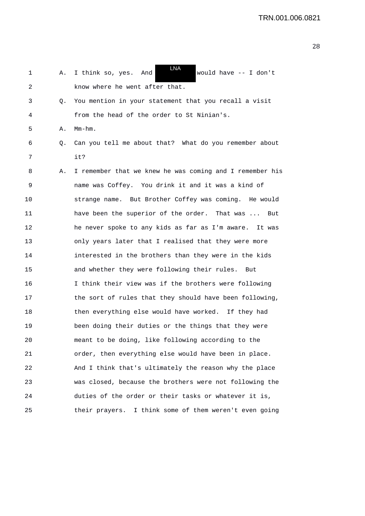| 1  | Α. | LNA<br>I think so, yes. And<br>would have $--$ I don't   |
|----|----|----------------------------------------------------------|
| 2  |    | know where he went after that.                           |
| 3  | Q. | You mention in your statement that you recall a visit    |
| 4  |    | from the head of the order to St Ninian's.               |
| 5  | Α. | $Mm-hm$ .                                                |
| 6  | Q. | Can you tell me about that? What do you remember about   |
| 7  |    | it?                                                      |
| 8  | Α. | I remember that we knew he was coming and I remember his |
| 9  |    | name was Coffey. You drink it and it was a kind of       |
| 10 |    | strange name. But Brother Coffey was coming. He would    |
| 11 |    | have been the superior of the order. That was<br>But     |
| 12 |    | he never spoke to any kids as far as I'm aware. It was   |
| 13 |    | only years later that I realised that they were more     |
| 14 |    | interested in the brothers than they were in the kids    |
| 15 |    | and whether they were following their rules. But         |
| 16 |    | I think their view was if the brothers were following    |
| 17 |    | the sort of rules that they should have been following,  |
| 18 |    | then everything else would have worked. If they had      |
| 19 |    | been doing their duties or the things that they were     |
| 20 |    | meant to be doing, like following according to the       |
| 21 |    | order, then everything else would have been in place.    |
| 22 |    | And I think that's ultimately the reason why the place   |
| 23 |    | was closed, because the brothers were not following the  |
| 24 |    | duties of the order or their tasks or whatever it is,    |
| 25 |    | their prayers. I think some of them weren't even going   |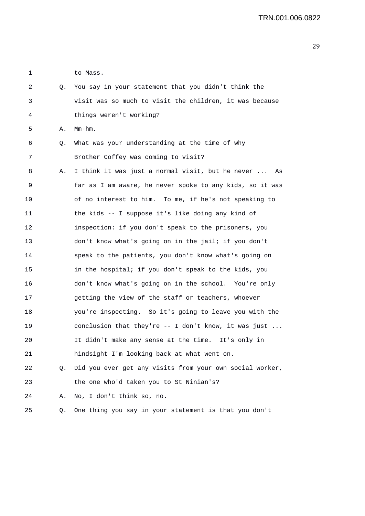1 to Mass.

| 2  | Q. | You say in your statement that you didn't think the      |
|----|----|----------------------------------------------------------|
| 3  |    | visit was so much to visit the children, it was because  |
| 4  |    | things weren't working?                                  |
| 5  | Α. | $Mm-hm$ .                                                |
| 6  | Q. | What was your understanding at the time of why           |
| 7  |    | Brother Coffey was coming to visit?                      |
| 8  | Α. | I think it was just a normal visit, but he never  As     |
| 9  |    | far as I am aware, he never spoke to any kids, so it was |
| 10 |    | of no interest to him. To me, if he's not speaking to    |
| 11 |    | the kids -- I suppose it's like doing any kind of        |
| 12 |    | inspection: if you don't speak to the prisoners, you     |
| 13 |    | don't know what's going on in the jail; if you don't     |
| 14 |    | speak to the patients, you don't know what's going on    |
| 15 |    | in the hospital; if you don't speak to the kids, you     |
| 16 |    | don't know what's going on in the school. You're only    |
| 17 |    | getting the view of the staff or teachers, whoever       |
| 18 |    | you're inspecting. So it's going to leave you with the   |
| 19 |    | conclusion that they're $--$ I don't know, it was just   |
| 20 |    | It didn't make any sense at the time. It's only in       |
| 21 |    | hindsight I'm looking back at what went on.              |
| 22 | Q. | Did you ever get any visits from your own social worker, |
| 23 |    | the one who'd taken you to St Ninian's?                  |
| 24 | Α. | No, I don't think so, no.                                |
| 25 | Q. | One thing you say in your statement is that you don't    |
|    |    |                                                          |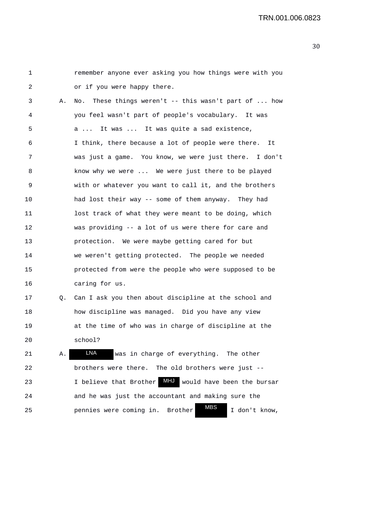1 remember anyone ever asking you how things were with you 2 or if you were happy there. 3 A. No. These things weren't -- this wasn't part of ... how 4 you feel wasn't part of people's vocabulary. It was 5 a ... It was ... It was quite a sad existence, 6 I think, there because a lot of people were there. It 7 was just a game. You know, we were just there. I don't 8 know why we were ... We were just there to be played 9 with or whatever you want to call it, and the brothers 10 had lost their way -- some of them anyway. They had 11 lost track of what they were meant to be doing, which 12 was providing -- a lot of us were there for care and 13 protection. We were maybe getting cared for but 14 we weren't getting protected. The people we needed 15 protected from were the people who were supposed to be 16 caring for us. 17 Q. Can I ask you then about discipline at the school and 18 how discipline was managed. Did you have any view 19 at the time of who was in charge of discipline at the 20 school? 21 A. **LNA** was in charge of everything. The other 22 brothers were there. The old brothers were just -- LNA

23 I believe that Brother **MHJ** would have been the bursar 24 and he was just the accountant and making sure the 25 pennies were coming in. Brother WES I don't know, MBS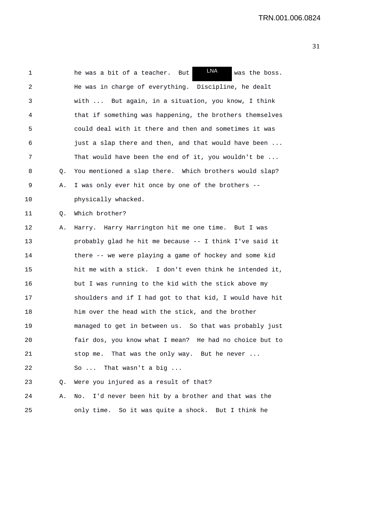| 1  |    | LNA<br>he was a bit of a teacher.<br>was the boss.<br>But     |
|----|----|---------------------------------------------------------------|
| 2  |    | He was in charge of everything. Discipline, he dealt          |
| 3  |    | But again, in a situation, you know, I think<br>with $\ldots$ |
| 4  |    | that if something was happening, the brothers themselves      |
| 5  |    | could deal with it there and then and sometimes it was        |
| 6  |    | just a slap there and then, and that would have been          |
| 7  |    | That would have been the end of it, you wouldn't be           |
| 8  | Q. | You mentioned a slap there. Which brothers would slap?        |
| 9  | Α. | I was only ever hit once by one of the brothers --            |
| 10 |    | physically whacked.                                           |
| 11 | Q. | Which brother?                                                |
| 12 | Α. | Harry. Harry Harrington hit me one time. But I was            |
| 13 |    | probably glad he hit me because -- I think I've said it       |
| 14 |    | there -- we were playing a game of hockey and some kid        |
| 15 |    | hit me with a stick. I don't even think he intended it,       |
| 16 |    | but I was running to the kid with the stick above my          |
| 17 |    | shoulders and if I had got to that kid, I would have hit      |
| 18 |    | him over the head with the stick, and the brother             |
| 19 |    | managed to get in between us. So that was probably just       |
| 20 |    | fair dos, you know what I mean? He had no choice but to       |
| 21 |    | stop me. That was the only way. But he never                  |
| 22 |    | So  That wasn't a big                                         |
| 23 | Q. | Were you injured as a result of that?                         |
| 24 | Α. | I'd never been hit by a brother and that was the<br>No.       |
| 25 |    | only time. So it was quite a shock. But I think he            |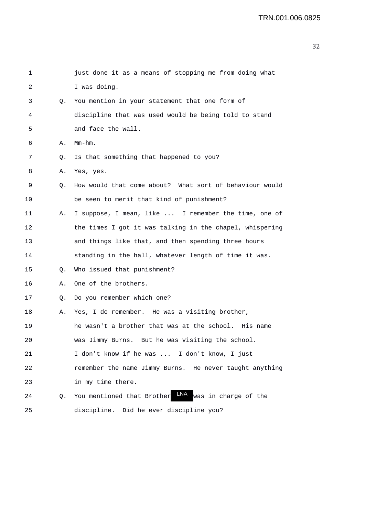| 1  |                | just done it as a means of stopping me from doing what           |
|----|----------------|------------------------------------------------------------------|
| 2  |                | I was doing.                                                     |
| 3  |                | Q. You mention in your statement that one form of                |
| 4  |                | discipline that was used would be being told to stand            |
| 5  |                | and face the wall.                                               |
| 6  | Α.             | $Mm-hm$ .                                                        |
| 7  | Q.             | Is that something that happened to you?                          |
| 8  | Α.             | Yes, yes.                                                        |
| 9  | Q.             | How would that come about? What sort of behaviour would          |
| 10 |                | be seen to merit that kind of punishment?                        |
| 11 | А.             | I suppose, I mean, like  I remember the time, one of             |
| 12 |                | the times I got it was talking in the chapel, whispering         |
| 13 |                | and things like that, and then spending three hours              |
| 14 |                | standing in the hall, whatever length of time it was.            |
| 15 | Q.             | Who issued that punishment?                                      |
| 16 | Α.             | One of the brothers.                                             |
| 17 | Q <sub>1</sub> | Do you remember which one?                                       |
| 18 | А.             | Yes, I do remember. He was a visiting brother,                   |
| 19 |                | he wasn't a brother that was at the school. His name             |
| 20 |                | was Jimmy Burns. But he was visiting the school.                 |
| 21 |                | I don't know if he was  I don't know, I just                     |
| 22 |                | remember the name Jimmy Burns. He never taught anything          |
| 23 |                | in my time there.                                                |
| 24 | Q.             | <b>LNA</b><br>was in charge of the<br>You mentioned that Brother |
| 25 |                | discipline. Did he ever discipline you?                          |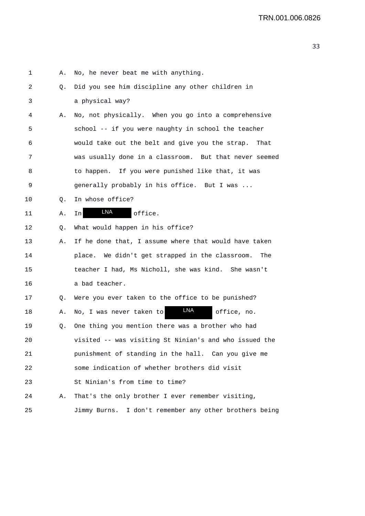| 1  | Α. | No, he never beat me with anything.                     |
|----|----|---------------------------------------------------------|
| 2  | Q. | Did you see him discipline any other children in        |
| 3  |    | a physical way?                                         |
| 4  | Α. | No, not physically. When you go into a comprehensive    |
| 5  |    | school -- if you were naughty in school the teacher     |
| 6  |    | would take out the belt and give you the strap.<br>That |
| 7  |    | was usually done in a classroom. But that never seemed  |
| 8  |    | to happen. If you were punished like that, it was       |
| 9  |    | generally probably in his office. But I was             |
| 10 | Q. | In whose office?                                        |
| 11 | Α. | <b>LNA</b><br>office.<br>In                             |
| 12 | Q. | What would happen in his office?                        |
| 13 | Α. | If he done that, I assume where that would have taken   |
| 14 |    | place. We didn't get strapped in the classroom.<br>The  |
| 15 |    | teacher I had, Ms Nicholl, she was kind. She wasn't     |
| 16 |    | a bad teacher.                                          |
| 17 | Q. | Were you ever taken to the office to be punished?       |
| 18 | Α. | LNA<br>No, I was never taken to<br>office, no.          |
| 19 | Q. | One thing you mention there was a brother who had       |
| 20 |    | visited -- was visiting St Ninian's and who issued the  |
| 21 |    | punishment of standing in the hall. Can you give me     |
| 22 |    | some indication of whether brothers did visit           |
| 23 |    | St Ninian's from time to time?                          |
| 24 | Α. | That's the only brother I ever remember visiting,       |
| 25 |    | Jimmy Burns. I don't remember any other brothers being  |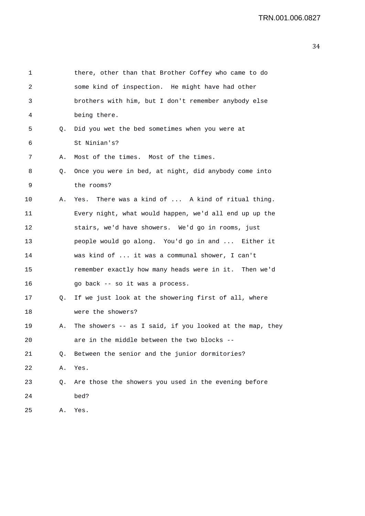| 1  |    | there, other than that Brother Coffey who came to do     |
|----|----|----------------------------------------------------------|
| 2  |    | some kind of inspection. He might have had other         |
| 3  |    | brothers with him, but I don't remember anybody else     |
| 4  |    | being there.                                             |
| 5  | Q. | Did you wet the bed sometimes when you were at           |
| 6  |    | St Ninian's?                                             |
| 7  | Α. | Most of the times. Most of the times.                    |
| 8  | Q. | Once you were in bed, at night, did anybody come into    |
| 9  |    | the rooms?                                               |
| 10 | А. | Yes. There was a kind of  A kind of ritual thing.        |
| 11 |    | Every night, what would happen, we'd all end up up the   |
| 12 |    | stairs, we'd have showers. We'd go in rooms, just        |
| 13 |    | people would go along. You'd go in and  Either it        |
| 14 |    | was kind of  it was a communal shower, I can't           |
| 15 |    | remember exactly how many heads were in it. Then we'd    |
| 16 |    | go back -- so it was a process.                          |
| 17 | Q. | If we just look at the showering first of all, where     |
| 18 |    | were the showers?                                        |
| 19 | Α. | The showers -- as I said, if you looked at the map, they |
| 20 |    | are in the middle between the two blocks                 |
| 21 | О. | Between the senior and the junior dormitories?           |
| 22 | Α. | Yes.                                                     |
| 23 | Q. | Are those the showers you used in the evening before     |
| 24 |    | bed?                                                     |
| 25 | Α. | Yes.                                                     |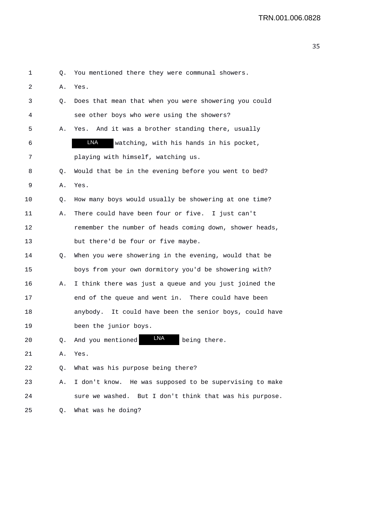| 1  | Q. | You mentioned there they were communal showers.         |
|----|----|---------------------------------------------------------|
| 2  | Α. | Yes.                                                    |
| 3  | Q. | Does that mean that when you were showering you could   |
| 4  |    | see other boys who were using the showers?              |
| 5  | Α. | Yes. And it was a brother standing there, usually       |
| 6  |    | LNA<br>watching, with his hands in his pocket,          |
| 7  |    | playing with himself, watching us.                      |
| 8  | Q. | Would that be in the evening before you went to bed?    |
| 9  | Α. | Yes.                                                    |
| 10 | Q. | How many boys would usually be showering at one time?   |
| 11 | Α. | There could have been four or five. I just can't        |
| 12 |    | remember the number of heads coming down, shower heads, |
| 13 |    | but there'd be four or five maybe.                      |
| 14 | Q. | When you were showering in the evening, would that be   |
| 15 |    | boys from your own dormitory you'd be showering with?   |
| 16 | Α. | I think there was just a queue and you just joined the  |
| 17 |    | end of the queue and went in. There could have been     |
| 18 |    | anybody. It could have been the senior boys, could have |
| 19 |    | been the junior boys.                                   |
| 20 | Q. | LNA<br>And you mentioned<br>being there.                |
| 21 | Α. | Yes.                                                    |
| 22 | Q. | What was his purpose being there?                       |
| 23 | Α. | I don't know. He was supposed to be supervising to make |
| 24 |    | sure we washed. But I don't think that was his purpose. |
| 25 | Q. | What was he doing?                                      |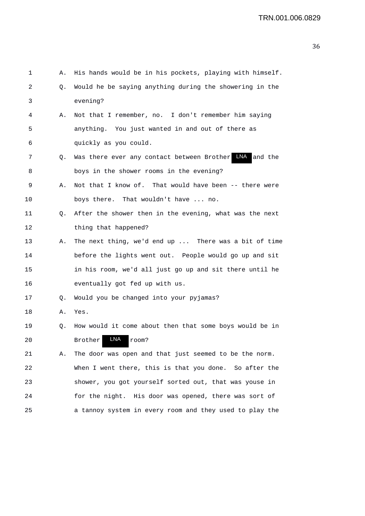| 1  | Α. | His hands would be in his pockets, playing with himself. |
|----|----|----------------------------------------------------------|
| 2  | Q. | Would he be saying anything during the showering in the  |
| 3  |    | evening?                                                 |
| 4  | Α. | Not that I remember, no. I don't remember him saying     |
| 5  |    | anything. You just wanted in and out of there as         |
| 6  |    | quickly as you could.                                    |
| 7  | Q. | Was there ever any contact between Brother LNA and the   |
| 8  |    | boys in the shower rooms in the evening?                 |
| 9  | Α. | Not that I know of. That would have been -- there were   |
| 10 |    | boys there. That wouldn't have  no.                      |
| 11 | Q. | After the shower then in the evening, what was the next  |
| 12 |    | thing that happened?                                     |
| 13 | Α. | The next thing, we'd end up  There was a bit of time     |
| 14 |    | before the lights went out. People would go up and sit   |
| 15 |    | in his room, we'd all just go up and sit there until he  |
| 16 |    | eventually got fed up with us.                           |
| 17 | Q. | Would you be changed into your pyjamas?                  |
| 18 | Α. | Yes.                                                     |
| 19 | Q. | How would it come about then that some boys would be in  |
| 20 |    | LNA<br>room?<br>Brother                                  |
| 21 | Α. | The door was open and that just seemed to be the norm.   |
| 22 |    | When I went there, this is that you done. So after the   |
| 23 |    | shower, you got yourself sorted out, that was youse in   |
| 24 |    | for the night. His door was opened, there was sort of    |
| 25 |    | a tannoy system in every room and they used to play the  |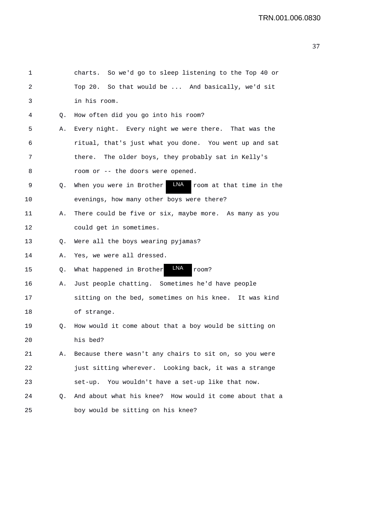| 1  |    | charts. So we'd go to sleep listening to the Top 40 or      |
|----|----|-------------------------------------------------------------|
| 2  |    | Top 20. So that would be  And basically, we'd sit           |
| 3  |    | in his room.                                                |
| 4  | Q. | How often did you go into his room?                         |
| 5  | Α. | Every night. Every night we were there. That was the        |
| 6  |    | ritual, that's just what you done. You went up and sat      |
| 7  |    | The older boys, they probably sat in Kelly's<br>there.      |
| 8  |    | room or -- the doors were opened.                           |
| 9  | Q. | LNA<br>When you were in Brother<br>room at that time in the |
| 10 |    | evenings, how many other boys were there?                   |
| 11 | Α. | There could be five or six, maybe more. As many as you      |
| 12 |    | could get in sometimes.                                     |
| 13 | Q. | Were all the boys wearing pyjamas?                          |
| 14 | Α. | Yes, we were all dressed.                                   |
| 15 | Q. | LNA<br>What happened in Brother<br>room?                    |
| 16 | Α. | Just people chatting. Sometimes he'd have people            |
| 17 |    | sitting on the bed, sometimes on his knee. It was kind      |
| 18 |    | of strange.                                                 |
| 19 | Q. | How would it come about that a boy would be sitting on      |
| 20 |    | his bed?                                                    |
| 21 | Α. | Because there wasn't any chairs to sit on, so you were      |
| 22 |    | just sitting wherever. Looking back, it was a strange       |
| 23 |    | set-up. You wouldn't have a set-up like that now.           |
| 24 | О. | And about what his knee? How would it come about that a     |
| 25 |    | boy would be sitting on his knee?                           |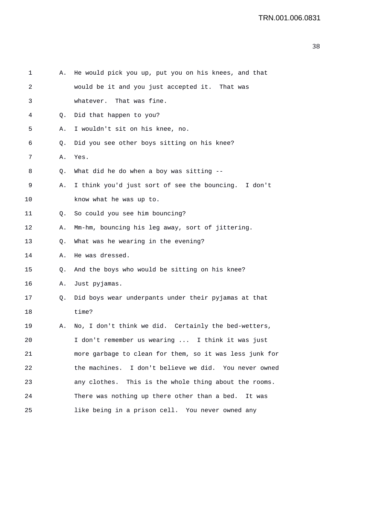| 1  | Α. | He would pick you up, put you on his knees, and that    |
|----|----|---------------------------------------------------------|
| 2  |    | would be it and you just accepted it. That was          |
| 3  |    | whatever. That was fine.                                |
| 4  | Q. | Did that happen to you?                                 |
| 5  | Α. | I wouldn't sit on his knee, no.                         |
| 6  | Q. | Did you see other boys sitting on his knee?             |
| 7  | Α. | Yes.                                                    |
| 8  | Q. | What did he do when a boy was sitting --                |
| 9  | Α. | I think you'd just sort of see the bouncing. I don't    |
| 10 |    | know what he was up to.                                 |
| 11 | Q. | So could you see him bouncing?                          |
| 12 | Α. | Mm-hm, bouncing his leg away, sort of jittering.        |
| 13 | Q. | What was he wearing in the evening?                     |
| 14 | Α. | He was dressed.                                         |
| 15 | Q. | And the boys who would be sitting on his knee?          |
| 16 | Α. | Just pyjamas.                                           |
| 17 | Q. | Did boys wear underpants under their pyjamas at that    |
| 18 |    | time?                                                   |
| 19 | Α. | No, I don't think we did. Certainly the bed-wetters,    |
| 20 |    | I don't remember us wearing  I think it was just        |
| 21 |    | more garbage to clean for them, so it was less junk for |
| 22 |    | the machines. I don't believe we did. You never owned   |
| 23 |    | any clothes. This is the whole thing about the rooms.   |
| 24 |    | There was nothing up there other than a bed. It was     |
| 25 |    | like being in a prison cell. You never owned any        |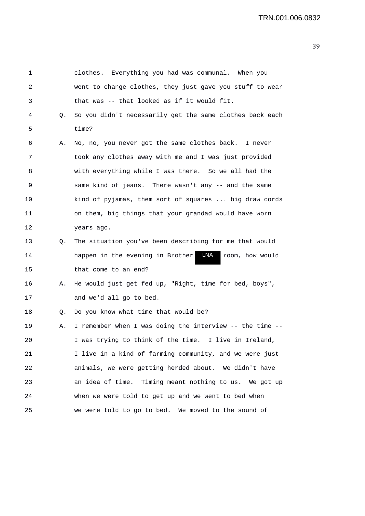| 1  |    | clothes. Everything you had was communal. When you         |
|----|----|------------------------------------------------------------|
| 2  |    | went to change clothes, they just gave you stuff to wear   |
| 3  |    | that was -- that looked as if it would fit.                |
| 4  | Q. | So you didn't necessarily get the same clothes back each   |
| 5  |    | time?                                                      |
| 6  | Α. | No, no, you never got the same clothes back. I never       |
| 7  |    | took any clothes away with me and I was just provided      |
| 8  |    | with everything while I was there. So we all had the       |
| 9  |    | same kind of jeans. There wasn't any -- and the same       |
| 10 |    | kind of pyjamas, them sort of squares  big draw cords      |
| 11 |    | on them, big things that your grandad would have worn      |
| 12 |    | years ago.                                                 |
| 13 | Q. | The situation you've been describing for me that would     |
| 14 |    | LNA<br>happen in the evening in Brother<br>room, how would |
| 15 |    | that come to an end?                                       |
| 16 | А. | He would just get fed up, "Right, time for bed, boys",     |
| 17 |    | and we'd all go to bed.                                    |
| 18 | Q. | Do you know what time that would be?                       |
| 19 | Α. | I remember when I was doing the interview -- the time --   |
| 20 |    | I was trying to think of the time. I live in Ireland,      |
| 21 |    | I live in a kind of farming community, and we were just    |
| 22 |    | animals, we were getting herded about. We didn't have      |
| 23 |    | an idea of time. Timing meant nothing to us. We got up     |
| 24 |    | when we were told to get up and we went to bed when        |
| 25 |    | we were told to go to bed. We moved to the sound of        |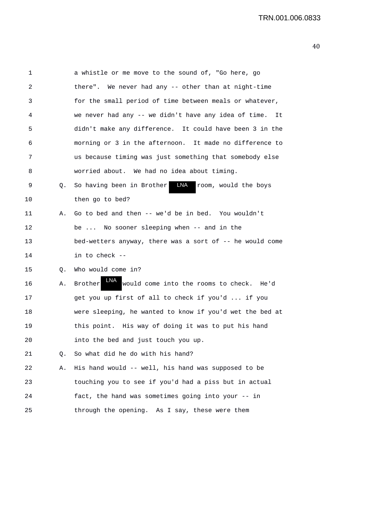| 1  |    | a whistle or me move to the sound of, "Go here, go          |
|----|----|-------------------------------------------------------------|
| 2  |    | there". We never had any -- other than at night-time        |
| 3  |    | for the small period of time between meals or whatever,     |
| 4  |    | we never had any -- we didn't have any idea of time.<br>It  |
| 5  |    | didn't make any difference. It could have been 3 in the     |
| 6  |    | morning or 3 in the afternoon. It made no difference to     |
| 7  |    | us because timing was just something that somebody else     |
| 8  |    | worried about. We had no idea about timing.                 |
| 9  | Q. | LNA room, would the boys<br>So having been in Brother       |
| 10 |    | then go to bed?                                             |
| 11 | Α. | Go to bed and then -- we'd be in bed. You wouldn't          |
| 12 |    | be  No sooner sleeping when -- and in the                   |
| 13 |    | bed-wetters anyway, there was a sort of -- he would come    |
| 14 |    | in to check --                                              |
| 15 | Q. | Who would come in?                                          |
| 16 | Α. | LNA.<br>would come into the rooms to check. He'd<br>Brother |
| 17 |    | get you up first of all to check if you'd  if you           |
| 18 |    | were sleeping, he wanted to know if you'd wet the bed at    |
| 19 |    | this point. His way of doing it was to put his hand         |
| 20 |    | into the bed and just touch you up.                         |
| 21 | Q. | So what did he do with his hand?                            |
| 22 | Α. | His hand would -- well, his hand was supposed to be         |
| 23 |    | touching you to see if you'd had a piss but in actual       |
| 24 |    | fact, the hand was sometimes going into your -- in          |
| 25 |    | through the opening. As I say, these were them              |
|    |    |                                                             |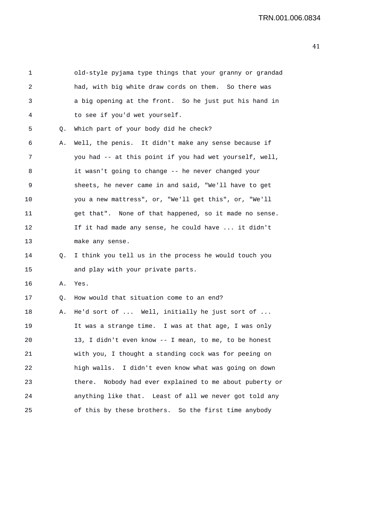| 1  |    | old-style pyjama type things that your granny or grandad   |
|----|----|------------------------------------------------------------|
| 2  |    | had, with big white draw cords on them. So there was       |
| 3  |    | a big opening at the front. So he just put his hand in     |
| 4  |    | to see if you'd wet yourself.                              |
| 5  | Q. | Which part of your body did he check?                      |
| 6  | Α. | Well, the penis. It didn't make any sense because if       |
| 7  |    | you had -- at this point if you had wet yourself, well,    |
| 8  |    | it wasn't going to change -- he never changed your         |
| 9  |    | sheets, he never came in and said, "We'll have to get      |
| 10 |    | you a new mattress", or, "We'll get this", or, "We'll      |
| 11 |    | get that". None of that happened, so it made no sense.     |
| 12 |    | If it had made any sense, he could have  it didn't         |
| 13 |    | make any sense.                                            |
| 14 | Q. | I think you tell us in the process he would touch you      |
| 15 |    | and play with your private parts.                          |
| 16 | Α. | Yes.                                                       |
| 17 | Q. | How would that situation come to an end?                   |
| 18 | Α. | He'd sort of  Well, initially he just sort of              |
| 19 |    | It was a strange time. I was at that age, I was only       |
| 20 |    | 13, I didn't even know -- I mean, to me, to be honest      |
| 21 |    | with you, I thought a standing cock was for peeing on      |
| 22 |    | high walls. I didn't even know what was going on down      |
| 23 |    | Nobody had ever explained to me about puberty or<br>there. |
| 24 |    | anything like that. Least of all we never got told any     |
| 25 |    | of this by these brothers. So the first time anybody       |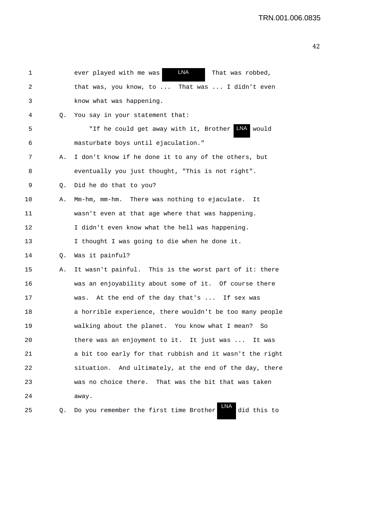| 1  |    | LNA<br>ever played with me was<br>That was robbed,           |
|----|----|--------------------------------------------------------------|
| 2  |    | That was  I didn't even<br>that was, you know, to $\ldots$   |
| 3  |    | know what was happening.                                     |
| 4  | Q. | You say in your statement that:                              |
| 5  |    | "If he could get away with it, Brother LNA would             |
| 6  |    | masturbate boys until ejaculation."                          |
| 7  | Α. | I don't know if he done it to any of the others, but         |
| 8  |    | eventually you just thought, "This is not right".            |
| 9  | Q. | Did he do that to you?                                       |
| 10 | Α. | Mm-hm, mm-hm. There was nothing to ejaculate.<br>It          |
| 11 |    | wasn't even at that age where that was happening.            |
| 12 |    | I didn't even know what the hell was happening.              |
| 13 |    | I thought I was going to die when he done it.                |
| 14 | Q. | Was it painful?                                              |
| 15 | Α. | It wasn't painful. This is the worst part of it: there       |
| 16 |    | was an enjoyability about some of it. Of course there        |
| 17 |    | At the end of the day that's  If sex was<br>was.             |
| 18 |    | a horrible experience, there wouldn't be too many people     |
| 19 |    | walking about the planet. You know what I mean?<br>So        |
| 20 |    | there was an enjoyment to it. It just was $\dots$<br>It was  |
| 21 |    | a bit too early for that rubbish and it wasn't the right     |
| 22 |    | situation. And ultimately, at the end of the day, there      |
| 23 |    | was no choice there. That was the bit that was taken         |
| 24 |    | away.                                                        |
| 25 | Q. | LNA<br>did this to<br>Do you remember the first time Brother |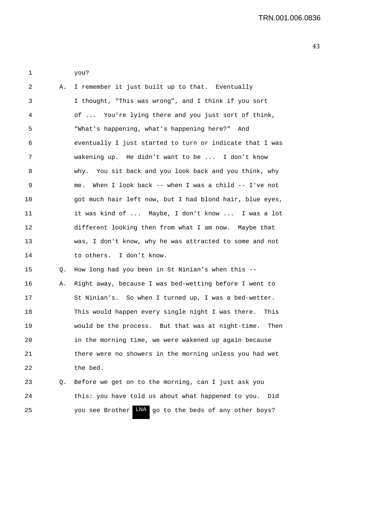| 2  | Α. | I remember it just built up to that. Eventually           |
|----|----|-----------------------------------------------------------|
| 3  |    | I thought, "This was wrong", and I think if you sort      |
| 4  |    | of  You're lying there and you just sort of think,        |
| 5  |    | "What's happening, what's happening here?" And            |
| 6  |    | eventually I just started to turn or indicate that I was  |
| 7  |    | wakening up. He didn't want to be  I don't know           |
| 8  |    | why. You sit back and you look back and you think, why    |
| 9  |    | When I look back -- when I was a child -- I've not<br>me. |
| 10 |    | got much hair left now, but I had blond hair, blue eyes,  |
| 11 |    | it was kind of  Maybe, I don't know  I was a lot          |
| 12 |    | different looking then from what I am now. Maybe that     |
| 13 |    | was, I don't know, why he was attracted to some and not   |
| 14 |    | to others. I don't know.                                  |
| 15 | Q. | How long had you been in St Ninian's when this --         |
| 16 | Α. | Right away, because I was bed-wetting before I went to    |
| 17 |    | St Ninian's. So when I turned up, I was a bed-wetter.     |
| 18 |    | This would happen every single night I was there. This    |
| 19 |    | would be the process. But that was at night-time.<br>Then |
| 20 |    | in the morning time, we were wakened up again because     |
| 21 |    | there were no showers in the morning unless you had wet   |
| 22 |    | the bed.                                                  |
| 23 | Q. | Before we get on to the morning, can I just ask you       |
| 24 |    | this: you have told us about what happened to you.<br>Did |

25 You see Brother LNA go to the beds of any other boys?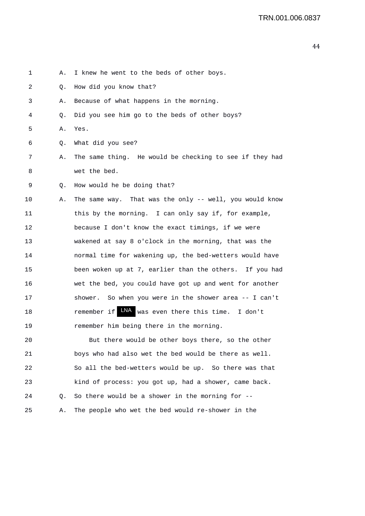1 A. I knew he went to the beds of other boys. 2 Q. How did you know that? 3 A. Because of what happens in the morning. 4 Q. Did you see him go to the beds of other boys? 5 A. Yes. 6 Q. What did you see? 7 A. The same thing. He would be checking to see if they had 8 wet the bed. 9 Q. How would he be doing that? 10 A. The same way. That was the only -- well, you would know 11 this by the morning. I can only say if, for example, 12 because I don't know the exact timings, if we were 13 wakened at say 8 o'clock in the morning, that was the 14 normal time for wakening up, the bed-wetters would have 15 been woken up at 7, earlier than the others. If you had 16 wet the bed, you could have got up and went for another 17 shower. So when you were in the shower area -- I can't 18 **remember if LNA** was even there this time. I don't 19 remember him being there in the morning. 20 But there would be other boys there, so the other

21 boys who had also wet the bed would be there as well. 22 So all the bed-wetters would be up. So there was that 23 kind of process: you got up, had a shower, came back. 24 Q. So there would be a shower in the morning for -- 25 A. The people who wet the bed would re-shower in the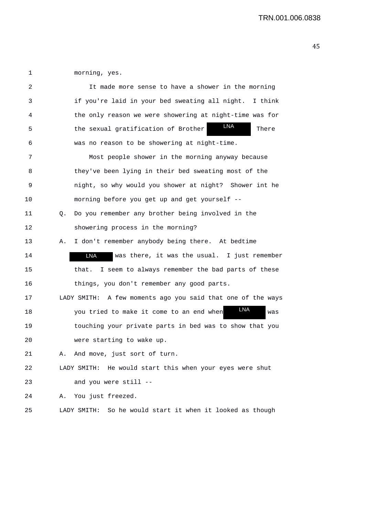1 morning, yes.

| 2  |    | It made more sense to have a shower in the morning           |
|----|----|--------------------------------------------------------------|
| 3  |    | if you're laid in your bed sweating all night.<br>I think    |
| 4  |    | the only reason we were showering at night-time was for      |
| 5  |    | LNA<br>the sexual gratification of Brother<br>There          |
| 6  |    | was no reason to be showering at night-time.                 |
| 7  |    | Most people shower in the morning anyway because             |
| 8  |    | they've been lying in their bed sweating most of the         |
| 9  |    | night, so why would you shower at night? Shower int he       |
| 10 |    | morning before you get up and get yourself --                |
| 11 | Q. | Do you remember any brother being involved in the            |
| 12 |    | showering process in the morning?                            |
| 13 | Α. | I don't remember anybody being there. At bedtime             |
| 14 |    | LNA<br>was there, it was the usual. I just remember          |
| 15 |    | I seem to always remember the bad parts of these<br>that.    |
| 16 |    | things, you don't remember any good parts.                   |
| 17 |    | LADY SMITH: A few moments ago you said that one of the ways  |
| 18 |    | LNA<br>you tried to make it come to an end when<br>was       |
| 19 |    | touching your private parts in bed was to show that you      |
| 20 |    | were starting to wake up.                                    |
| 21 | Α. | And move, just sort of turn.                                 |
| 22 |    | LADY SMITH: He would start this when your eyes were shut     |
| 23 |    | and you were still --                                        |
| 24 | Α. | You just freezed.                                            |
| 25 |    | LADY SMITH:<br>So he would start it when it looked as though |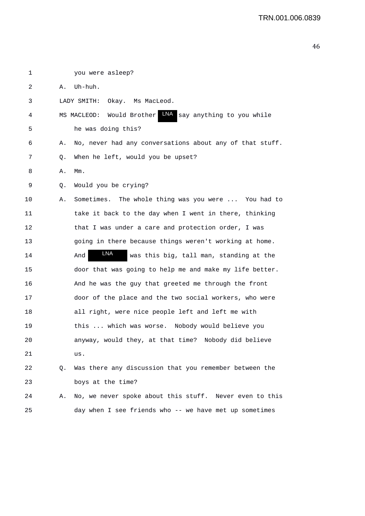| 1  |    | you were asleep?                                             |
|----|----|--------------------------------------------------------------|
| 2  | Α. | Uh-huh.                                                      |
| 3  |    | Okay. Ms MacLeod.<br>LADY SMITH:                             |
| 4  |    | LNA say anything to you while<br>MS MACLEOD: Would Brother   |
| 5  |    | he was doing this?                                           |
| 6  | Α. | No, never had any conversations about any of that stuff.     |
| 7  | Q. | When he left, would you be upset?                            |
| 8  | Α. | Mm.                                                          |
| 9  | Q. | Would you be crying?                                         |
| 10 | Α. | Sometimes. The whole thing was you were  You had to          |
| 11 |    | take it back to the day when I went in there, thinking       |
| 12 |    | that I was under a care and protection order, I was          |
| 13 |    | going in there because things weren't working at home.       |
| 14 |    | <b>LNA</b><br>was this big, tall man, standing at the<br>And |
| 15 |    | door that was going to help me and make my life better.      |
| 16 |    | And he was the guy that greeted me through the front         |
| 17 |    | door of the place and the two social workers, who were       |
| 18 |    | all right, were nice people left and left me with            |
| 19 |    | this  which was worse. Nobody would believe you              |
| 20 |    | would they, at that time? Nobody did believe<br>anyway,      |
| 21 |    | us.                                                          |
| 22 | Q. | Was there any discussion that you remember between the       |
| 23 |    | boys at the time?                                            |
| 24 | Α. | No, we never spoke about this stuff. Never even to this      |
| 25 |    | day when I see friends who -- we have met up sometimes       |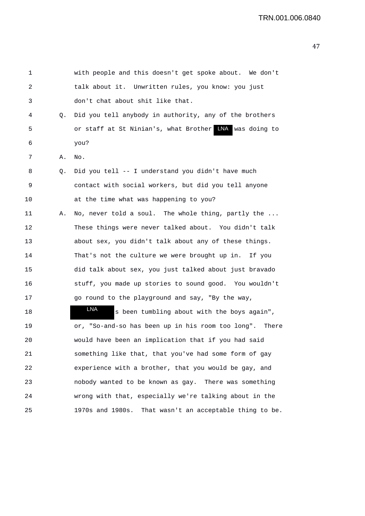| 1  |    | with people and this doesn't get spoke about. We don't     |
|----|----|------------------------------------------------------------|
| 2  |    | talk about it. Unwritten rules, you know: you just         |
| 3  |    | don't chat about shit like that.                           |
| 4  | Q. | Did you tell anybody in authority, any of the brothers     |
| 5  |    | or staff at St Ninian's, what Brother MA was doing to      |
| 6  |    | you?                                                       |
| 7  | Α. | No.                                                        |
| 8  | Q. | Did you tell -- I understand you didn't have much          |
| 9  |    | contact with social workers, but did you tell anyone       |
| 10 |    | at the time what was happening to you?                     |
| 11 | Α. | No, never told a soul. The whole thing, partly the         |
| 12 |    | These things were never talked about. You didn't talk      |
| 13 |    | about sex, you didn't talk about any of these things.      |
| 14 |    | That's not the culture we were brought up in. If you       |
| 15 |    | did talk about sex, you just talked about just bravado     |
| 16 |    | stuff, you made up stories to sound good. You wouldn't     |
| 17 |    | go round to the playground and say, "By the way,           |
| 18 |    | LNA<br>s been tumbling about with the boys again",         |
| 19 |    | or, "So-and-so has been up in his room too long". There    |
| 20 |    | would have been an implication that if you had said        |
| 21 |    | something like that, that you've had some form of gay      |
| 22 |    | experience with a brother, that you would be gay, and      |
| 23 |    | nobody wanted to be known as gay. There was something      |
| 24 |    | wrong with that, especially we're talking about in the     |
| 25 |    | That wasn't an acceptable thing to be.<br>1970s and 1980s. |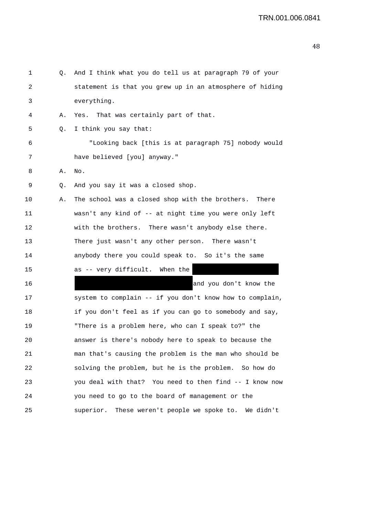| 1  | Q. | And I think what you do tell us at paragraph 79 of your  |
|----|----|----------------------------------------------------------|
| 2  |    | statement is that you grew up in an atmosphere of hiding |
| 3  |    | everything.                                              |
| 4  | Α. | Yes. That was certainly part of that.                    |
| 5  | Q. | I think you say that:                                    |
| 6  |    | "Looking back [this is at paragraph 75] nobody would     |
| 7  |    | have believed [you] anyway."                             |
| 8  | Α. | No.                                                      |
| 9  | Q. | And you say it was a closed shop.                        |
| 10 | Α. | The school was a closed shop with the brothers. There    |
| 11 |    | wasn't any kind of -- at night time you were only left   |
| 12 |    | with the brothers. There wasn't anybody else there.      |
| 13 |    | There just wasn't any other person. There wasn't         |
| 14 |    | anybody there you could speak to. So it's the same       |
| 15 |    | as -- very difficult. When the                           |
| 16 |    | and you don't know the                                   |
| 17 |    | system to complain -- if you don't know how to complain, |
| 18 |    | if you don't feel as if you can go to somebody and say,  |
| 19 |    | "There is a problem here, who can I speak to?" the       |
| 20 |    | answer is there's nobody here to speak to because the    |
| 21 |    | man that's causing the problem is the man who should be  |
| 22 |    | solving the problem, but he is the problem. So how do    |
| 23 |    | you deal with that? You need to then find -- I know now  |
| 24 |    | you need to go to the board of management or the         |
| 25 |    | superior.<br>These weren't people we spoke to. We didn't |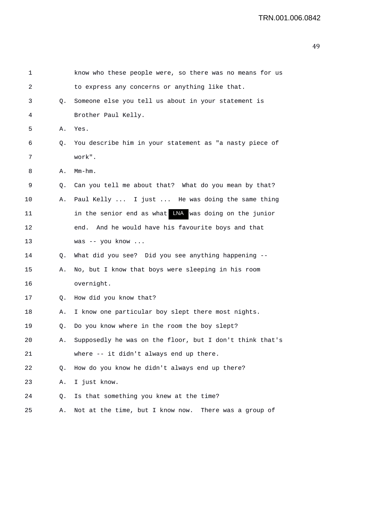| $\mathbf 1$ |    | know who these people were, so there was no means for us |
|-------------|----|----------------------------------------------------------|
| 2           |    | to express any concerns or anything like that.           |
| 3           | Q. | Someone else you tell us about in your statement is      |
| 4           |    | Brother Paul Kelly.                                      |
| 5           | Α. | Yes.                                                     |
| 6           | Q. | You describe him in your statement as "a nasty piece of  |
| 7           |    | work".                                                   |
| 8           | Α. | $Mm-hm$ .                                                |
| 9           | Q. | Can you tell me about that? What do you mean by that?    |
| 10          | Α. | Paul Kelly  I just  He was doing the same thing          |
| 11          |    | in the senior end as what WA was doing on the junior     |
| 12          |    | And he would have his favourite boys and that<br>end.    |
| 13          |    | was -- you know                                          |
| 14          | Q. | What did you see? Did you see anything happening --      |
| 15          | Α. | No, but I know that boys were sleeping in his room       |
| 16          |    | overnight.                                               |
| 17          | Q. | How did you know that?                                   |
| 18          | Α. | I know one particular boy slept there most nights.       |
| 19          | Q. | Do you know where in the room the boy slept?             |
| 20          | Α. | Supposedly he was on the floor, but I don't think that's |
| 21          |    | where -- it didn't always end up there.                  |
| 22          | Q. | How do you know he didn't always end up there?           |
| 23          | Α. | I just know.                                             |
| 24          | Q. | Is that something you knew at the time?                  |
| 25          | Α. | Not at the time, but I know now. There was a group of    |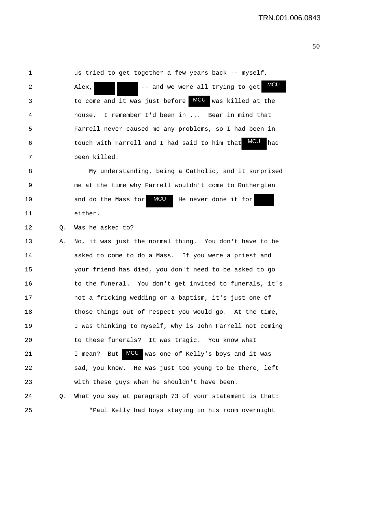1 us tried to get together a few years back -- myself, 2 Alex,  $\overline{a}$  -- and we were all trying to get 3 to come and it was just before **MCU** was killed at the 4 house. I remember I'd been in ... Bear in mind that 5 Farrell never caused me any problems, so I had been in 6 touch with Farrell and I had said to him that MCU had 7 been killed. 8 My understanding, being a Catholic, and it surprised 9 me at the time why Farrell wouldn't come to Rutherglen 10 and do the Mass for **MCU** He never done it for 11 either. 12 Q. Was he asked to? 13 A. No, it was just the normal thing. You don't have to be 14 asked to come to do a Mass. If you were a priest and 15 your friend has died, you don't need to be asked to go 16 to the funeral. You don't get invited to funerals, it's 17 not a fricking wedding or a baptism, it's just one of 18 those things out of respect you would go. At the time, 19 I was thinking to myself, why is John Farrell not coming 20 to these funerals? It was tragic. You know what 21 1 mean? But MCU was one of Kelly's boys and it was 22 sad, you know. He was just too young to be there, left 23 with these guys when he shouldn't have been. 24 Q. What you say at paragraph 73 of your statement is that: 25 "Paul Kelly had boys staying in his room overnight MCU **MCU**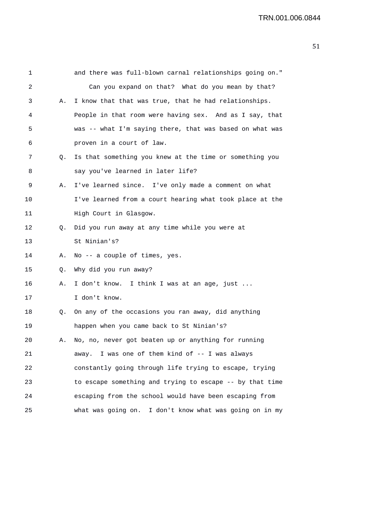| 1       |    | and there was full-blown carnal relationships going on." |
|---------|----|----------------------------------------------------------|
| 2       |    | Can you expand on that? What do you mean by that?        |
| 3       | Α. | I know that that was true, that he had relationships.    |
| 4       |    | People in that room were having sex. And as I say, that  |
| 5       |    | was -- what I'm saying there, that was based on what was |
| 6       |    | proven in a court of law.                                |
| 7       | Q. | Is that something you knew at the time or something you  |
| 8       |    | say you've learned in later life?                        |
| 9       | Α. | I've learned since. I've only made a comment on what     |
| $10 \,$ |    | I've learned from a court hearing what took place at the |
| 11      |    | High Court in Glasgow.                                   |
| 12      | Q. | Did you run away at any time while you were at           |
| 13      |    | St Ninian's?                                             |
| 14      | Α. | No -- a couple of times, yes.                            |
| 15      | Q. | Why did you run away?                                    |
| 16      | Α. | I don't know. I think I was at an age, just              |
| 17      |    | I don't know.                                            |
| 18      | Q. | On any of the occasions you ran away, did anything       |
| 19      |    | happen when you came back to St Ninian's?                |
| 20      | Α. | No, no, never got beaten up or anything for running      |
| 21      |    | away. I was one of them kind of -- I was always          |
| 22      |    | constantly going through life trying to escape, trying   |
| 23      |    | to escape something and trying to escape -- by that time |
| 24      |    | escaping from the school would have been escaping from   |
| 25      |    | what was going on. I don't know what was going on in my  |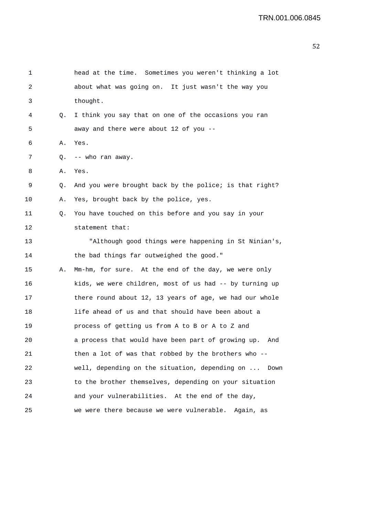| 1  |    | head at the time. Sometimes you weren't thinking a lot    |
|----|----|-----------------------------------------------------------|
| 2  |    | about what was going on. It just wasn't the way you       |
| 3  |    | thought.                                                  |
| 4  | Q. | I think you say that on one of the occasions you ran      |
| 5  |    | away and there were about 12 of you --                    |
| 6  | Α. | Yes.                                                      |
| 7  | Q. | -- who ran away.                                          |
| 8  | Α. | Yes.                                                      |
| 9  | Q. | And you were brought back by the police; is that right?   |
| 10 | Α. | Yes, brought back by the police, yes.                     |
| 11 | Q. | You have touched on this before and you say in your       |
| 12 |    | statement that:                                           |
| 13 |    | "Although good things were happening in St Ninian's,      |
| 14 |    | the bad things far outweighed the good."                  |
| 15 | А. | Mm-hm, for sure. At the end of the day, we were only      |
| 16 |    | kids, we were children, most of us had -- by turning up   |
| 17 |    | there round about 12, 13 years of age, we had our whole   |
| 18 |    | life ahead of us and that should have been about a        |
| 19 |    | process of getting us from A to B or A to Z and           |
| 20 |    | a process that would have been part of growing up.<br>And |
| 21 |    | then a lot of was that robbed by the brothers who --      |
| 22 |    | well, depending on the situation, depending on<br>Down    |
| 23 |    | to the brother themselves, depending on your situation    |
| 24 |    | and your vulnerabilities. At the end of the day,          |
| 25 |    | we were there because we were vulnerable.<br>Again, as    |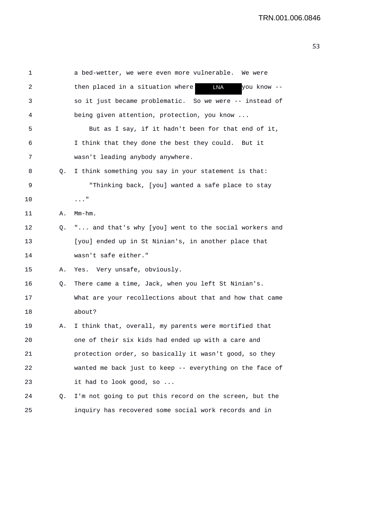| 1  |    | a bed-wetter, we were even more vulnerable. We were           |
|----|----|---------------------------------------------------------------|
| 2  |    | <b>LNA</b><br>then placed in a situation where<br>you know -- |
| 3  |    | so it just became problematic. So we were -- instead of       |
| 4  |    | being given attention, protection, you know                   |
| 5  |    | But as I say, if it hadn't been for that end of it,           |
| 6  |    | I think that they done the best they could. But it            |
| 7  |    | wasn't leading anybody anywhere.                              |
| 8  | Q. | I think something you say in your statement is that:          |
| 9  |    | "Thinking back, [you] wanted a safe place to stay             |
| 10 |    | . "                                                           |
| 11 | Α. | $Mm-hm$ .                                                     |
| 12 | Q. | " and that's why [you] went to the social workers and         |
| 13 |    | [you] ended up in St Ninian's, in another place that          |
| 14 |    | wasn't safe either."                                          |
| 15 | Α. | Yes. Very unsafe, obviously.                                  |
| 16 | Q. | There came a time, Jack, when you left St Ninian's.           |
| 17 |    | What are your recollections about that and how that came      |
| 18 |    | about?                                                        |
| 19 | Α. | I think that, overall, my parents were mortified that         |
| 20 |    | one of their six kids had ended up with a care and            |
| 21 |    | protection order, so basically it wasn't good, so they        |
| 22 |    | wanted me back just to keep -- everything on the face of      |
| 23 |    | it had to look good, so                                       |
| 24 | Q. | I'm not going to put this record on the screen, but the       |
| 25 |    | inquiry has recovered some social work records and in         |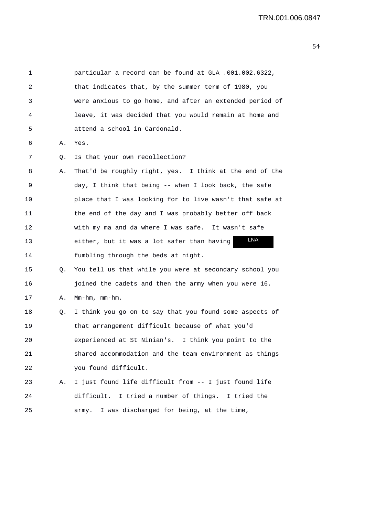| 1  |    | particular a record can be found at GLA .001.002.6322,   |
|----|----|----------------------------------------------------------|
| 2  |    | that indicates that, by the summer term of 1980, you     |
| 3  |    | were anxious to go home, and after an extended period of |
| 4  |    | leave, it was decided that you would remain at home and  |
| 5  |    | attend a school in Cardonald.                            |
| 6  | Α. | Yes.                                                     |
| 7  | Q. | Is that your own recollection?                           |
| 8  | Α. | That'd be roughly right, yes. I think at the end of the  |
| 9  |    | day, I think that being -- when I look back, the safe    |
| 10 |    | place that I was looking for to live wasn't that safe at |
| 11 |    | the end of the day and I was probably better off back    |
| 12 |    | with my ma and da where I was safe. It wasn't safe       |
| 13 |    | <b>LNA</b><br>either, but it was a lot safer than having |
| 14 |    | fumbling through the beds at night.                      |
| 15 | Q. | You tell us that while you were at secondary school you  |
| 16 |    | joined the cadets and then the army when you were 16.    |
| 17 | Α. | $Mm-hm$ , $mm-hm$ .                                      |
| 18 | Q. | I think you go on to say that you found some aspects of  |
| 19 |    | that arrangement difficult because of what you'd         |
| 20 |    | experienced at St Ninian's. I think you point to the     |
| 21 |    | shared accommodation and the team environment as things  |
| 22 |    | you found difficult.                                     |
| 23 | Α. | I just found life difficult from -- I just found life    |
| 24 |    | difficult. I tried a number of things. I tried the       |
| 25 |    | I was discharged for being, at the time,<br>army.        |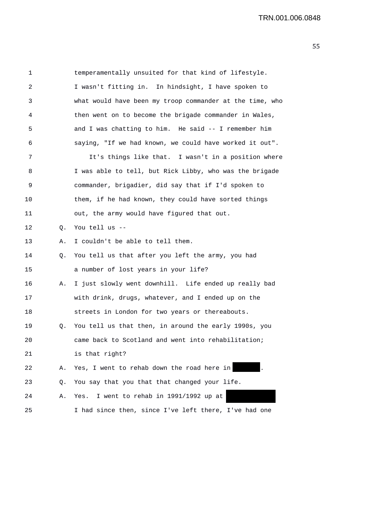| 1  |    | temperamentally unsuited for that kind of lifestyle.     |
|----|----|----------------------------------------------------------|
| 2  |    | I wasn't fitting in. In hindsight, I have spoken to      |
| 3  |    | what would have been my troop commander at the time, who |
| 4  |    | then went on to become the brigade commander in Wales,   |
| 5  |    | and I was chatting to him. He said -- I remember him     |
| 6  |    | saying, "If we had known, we could have worked it out".  |
| 7  |    | It's things like that. I wasn't in a position where      |
| 8  |    | I was able to tell, but Rick Libby, who was the brigade  |
| 9  |    | commander, brigadier, did say that if I'd spoken to      |
| 10 |    | them, if he had known, they could have sorted things     |
| 11 |    | out, the army would have figured that out.               |
| 12 | Q. | You tell us --                                           |
| 13 | Α. | I couldn't be able to tell them.                         |
| 14 | Q. | You tell us that after you left the army, you had        |
| 15 |    | a number of lost years in your life?                     |
| 16 | Α. | I just slowly went downhill. Life ended up really bad    |
| 17 |    | with drink, drugs, whatever, and I ended up on the       |
| 18 |    | streets in London for two years or thereabouts.          |
| 19 | Q. | You tell us that then, in around the early 1990s, you    |
| 20 |    | came back to Scotland and went into rehabilitation;      |
| 21 |    | is that right?                                           |
| 22 | Α. | Yes, I went to rehab down the road here in               |
| 23 | Q. | You say that you that that changed your life.            |
| 24 | Α. | I went to rehab in 1991/1992 up at<br>Yes.               |
| 25 |    | I had since then, since I've left there, I've had one    |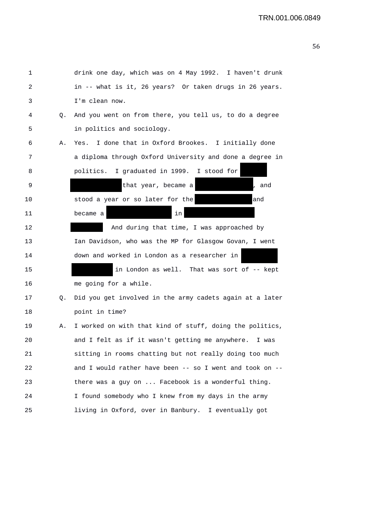| 1  |    | drink one day, which was on 4 May 1992. I haven't drunk  |
|----|----|----------------------------------------------------------|
| 2  |    | in -- what is it, 26 years? Or taken drugs in 26 years.  |
| 3  |    | I'm clean now.                                           |
| 4  | Q. | And you went on from there, you tell us, to do a degree  |
| 5  |    | in politics and sociology.                               |
| 6  | Α. | I done that in Oxford Brookes. I initially done<br>Yes.  |
| 7  |    | a diploma through Oxford University and done a degree in |
| 8  |    | politics. I graduated in 1999. I stood for               |
| 9  |    | that year, became a<br>, and                             |
| 10 |    | stood a year or so later for the<br>and                  |
| 11 |    | in<br>became a                                           |
| 12 |    | And during that time, I was approached by                |
| 13 |    | Ian Davidson, who was the MP for Glasgow Govan, I went   |
| 14 |    | down and worked in London as a researcher in             |
| 15 |    | in London as well. That was sort of -- kept              |
| 16 |    | me going for a while.                                    |
| 17 | Q. | Did you get involved in the army cadets again at a later |
| 18 |    | point in time?                                           |
| 19 | Α. | I worked on with that kind of stuff, doing the politics, |
| 20 |    | and I felt as if it wasn't getting me anywhere.<br>I was |
| 21 |    | sitting in rooms chatting but not really doing too much  |
| 22 |    | and I would rather have been -- so I went and took on -- |
| 23 |    | there was a guy on  Facebook is a wonderful thing.       |
| 24 |    | I found somebody who I knew from my days in the army     |
| 25 |    | living in Oxford, over in Banbury. I eventually got      |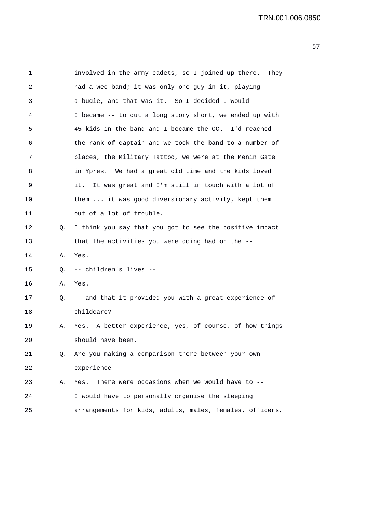| 1  |    | involved in the army cadets, so I joined up there. They   |
|----|----|-----------------------------------------------------------|
| 2  |    | had a wee band; it was only one guy in it, playing        |
| 3  |    | a bugle, and that was it. So I decided I would --         |
| 4  |    | I became -- to cut a long story short, we ended up with   |
| 5  |    | 45 kids in the band and I became the OC. I'd reached      |
| 6  |    | the rank of captain and we took the band to a number of   |
| 7  |    | places, the Military Tattoo, we were at the Menin Gate    |
| 8  |    | in Ypres. We had a great old time and the kids loved      |
| 9  |    | It was great and I'm still in touch with a lot of<br>it.  |
| 10 |    | them  it was good diversionary activity, kept them        |
| 11 |    | out of a lot of trouble.                                  |
| 12 | Q. | I think you say that you got to see the positive impact   |
| 13 |    | that the activities you were doing had on the --          |
| 14 | Α. | Yes.                                                      |
| 15 | Q. | -- children's lives --                                    |
| 16 | Α. | Yes.                                                      |
| 17 |    | Q. -- and that it provided you with a great experience of |
| 18 |    | childcare?                                                |
| 19 | Α. | Yes. A better experience, yes, of course, of how things   |
| 20 |    | should have been.                                         |
| 21 | Q. | Are you making a comparison there between your own        |
| 22 |    | experience --                                             |
| 23 | Α. | There were occasions when we would have to --<br>Yes.     |
| 24 |    | I would have to personally organise the sleeping          |
| 25 |    | arrangements for kids, adults, males, females, officers,  |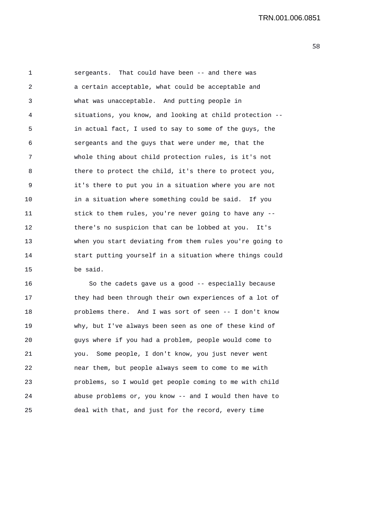1 sergeants. That could have been -- and there was 2 a certain acceptable, what could be acceptable and 3 what was unacceptable. And putting people in 4 situations, you know, and looking at child protection -- 5 in actual fact, I used to say to some of the guys, the 6 sergeants and the guys that were under me, that the 7 whole thing about child protection rules, is it's not 8 there to protect the child, it's there to protect you, 9 it's there to put you in a situation where you are not 10 in a situation where something could be said. If you 11 stick to them rules, you're never going to have any -- 12 there's no suspicion that can be lobbed at you. It's 13 when you start deviating from them rules you're going to 14 start putting yourself in a situation where things could 15 be said.

16 So the cadets gave us a good -- especially because 17 they had been through their own experiences of a lot of 18 problems there. And I was sort of seen -- I don't know 19 why, but I've always been seen as one of these kind of 20 guys where if you had a problem, people would come to 21 you. Some people, I don't know, you just never went 22 near them, but people always seem to come to me with 23 problems, so I would get people coming to me with child 24 abuse problems or, you know -- and I would then have to 25 deal with that, and just for the record, every time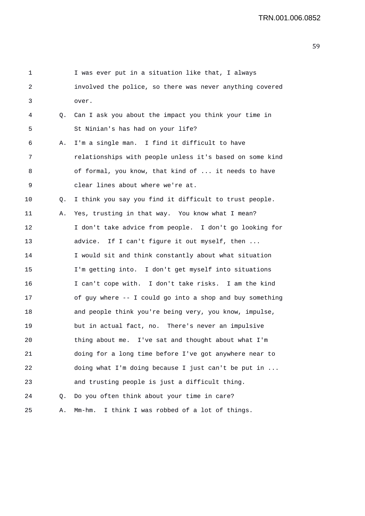| 1  |    | I was ever put in a situation like that, I always        |
|----|----|----------------------------------------------------------|
| 2  |    | involved the police, so there was never anything covered |
| 3  |    | over.                                                    |
| 4  | Q. | Can I ask you about the impact you think your time in    |
| 5  |    | St Ninian's has had on your life?                        |
| 6  | Α. | I'm a single man. I find it difficult to have            |
| 7  |    | relationships with people unless it's based on some kind |
| 8  |    | of formal, you know, that kind of  it needs to have      |
| 9  |    | clear lines about where we're at.                        |
| 10 | Q. | I think you say you find it difficult to trust people.   |
| 11 | Α. | Yes, trusting in that way. You know what I mean?         |
| 12 |    | I don't take advice from people. I don't go looking for  |
| 13 |    | advice. If I can't figure it out myself, then            |
| 14 |    | I would sit and think constantly about what situation    |
| 15 |    | I'm getting into. I don't get myself into situations     |
| 16 |    | I can't cope with. I don't take risks. I am the kind     |
| 17 |    | of guy where -- I could go into a shop and buy something |
| 18 |    | and people think you're being very, you know, impulse,   |
| 19 |    | but in actual fact, no. There's never an impulsive       |
| 20 |    | thing about me. I've sat and thought about what I'm      |
| 21 |    | doing for a long time before I've got anywhere near to   |
| 22 |    | doing what I'm doing because I just can't be put in      |
| 23 |    | and trusting people is just a difficult thing.           |
| 24 | Q. | Do you often think about your time in care?              |
| 25 | Α. | I think I was robbed of a lot of things.<br>Mm-hm.       |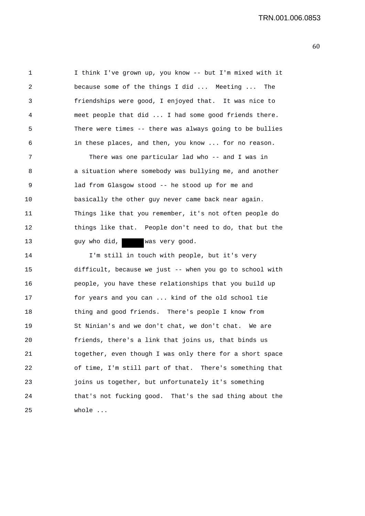1 I think I've grown up, you know -- but I'm mixed with it 2 because some of the things I did ... Meeting ... The 3 friendships were good, I enjoyed that. It was nice to 4 meet people that did ... I had some good friends there. 5 There were times -- there was always going to be bullies 6 in these places, and then, you know ... for no reason.

7 There was one particular lad who -- and I was in 8 a situation where somebody was bullying me, and another 9 lad from Glasgow stood -- he stood up for me and 10 basically the other guy never came back near again. 11 Things like that you remember, it's not often people do 12 things like that. People don't need to do, that but the 13 guy who did, was very good.

14 I'm still in touch with people, but it's very 15 difficult, because we just -- when you go to school with 16 people, you have these relationships that you build up 17 for years and you can ... kind of the old school tie 18 thing and good friends. There's people I know from 19 St Ninian's and we don't chat, we don't chat. We are 20 friends, there's a link that joins us, that binds us 21 together, even though I was only there for a short space 22 of time, I'm still part of that. There's something that 23 joins us together, but unfortunately it's something 24 that's not fucking good. That's the sad thing about the 25 whole ...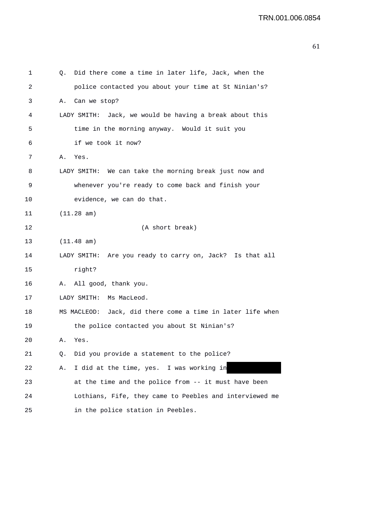| 1  | Q. | Did there come a time in later life, Jack, when the        |
|----|----|------------------------------------------------------------|
| 2  |    | police contacted you about your time at St Ninian's?       |
| 3  | Α. | Can we stop?                                               |
| 4  |    | LADY SMITH: Jack, we would be having a break about this    |
| 5  |    | time in the morning anyway. Would it suit you              |
| 6  |    | if we took it now?                                         |
| 7  | Α. | Yes.                                                       |
| 8  |    | LADY SMITH: We can take the morning break just now and     |
| 9  |    | whenever you're ready to come back and finish your         |
| 10 |    | evidence, we can do that.                                  |
| 11 |    | (11.28 am)                                                 |
| 12 |    | (A short break)                                            |
| 13 |    | (11.48 am)                                                 |
| 14 |    | LADY SMITH: Are you ready to carry on, Jack? Is that all   |
| 15 |    | right?                                                     |
| 16 | Α. | All good, thank you.                                       |
| 17 |    | LADY SMITH:<br>Ms MacLeod.                                 |
| 18 |    | MS MACLEOD: Jack, did there come a time in later life when |
| 19 |    | the police contacted you about St Ninian's?                |
| 20 | Α. | Yes.                                                       |
| 21 | Q. | Did you provide a statement to the police?                 |
| 22 | Α. | I did at the time, yes. I was working in                   |
| 23 |    | at the time and the police from -- it must have been       |
| 24 |    | Lothians, Fife, they came to Peebles and interviewed me    |
| 25 |    | in the police station in Peebles.                          |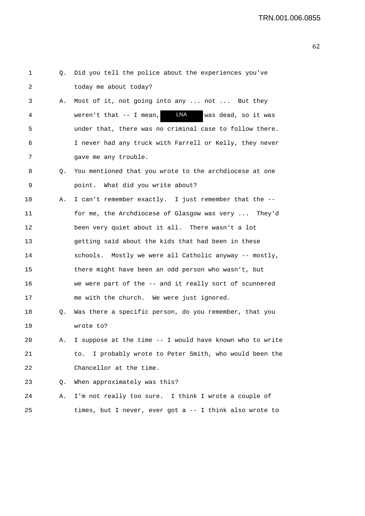| 1  | Q. | Did you tell the police about the experiences you've           |
|----|----|----------------------------------------------------------------|
| 2  |    | today me about today?                                          |
| 3  | Α. | Most of it, not going into any  not  But they                  |
| 4  |    | <b>LNA</b><br>weren't that $--$ I mean,<br>was dead, so it was |
| 5  |    | under that, there was no criminal case to follow there.        |
| 6  |    | I never had any truck with Farrell or Kelly, they never        |
| 7  |    | gave me any trouble.                                           |
| 8  | Q. | You mentioned that you wrote to the archdiocese at one         |
| 9  |    | point. What did you write about?                               |
| 10 | Α. | I can't remember exactly. I just remember that the --          |
| 11 |    | for me, the Archdiocese of Glasgow was very  They'd            |
| 12 |    | been very quiet about it all. There wasn't a lot               |
| 13 |    | getting said about the kids that had been in these             |
| 14 |    | schools. Mostly we were all Catholic anyway -- mostly,         |
| 15 |    | there might have been an odd person who wasn't, but            |
| 16 |    | we were part of the -- and it really sort of scunnered         |
| 17 |    | me with the church. We were just ignored.                      |
| 18 | Q. | Was there a specific person, do you remember, that you         |
| 19 |    | wrote to?                                                      |
| 20 | Α. | I suppose at the time -- I would have known who to write       |
| 21 |    | to. I probably wrote to Peter Smith, who would been the        |
| 22 |    | Chancellor at the time.                                        |
| 23 | Q. | When approximately was this?                                   |
| 24 | Α. | I'm not really too sure. I think I wrote a couple of           |
| 25 |    | times, but I never, ever got a -- I think also wrote to        |
|    |    |                                                                |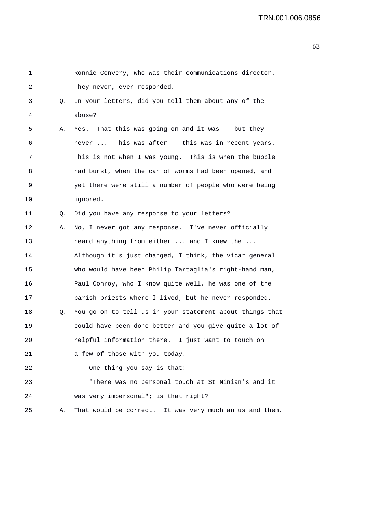| 1  |    | Ronnie Convery, who was their communications director.   |
|----|----|----------------------------------------------------------|
| 2  |    | They never, ever responded.                              |
| 3  | Q. | In your letters, did you tell them about any of the      |
| 4  |    | abuse?                                                   |
| 5  | Α. | Yes. That this was going on and it was -- but they       |
| 6  |    | never  This was after -- this was in recent years.       |
| 7  |    | This is not when I was young. This is when the bubble    |
| 8  |    | had burst, when the can of worms had been opened, and    |
| 9  |    | yet there were still a number of people who were being   |
| 10 |    | ignored.                                                 |
| 11 | Q. | Did you have any response to your letters?               |
| 12 | Α. | No, I never got any response. I've never officially      |
| 13 |    | heard anything from either  and I knew the               |
| 14 |    | Although it's just changed, I think, the vicar general   |
| 15 |    | who would have been Philip Tartaglia's right-hand man,   |
| 16 |    | Paul Conroy, who I know quite well, he was one of the    |
| 17 |    | parish priests where I lived, but he never responded.    |
| 18 | Q. | You go on to tell us in your statement about things that |
| 19 |    | could have been done better and you give quite a lot of  |
| 20 |    | helpful information there. I just want to touch on       |
| 21 |    | a few of those with you today.                           |
| 22 |    | One thing you say is that:                               |
| 23 |    | "There was no personal touch at St Ninian's and it       |
| 24 |    | was very impersonal"; is that right?                     |
| 25 | Α. | That would be correct. It was very much an us and them.  |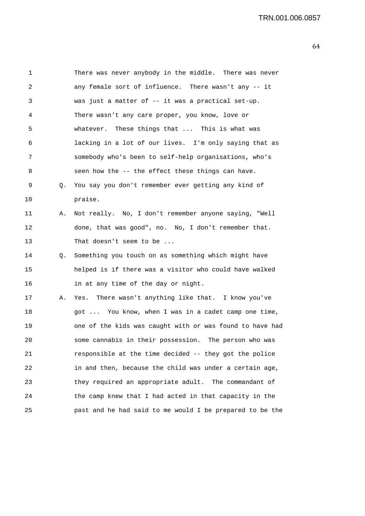| 1       |    | There was never anybody in the middle. There was never   |
|---------|----|----------------------------------------------------------|
| 2       |    | any female sort of influence. There wasn't any -- it     |
| 3       |    | was just a matter of -- it was a practical set-up.       |
| 4       |    | There wasn't any care proper, you know, love or          |
| 5       |    | whatever. These things that  This is what was            |
| 6       |    | lacking in a lot of our lives. I'm only saying that as   |
| 7       |    | somebody who's been to self-help organisations, who's    |
| 8       |    | seen how the -- the effect these things can have.        |
| 9       | Q. | You say you don't remember ever getting any kind of      |
| $10 \,$ |    | praise.                                                  |
| 11      | Α. | Not really. No, I don't remember anyone saying, "Well    |
| 12      |    | done, that was good", no. No, I don't remember that.     |
| 13      |    | That doesn't seem to be                                  |
| 14      | Q. | Something you touch on as something which might have     |
| 15      |    | helped is if there was a visitor who could have walked   |
| 16      |    | in at any time of the day or night.                      |
| 17      | Α. | Yes. There wasn't anything like that. I know you've      |
| 18      |    | got  You know, when I was in a cadet camp one time,      |
| 19      |    | one of the kids was caught with or was found to have had |
| 20      |    | some cannabis in their possession. The person who was    |
| 21      |    | responsible at the time decided -- they got the police   |
| 22      |    | in and then, because the child was under a certain age,  |
| 23      |    | they required an appropriate adult. The commandant of    |
| 24      |    | the camp knew that I had acted in that capacity in the   |
| 25      |    | past and he had said to me would I be prepared to be the |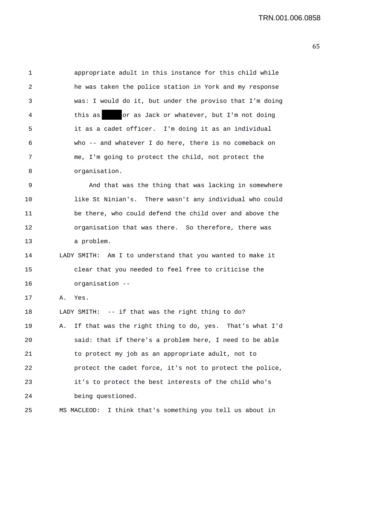| $\mathbf 1$ | appropriate adult in this instance for this child while       |
|-------------|---------------------------------------------------------------|
| 2           | he was taken the police station in York and my response       |
| 3           | was: I would do it, but under the proviso that I'm doing      |
| 4           | or as Jack or whatever, but I'm not doing<br>this as          |
| 5           | it as a cadet officer. I'm doing it as an individual          |
| 6           | who -- and whatever I do here, there is no comeback on        |
| 7           | me, I'm going to protect the child, not protect the           |
| 8           | organisation.                                                 |
| 9           | And that was the thing that was lacking in somewhere          |
| 10          | like St Ninian's. There wasn't any individual who could       |
| 11          | be there, who could defend the child over and above the       |
| 12          | organisation that was there. So therefore, there was          |
| 13          | a problem.                                                    |
| 14          | LADY SMITH: Am I to understand that you wanted to make it     |
| 15          | clear that you needed to feel free to criticise the           |
| 16          | organisation --                                               |
| 17          | Yes.<br>Α.                                                    |
| 18          | LADY SMITH: -- if that was the right thing to do?             |
| 19          | If that was the right thing to do, yes. That's what I'd<br>Α. |
| 20          | said: that if there's a problem here, I need to be able       |
| 21          | to protect my job as an appropriate adult, not to             |
| 22          | protect the cadet force, it's not to protect the police,      |
| 23          | it's to protect the best interests of the child who's         |
| 24          | being questioned.                                             |
| 25          | MS MACLEOD: I think that's something you tell us about in     |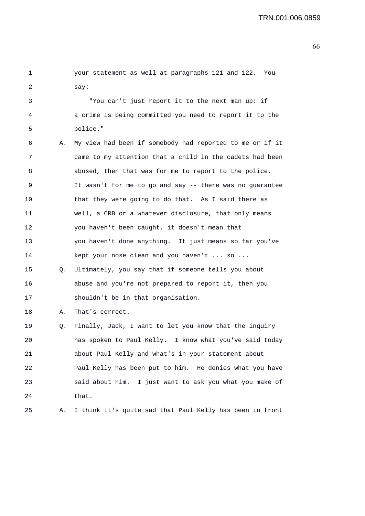| 1  |    | your statement as well at paragraphs 121 and 122. You    |
|----|----|----------------------------------------------------------|
| 2  |    | say:                                                     |
| 3  |    | "You can't just report it to the next man up: if         |
| 4  |    | a crime is being committed you need to report it to the  |
| 5  |    | police."                                                 |
| 6  | Α. | My view had been if somebody had reported to me or if it |
| 7  |    | came to my attention that a child in the cadets had been |
| 8  |    | abused, then that was for me to report to the police.    |
| 9  |    | It wasn't for me to go and say -- there was no guarantee |
| 10 |    | that they were going to do that. As I said there as      |
| 11 |    | well, a CRB or a whatever disclosure, that only means    |
| 12 |    | you haven't been caught, it doesn't mean that            |
| 13 |    | you haven't done anything. It just means so far you've   |
| 14 |    | kept your nose clean and you haven't  so                 |
| 15 | Q. | Ultimately, you say that if someone tells you about      |
| 16 |    | abuse and you're not prepared to report it, then you     |
| 17 |    | shouldn't be in that organisation.                       |
| 18 | Α. | That's correct.                                          |
| 19 | Q. | Finally, Jack, I want to let you know that the inquiry   |
| 20 |    | has spoken to Paul Kelly. I know what you've said today  |
| 21 |    | about Paul Kelly and what's in your statement about      |
| 22 |    | Paul Kelly has been put to him. He denies what you have  |
| 23 |    | said about him. I just want to ask you what you make of  |
| 24 |    | that.                                                    |
| 25 | Α. | I think it's quite sad that Paul Kelly has been in front |
|    |    |                                                          |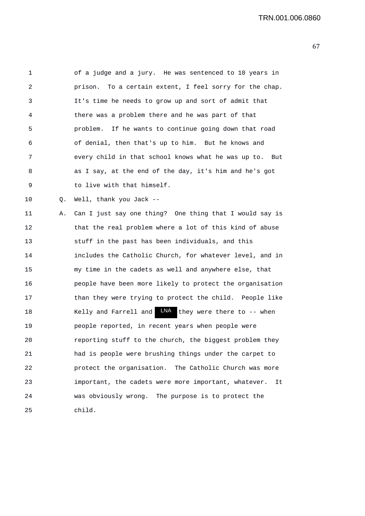1 of a judge and a jury. He was sentenced to 10 years in 2 prison. To a certain extent, I feel sorry for the chap. 3 It's time he needs to grow up and sort of admit that 4 there was a problem there and he was part of that 5 problem. If he wants to continue going down that road 6 of denial, then that's up to him. But he knows and 7 every child in that school knows what he was up to. But 8 as I say, at the end of the day, it's him and he's got 9 to live with that himself. 10 Q. Well, thank you Jack -- 11 A. Can I just say one thing? One thing that I would say is 12 that the real problem where a lot of this kind of abuse 13 stuff in the past has been individuals, and this 14 includes the Catholic Church, for whatever level, and in 15 my time in the cadets as well and anywhere else, that 16 people have been more likely to protect the organisation 17 than they were trying to protect the child. People like 18 Kelly and Farrell and  $LM$  they were there to -- when 19 people reported, in recent years when people were 20 reporting stuff to the church, the biggest problem they 21 had is people were brushing things under the carpet to

22 protect the organisation. The Catholic Church was more 23 important, the cadets were more important, whatever. It 24 was obviously wrong. The purpose is to protect the 25 child.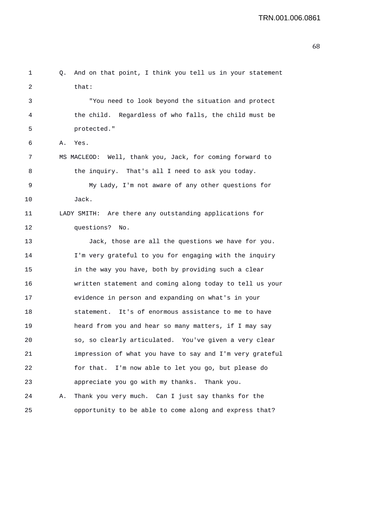```
1 Q. And on that point, I think you tell us in your statement 
2 that:
3 "You need to look beyond the situation and protect 
4 the child. Regardless of who falls, the child must be 
5 protected." 
6 A. Yes. 
7 MS MACLEOD: Well, thank you, Jack, for coming forward to 
8 the inquiry. That's all I need to ask you today. 
9 My Lady, I'm not aware of any other questions for 
10 Jack. 
11 LADY SMITH: Are there any outstanding applications for 
12 questions? No. 
13 Jack, those are all the questions we have for you. 
14 I'm very grateful to you for engaging with the inquiry 
15 in the way you have, both by providing such a clear 
16 written statement and coming along today to tell us your 
17 evidence in person and expanding on what's in your 
18 statement. It's of enormous assistance to me to have 
19 heard from you and hear so many matters, if I may say 
20 so, so clearly articulated. You've given a very clear 
21 impression of what you have to say and I'm very grateful 
22 for that. I'm now able to let you go, but please do 
23 appreciate you go with my thanks. Thank you. 
24 A. Thank you very much. Can I just say thanks for the 
25 opportunity to be able to come along and express that?
```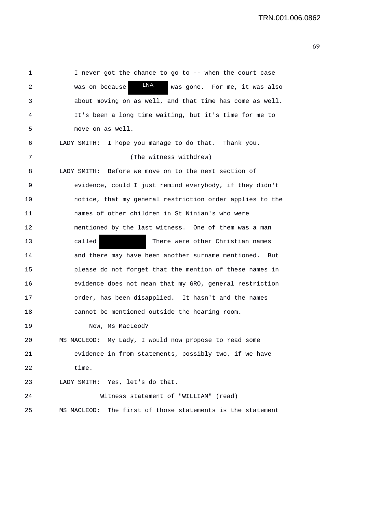| 1  | I never got the chance to go to -- when the court case        |
|----|---------------------------------------------------------------|
| 2  | LNA<br>was on because<br>was gone. For me, it was also        |
| 3  | about moving on as well, and that time has come as well.      |
| 4  | It's been a long time waiting, but it's time for me to        |
| 5  | move on as well.                                              |
| 6  | LADY SMITH: I hope you manage to do that. Thank you.          |
| 7  | (The witness withdrew)                                        |
| 8  | LADY SMITH: Before we move on to the next section of          |
| 9  | evidence, could I just remind everybody, if they didn't       |
| 10 | notice, that my general restriction order applies to the      |
| 11 | names of other children in St Ninian's who were               |
| 12 | mentioned by the last witness. One of them was a man          |
| 13 | called<br>There were other Christian names                    |
| 14 | and there may have been another surname mentioned.<br>But     |
| 15 | please do not forget that the mention of these names in       |
| 16 | evidence does not mean that my GRO, general restriction       |
| 17 | order, has been disapplied. It hasn't and the names           |
| 18 | cannot be mentioned outside the hearing room.                 |
| 19 | Now, Ms MacLeod?                                              |
| 20 | My Lady, I would now propose to read some<br>MS MACLEOD:      |
| 21 | evidence in from statements, possibly two, if we have         |
| 22 | time.                                                         |
| 23 | LADY SMITH: Yes, let's do that.                               |
| 24 | Witness statement of "WILLIAM" (read)                         |
| 25 | The first of those statements is the statement<br>MS MACLEOD: |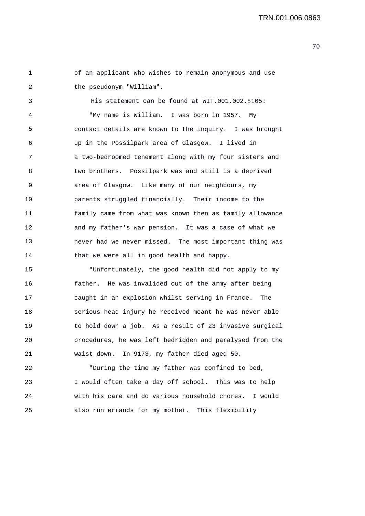TRN.001.006.0863

1 2 of an applicant who wishes to remain anonymous and use the pseudonym "William".

3 4 5 6 7 8 9 10 11 12 13 14 His statement can be found at WIT.001.002.5105: "My name is William. I was born in 1957. My contact details are known to the inquiry. I was brought up in the Possilpark area of Glasgow. I lived in a two-bedroomed tenement along with my four sisters and two brothers. Possilpark was and still is a deprived area of Glasgow. Like many of our neighbours, my parents struggled financially. Their income to the family came from what was known then as family allowance and my father's war pension. It was a case of what we never had we never missed. The most important thing was that we were all in good health and happy.

15 16 17 18 19 20 21 "Unfortunately, the good health did not apply to my father. He was invalided out of the army after being caught in an explosion whilst serving in France. The serious head injury he received meant he was never able to hold down a job. As a result of 23 invasive surgical procedures, he was left bedridden and paralysed from the waist down. In 9173, my father died aged 50.

22 23 24 "During the time my father was confined to bed, I would often take a day off school. This was to help with his care and do various household chores. I would 25 also run errands for my mother. This flexibility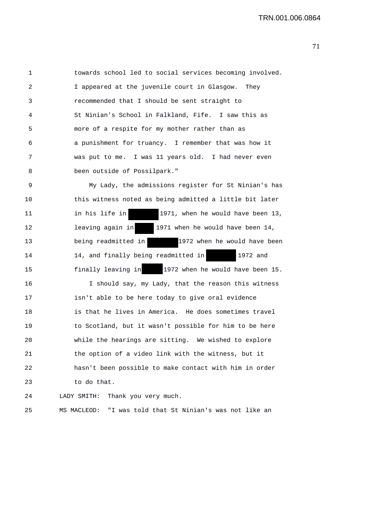1 towards school led to social services becoming involved. 2 I appeared at the juvenile court in Glasgow. They 3 recommended that I should be sent straight to 4 St Ninian's School in Falkland, Fife. I saw this as 5 more of a respite for my mother rather than as 6 a punishment for truancy. I remember that was how it 7 was put to me. I was 11 years old. I had never even 8 been outside of Possilpark."

9 My Lady, the admissions register for St Ninian's has 10 this witness noted as being admitted a little bit later 11 in his life in 1971, when he would have been 13, 12 leaving again in 1971 when he would have been 14, 13 being readmitted in 1972 when he would have been 14 14, and finally being readmitted in 1972 and 15 finally leaving in 1972 when he would have been 15.

16 I should say, my Lady, that the reason this witness 17 isn't able to be here today to give oral evidence 18 is that he lives in America. He does sometimes travel 19 to Scotland, but it wasn't possible for him to be here 20 while the hearings are sitting. We wished to explore 21 the option of a video link with the witness, but it 22 hasn't been possible to make contact with him in order 23 to do that.

24 LADY SMITH: Thank you very much.

```
25 MS MACLEOD: "I was told that St Ninian's was not like an
```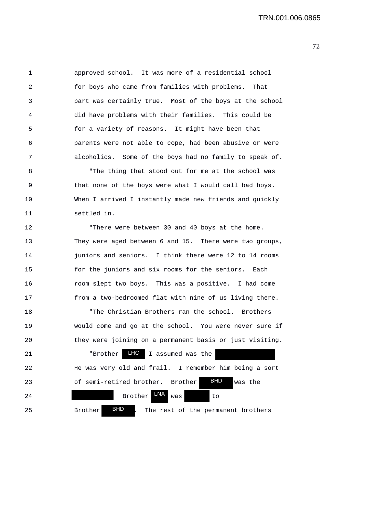1 approved school. It was more of a residential school 2 for boys who came from families with problems. That 3 part was certainly true. Most of the boys at the school 4 did have problems with their families. This could be 5 for a variety of reasons. It might have been that 6 parents were not able to cope, had been abusive or were 7 alcoholics. Some of the boys had no family to speak of.

8 "The thing that stood out for me at the school was 9 that none of the boys were what I would call bad boys. 10 When I arrived I instantly made new friends and quickly 11 settled in.

12 "There were between 30 and 40 boys at the home. 13 They were aged between 6 and 15. There were two groups, 14 **juniors and seniors.** I think there were 12 to 14 rooms 15 for the juniors and six rooms for the seniors. Each 16 room slept two boys. This was a positive. I had come 17 from a two-bedroomed flat with nine of us living there.

18 "The Christian Brothers ran the school. Brothers 19 would come and go at the school. You were never sure if 20 they were joining on a permanent basis or just visiting. 21 The Prother LHC I assumed was the 22 He was very old and frail. I remember him being a sort 23 of semi-retired brother. Brother **BHD** was the 24 Brother LNA was to 25 Brother **BHD** . The rest of the permanent brothers BHD BHD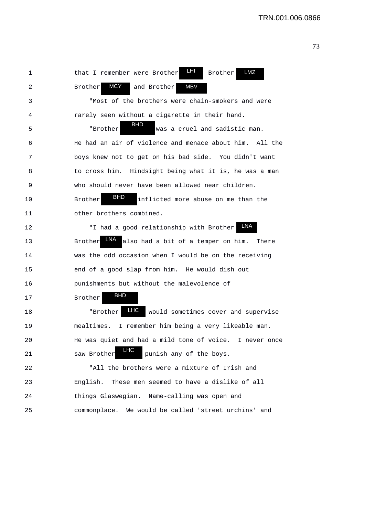1 that I remember were Brother LHI Brother LMZ 2 Brother **MCY** and Brother 3 "Most of the brothers were chain-smokers and were 4 rarely seen without a cigarette in their hand. 5 "Brother was a cruel and sadistic man. 6 He had an air of violence and menace about him. All the 7 boys knew not to get on his bad side. You didn't want 8 to cross him. Hindsight being what it is, he was a man 9 who should never have been allowed near children. 10 Brother **BFD** inflicted more abuse on me than the 11 other brothers combined. 12 "I had a good relationship with Brother 13 Brother LNA also had a bit of a temper on him. There 14 was the odd occasion when I would be on the receiving 15 end of a good slap from him. He would dish out 16 punishments but without the malevolence of 17 Brother 18 The Team of the Mould sometimes cover and supervise 19 mealtimes. I remember him being a very likeable man. 20 He was quiet and had a mild tone of voice. I never once 21 saw Brother punish any of the boys. 22 "All the brothers were a mixture of Irish and 23 English. These men seemed to have a dislike of all 24 things Glaswegian. Name-calling was open and 25 commonplace. We would be called 'street urchins' and BHD BHD LHC **MCY** Brother BHD LNA MBV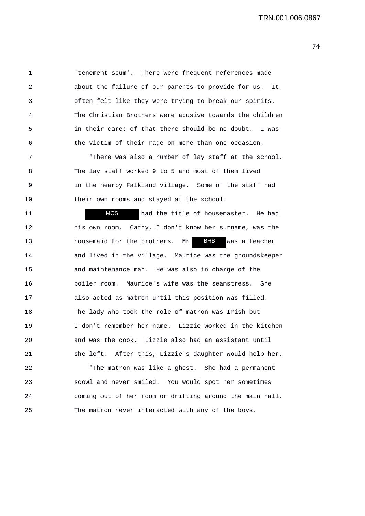1 'tenement scum'. There were frequent references made 2 about the failure of our parents to provide for us. It 3 often felt like they were trying to break our spirits. 4 The Christian Brothers were abusive towards the children 5 in their care; of that there should be no doubt. I was 6 the victim of their rage on more than one occasion.

7 "There was also a number of lay staff at the school. 8 The lay staff worked 9 to 5 and most of them lived 9 in the nearby Falkland village. Some of the staff had 10 their own rooms and stayed at the school.

11 **MCS** had the title of housemaster. He had 12 his own room. Cathy, I don't know her surname, was the 13 housemaid for the brothers. Mr BHB was a teacher 14 and lived in the village. Maurice was the groundskeeper 15 and maintenance man. He was also in charge of the 16 boiler room. Maurice's wife was the seamstress. She 17 also acted as matron until this position was filled. 18 The lady who took the role of matron was Irish but 19 I don't remember her name. Lizzie worked in the kitchen 20 and was the cook. Lizzie also had an assistant until 21 she left. After this, Lizzie's daughter would help her. MCS **BHB** 

22 "The matron was like a ghost. She had a permanent 23 scowl and never smiled. You would spot her sometimes 24 coming out of her room or drifting around the main hall. 25 The matron never interacted with any of the boys.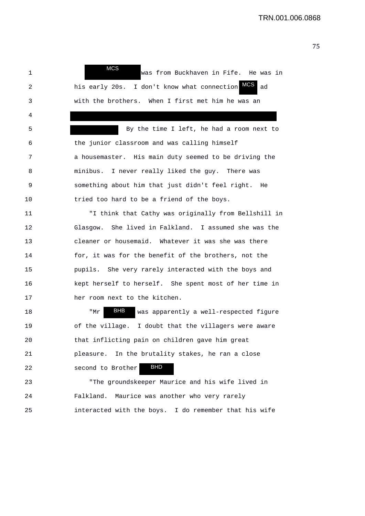1 **WHO** was from Buckhaven in Fife. He was in 2 his early 20s. I don't know what connection MCS ad 3 with the brothers. When I first met him he was an 4 5 By the time I left, he had a room next to 6 the junior classroom and was calling himself 7 a housemaster. His main duty seemed to be driving the 8 minibus. I never really liked the guy. There was 9 something about him that just didn't feel right. He 10 tried too hard to be a friend of the boys. 11 "I think that Cathy was originally from Bellshill in 12 Glasgow. She lived in Falkland. I assumed she was the 13 cleaner or housemaid. Whatever it was she was there 14 for, it was for the benefit of the brothers, not the 15 pupils. She very rarely interacted with the boys and 16 kept herself to herself. She spent most of her time in 17 her room next to the kitchen. 18 TMr BHB was apparently a well-respected figure 19 of the village. I doubt that the villagers were aware 20 that inflicting pain on children gave him great 21 pleasure. In the brutality stakes, he ran a close 22 second to Brother 23 "The groundskeeper Maurice and his wife lived in 24 Falkland. Maurice was another who very rarely 25 interacted with the boys. I do remember that his wife MCS BHB BHD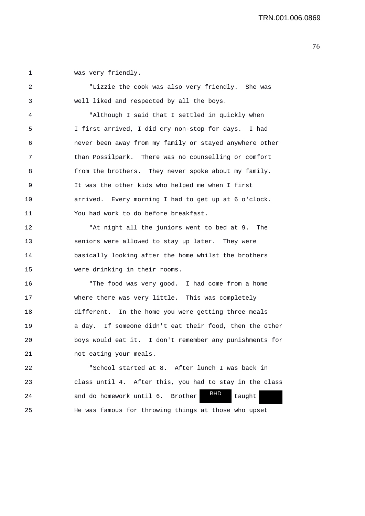1 was very friendly.

| 2  | "Lizzie the cook was also very friendly. She was            |
|----|-------------------------------------------------------------|
| 3  | well liked and respected by all the boys.                   |
| 4  | "Although I said that I settled in quickly when             |
| 5  | I first arrived, I did cry non-stop for days. I had         |
| 6  | never been away from my family or stayed anywhere other     |
| 7  | than Possilpark. There was no counselling or comfort        |
| 8  | from the brothers. They never spoke about my family.        |
| 9  | It was the other kids who helped me when I first            |
| 10 | arrived. Every morning I had to get up at 6 o'clock.        |
| 11 | You had work to do before breakfast.                        |
| 12 | "At night all the juniors went to bed at 9. The             |
| 13 | seniors were allowed to stay up later. They were            |
| 14 | basically looking after the home whilst the brothers        |
| 15 | were drinking in their rooms.                               |
| 16 | "The food was very good. I had come from a home             |
| 17 | where there was very little. This was completely            |
| 18 | different. In the home you were getting three meals         |
| 19 | a day. If someone didn't eat their food, then the other     |
| 20 | boys would eat it. I don't remember any punishments for     |
| 21 | not eating your meals.                                      |
| 22 | "School started at 8. After lunch I was back in             |
| 23 | class until 4. After this, you had to stay in the class     |
| 24 | <b>BHD</b><br>and do homework until 6.<br>Brother<br>taught |
| 25 | He was famous for throwing things at those who upset        |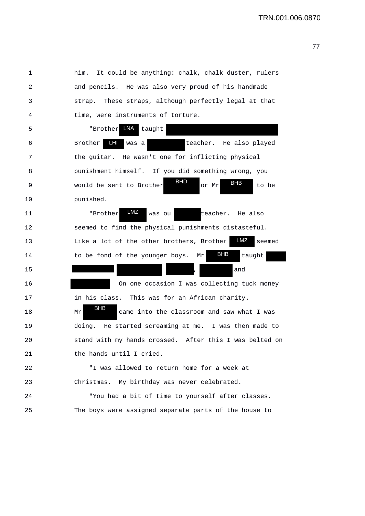| 1  | It could be anything: chalk, chalk duster, rulers<br>him.              |
|----|------------------------------------------------------------------------|
| 2  | and pencils. He was also very proud of his handmade                    |
| 3  | strap. These straps, although perfectly legal at that                  |
| 4  | time, were instruments of torture.                                     |
| 5  | LNA<br>"Brother<br>taught                                              |
| 6  | LHI<br>Brother<br>teacher. He also played<br>was a                     |
| 7  | the guitar. He wasn't one for inflicting physical                      |
| 8  | punishment himself. If you did something wrong, you                    |
| 9  | <b>BHD</b><br><b>BHB</b><br>would be sent to Brother<br>or Mr<br>to be |
| 10 | punished.                                                              |
| 11 | LMZ<br>"Brother<br>teacher.<br>was ou<br>He also                       |
| 12 | seemed to find the physical punishments distasteful.                   |
| 13 | LMZ<br>Like a lot of the other brothers, Brother<br>seemed             |
| 14 | <b>BHB</b><br>to be fond of the younger boys.<br>taught<br>Μr          |
| 15 | and                                                                    |
| 16 | On one occasion I was collecting tuck money                            |
| 17 | in his class.<br>This was for an African charity.                      |
| 18 | BHB<br>came into the classroom and saw what I was<br>Mr                |
| 19 | doing. He started screaming at me. I was then made to                  |
| 20 | stand with my hands crossed. After this I was belted on                |
| 21 | the hands until I cried.                                               |
| 22 | "I was allowed to return home for a week at                            |
| 23 | My birthday was never celebrated.<br>Christmas.                        |
| 24 | "You had a bit of time to yourself after classes.                      |
| 25 | The boys were assigned separate parts of the house to                  |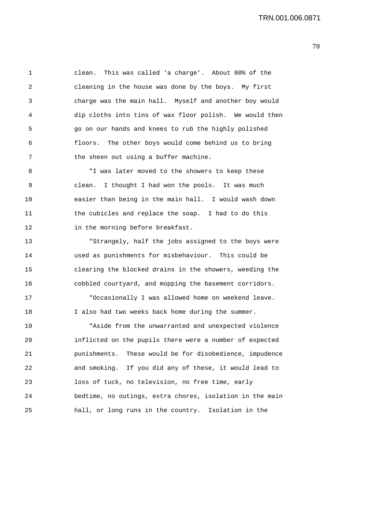1 clean. This was called 'a charge'. About 80% of the 2 cleaning in the house was done by the boys. My first 3 charge was the main hall. Myself and another boy would 4 dip cloths into tins of wax floor polish. We would then 5 go on our hands and knees to rub the highly polished 6 floors. The other boys would come behind us to bring 7 the sheen out using a buffer machine.

8 "I was later moved to the showers to keep these 9 clean. I thought I had won the pools. It was much 10 easier than being in the main hall. I would wash down 11 the cubicles and replace the soap. I had to do this 12 in the morning before breakfast.

13 "Strangely, half the jobs assigned to the boys were 14 used as punishments for misbehaviour. This could be 15 clearing the blocked drains in the showers, weeding the 16 cobbled courtyard, and mopping the basement corridors.

17 "Occasionally I was allowed home on weekend leave. 18 I also had two weeks back home during the summer.

19 "Aside from the unwarranted and unexpected violence 20 inflicted on the pupils there were a number of expected 21 punishments. These would be for disobedience, impudence 22 and smoking. If you did any of these, it would lead to 23 loss of tuck, no television, no free time, early 24 bedtime, no outings, extra chores, isolation in the main 25 hall, or long runs in the country. Isolation in the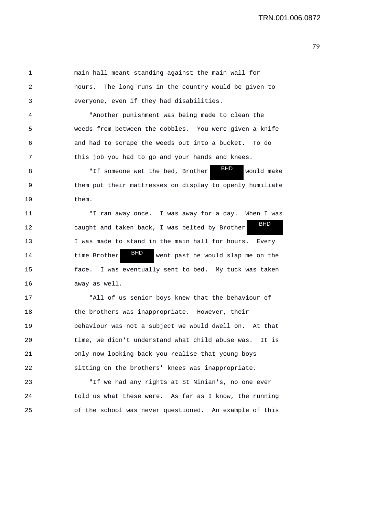1 main hall meant standing against the main wall for 2 hours. The long runs in the country would be given to 3 everyone, even if they had disabilities.

4 "Another punishment was being made to clean the 5 weeds from between the cobbles. You were given a knife 6 and had to scrape the weeds out into a bucket. To do 7 this job you had to go and your hands and knees.

8 TH someone wet the bed, Brother <sup>3115</sup> would make 9 them put their mattresses on display to openly humiliate 10 them. BHD

11 "I ran away once. I was away for a day. When I was 12 caught and taken back, I was belted by Brother 13 I was made to stand in the main hall for hours. Every 14 time Brother **DIP** went past he would slap me on the 15 face. I was eventually sent to bed. My tuck was taken 16 away as well. BHD BHD

17 "All of us senior boys knew that the behaviour of 18 the brothers was inappropriate. However, their 19 behaviour was not a subject we would dwell on. At that 20 time, we didn't understand what child abuse was. It is 21 only now looking back you realise that young boys 22 sitting on the brothers' knees was inappropriate.

23 "If we had any rights at St Ninian's, no one ever 24 told us what these were. As far as I know, the running 25 of the school was never questioned. An example of this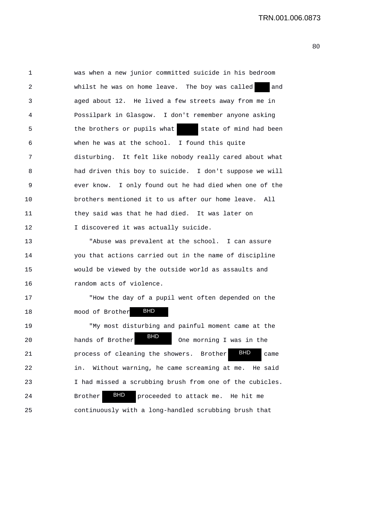1 was when a new junior committed suicide in his bedroom 2 whilst he was on home leave. The boy was called and 3 aged about 12. He lived a few streets away from me in 4 Possilpark in Glasgow. I don't remember anyone asking 5 the brothers or pupils what state of mind had been 6 when he was at the school. I found this quite 7 disturbing. It felt like nobody really cared about what 8 had driven this boy to suicide. I don't suppose we will 9 ever know. I only found out he had died when one of the 10 brothers mentioned it to us after our home leave. All 11 they said was that he had died. It was later on 12 I discovered it was actually suicide.

13 "Abuse was prevalent at the school. I can assure 14 you that actions carried out in the name of discipline 15 would be viewed by the outside world as assaults and 16 random acts of violence.

17 "How the day of a pupil went often depended on the 18 mood of Brother BHD 19 "My most disturbing and painful moment came at the 20 hands of Brother **BHD** One morning I was in the 21 **process of cleaning the showers.** Brother **BHD** came 22 in. Without warning, he came screaming at me. He said 23 I had missed a scrubbing brush from one of the cubicles. 24 Brother BHD proceeded to attack me. He hit me 25 continuously with a long-handled scrubbing brush that BHD **BHD**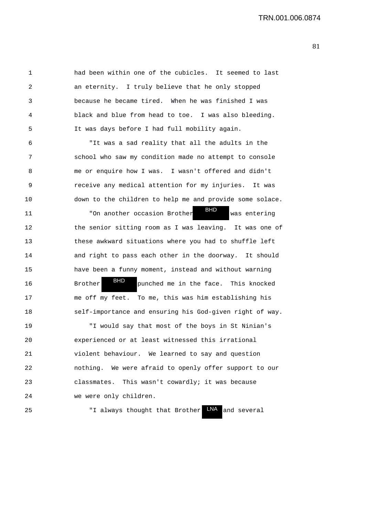1 had been within one of the cubicles. It seemed to last 2 an eternity. I truly believe that he only stopped 3 because he became tired. When he was finished I was 4 black and blue from head to toe. I was also bleeding. 5 It was days before I had full mobility again.

6 "It was a sad reality that all the adults in the 7 school who saw my condition made no attempt to console 8 me or enquire how I was. I wasn't offered and didn't 9 receive any medical attention for my injuries. It was 10 down to the children to help me and provide some solace.

11 The mother occasion Brother was entering 12 the senior sitting room as I was leaving. It was one of 13 these awkward situations where you had to shuffle left 14 and right to pass each other in the doorway. It should 15 have been a funny moment, instead and without warning 16 Brother **PIP** punched me in the face. This knocked 17 me off my feet. To me, this was him establishing his 18 self-importance and ensuring his God-given right of way. BHD BHD

19 "I would say that most of the boys in St Ninian's 20 experienced or at least witnessed this irrational 21 violent behaviour. We learned to say and question 22 nothing. We were afraid to openly offer support to our 23 classmates. This wasn't cowardly; it was because 24 we were only children.

25 TI always thought that Brother LNA and several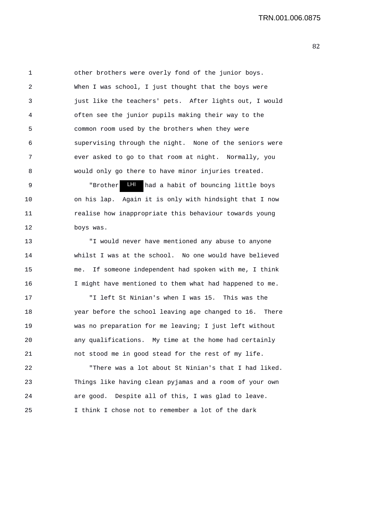1 other brothers were overly fond of the junior boys. 2 When I was school, I just thought that the boys were 3 just like the teachers' pets. After lights out, I would 4 often see the junior pupils making their way to the 5 common room used by the brothers when they were 6 supervising through the night. None of the seniors were 7 ever asked to go to that room at night. Normally, you 8 would only go there to have minor injuries treated. 9 The Brother LHI had a habit of bouncing little boys 10 on his lap. Again it is only with hindsight that I now 11 realise how inappropriate this behaviour towards young 12 boys was. 13 "I would never have mentioned any abuse to anyone 14 whilst I was at the school. No one would have believed 15 me. If someone independent had spoken with me, I think 16 I might have mentioned to them what had happened to me. 17 "I left St Ninian's when I was 15. This was the 18 year before the school leaving age changed to 16. There 19 was no preparation for me leaving; I just left without 20 any qualifications. My time at the home had certainly 21 not stood me in good stead for the rest of my life. 22 "There was a lot about St Ninian's that I had liked.

23 Things like having clean pyjamas and a room of your own 24 are good. Despite all of this, I was glad to leave. 25 I think I chose not to remember a lot of the dark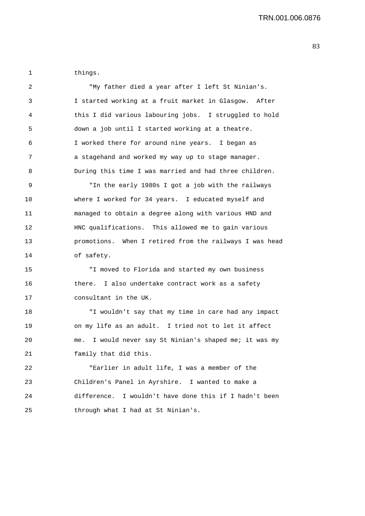1 things.

| 2  | "My father died a year after I left St Ninian's.          |
|----|-----------------------------------------------------------|
| 3  | I started working at a fruit market in Glasgow. After     |
| 4  | this I did various labouring jobs. I struggled to hold    |
| 5  | down a job until I started working at a theatre.          |
| 6  | I worked there for around nine years. I began as          |
| 7  | a stagehand and worked my way up to stage manager.        |
| 8  | During this time I was married and had three children.    |
| 9  | "In the early 1980s I got a job with the railways         |
| 10 | where I worked for 34 years. I educated myself and        |
| 11 | managed to obtain a degree along with various HND and     |
| 12 | HNC qualifications. This allowed me to gain various       |
| 13 | promotions. When I retired from the railways I was head   |
| 14 | of safety.                                                |
| 15 | "I moved to Florida and started my own business           |
| 16 | there. I also undertake contract work as a safety         |
| 17 | consultant in the UK.                                     |
| 18 | "I wouldn't say that my time in care had any impact       |
| 19 | on my life as an adult. I tried not to let it affect      |
| 20 | I would never say St Ninian's shaped me; it was my<br>me. |
| 21 | family that did this.                                     |
| 22 | "Earlier in adult life, I was a member of the             |
| 23 | Children's Panel in Ayrshire. I wanted to make a          |
| 24 | difference. I wouldn't have done this if I hadn't been    |
| 25 | through what I had at St Ninian's.                        |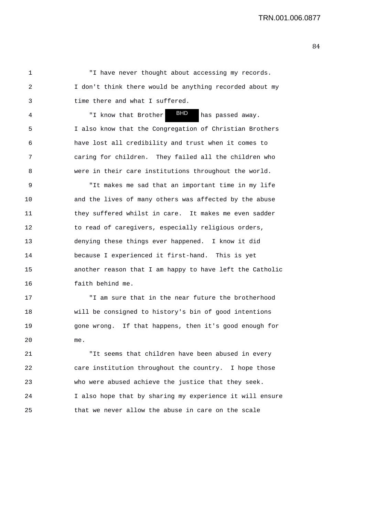1 "I have never thought about accessing my records. 2 I don't think there would be anything recorded about my 3 time there and what I suffered.

4 "I know that Brother Bill has passed away. 5 I also know that the Congregation of Christian Brothers 6 have lost all credibility and trust when it comes to 7 caring for children. They failed all the children who 8 were in their care institutions throughout the world. BHD

9 "It makes me sad that an important time in my life 10 and the lives of many others was affected by the abuse 11 they suffered whilst in care. It makes me even sadder 12 to read of caregivers, especially religious orders, 13 denying these things ever happened. I know it did 14 because I experienced it first-hand. This is yet 15 another reason that I am happy to have left the Catholic 16 faith behind me.

17 "I am sure that in the near future the brotherhood 18 will be consigned to history's bin of good intentions 19 gone wrong. If that happens, then it's good enough for 20 me.

21 "It seems that children have been abused in every 22 care institution throughout the country. I hope those 23 who were abused achieve the justice that they seek. 24 I also hope that by sharing my experience it will ensure 25 that we never allow the abuse in care on the scale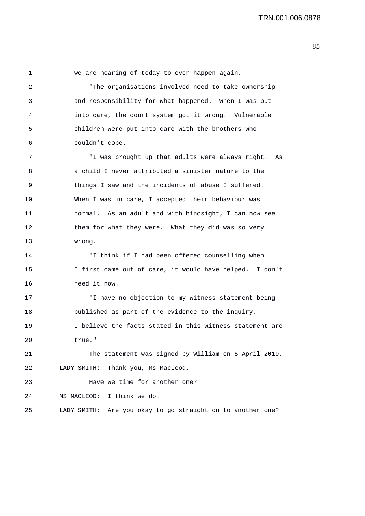1 we are hearing of today to ever happen again. 2 "The organisations involved need to take ownership 3 and responsibility for what happened. When I was put 4 into care, the court system got it wrong. Vulnerable 5 children were put into care with the brothers who 6 couldn't cope. 7 "I was brought up that adults were always right. As 8 a child I never attributed a sinister nature to the 9 things I saw and the incidents of abuse I suffered. 10 When I was in care, I accepted their behaviour was 11 normal. As an adult and with hindsight, I can now see 12 them for what they were. What they did was so very 13 wrong. 14 "I think if I had been offered counselling when 15 I first came out of care, it would have helped. I don't 16 need it now. 17 "I have no objection to my witness statement being 18 published as part of the evidence to the inquiry. 19 I believe the facts stated in this witness statement are 20 true." 21 The statement was signed by William on 5 April 2019. 22 LADY SMITH: Thank you, Ms MacLeod. 23 Have we time for another one? 24 MS MACLEOD: I think we do. 25 LADY SMITH: Are you okay to go straight on to another one?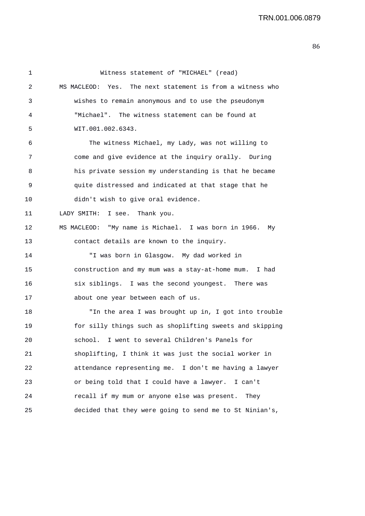| 1  | Witness statement of "MICHAEL" (read)                      |
|----|------------------------------------------------------------|
| 2  | MS MACLEOD: Yes. The next statement is from a witness who  |
| 3  | wishes to remain anonymous and to use the pseudonym        |
| 4  | "Michael". The witness statement can be found at           |
| 5  | WIT.001.002.6343.                                          |
| 6  | The witness Michael, my Lady, was not willing to           |
| 7  | come and give evidence at the inquiry orally. During       |
| 8  | his private session my understanding is that he became     |
| 9  | quite distressed and indicated at that stage that he       |
| 10 | didn't wish to give oral evidence.                         |
| 11 | LADY SMITH: I see. Thank you.                              |
| 12 | MS MACLEOD: "My name is Michael. I was born in 1966.<br>Мv |
| 13 | contact details are known to the inquiry.                  |
| 14 | "I was born in Glasgow. My dad worked in                   |
| 15 | construction and my mum was a stay-at-home mum. I had      |
| 16 | six siblings. I was the second youngest. There was         |
| 17 | about one year between each of us.                         |
| 18 | "In the area I was brought up in, I got into trouble       |
| 19 | for silly things such as shoplifting sweets and skipping   |
| 20 | school. I went to several Children's Panels for            |
| 21 | shoplifting, I think it was just the social worker in      |
| 22 | attendance representing me. I don't me having a lawyer     |
| 23 | or being told that I could have a lawyer. I can't          |
| 24 | recall if my mum or anyone else was present.<br>They       |
| 25 | decided that they were going to send me to St Ninian's,    |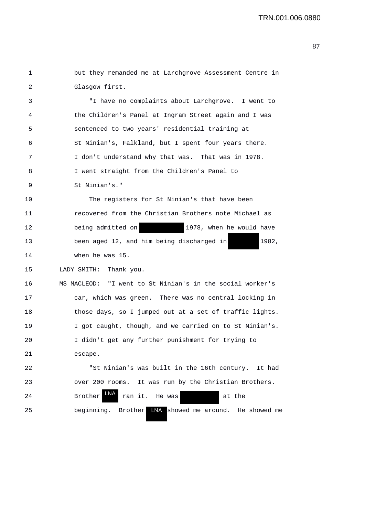| 1  | but they remanded me at Larchgrove Assessment Centre in   |
|----|-----------------------------------------------------------|
| 2  | Glasgow first.                                            |
| 3  | "I have no complaints about Larchgrove. I went to         |
| 4  | the Children's Panel at Ingram Street again and I was     |
| 5  | sentenced to two years' residential training at           |
| 6  | St Ninian's, Falkland, but I spent four years there.      |
| 7  | I don't understand why that was. That was in 1978.        |
| 8  | I went straight from the Children's Panel to              |
| 9  | St Ninian's."                                             |
| 10 | The registers for St Ninian's that have been              |
| 11 | recovered from the Christian Brothers note Michael as     |
| 12 | 1978, when he would have<br>being admitted on             |
| 13 | been aged 12, and him being discharged in<br>1982,        |
| 14 | when he was 15.                                           |
| 15 | LADY SMITH: Thank you.                                    |
| 16 | MS MACLEOD: "I went to St Ninian's in the social worker's |
| 17 | car, which was green. There was no central locking in     |
| 18 | those days, so I jumped out at a set of traffic lights.   |
| 19 | I got caught, though, and we carried on to St Ninian's.   |
| 20 | I didn't get any further punishment for trying to         |
| 21 | escape.                                                   |
| 22 | "St Ninian's was built in the 16th century. It had        |
| 23 | over 200 rooms. It was run by the Christian Brothers.     |
| 24 | LNA<br>Brother<br>ran it. He was<br>at the                |
| 25 | beginning. Brother<br>LNA showed me around. He showed me  |
|    |                                                           |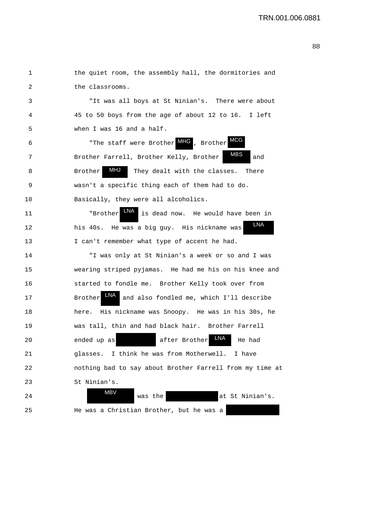| 1  | the quiet room, the assembly hall, the dormitories and                   |
|----|--------------------------------------------------------------------------|
| 2  | the classrooms.                                                          |
| 3  | "It was all boys at St Ninian's. There were about                        |
| 4  | 45 to 50 boys from the age of about 12 to 16. I left                     |
| 5  | when I was 16 and a half.                                                |
| 6  | "The staff were Brother MHG, Brother MCG                                 |
| 7  | MBS<br>Brother Farrell, Brother Kelly, Brother<br>and                    |
| 8  | MHJ<br>Brother<br>They dealt with the classes. There                     |
| 9  | wasn't a specific thing each of them had to do.                          |
| 10 | Basically, they were all alcoholics.                                     |
| 11 | is dead now. He would have been in<br>"Brother                           |
| 12 | LNA<br>his 40s. He was a big guy. His nickname was                       |
| 13 | I can't remember what type of accent he had.                             |
| 14 | "I was only at St Ninian's a week or so and I was                        |
| 15 | wearing striped pyjamas. He had me his on his knee and                   |
| 16 | started to fondle me. Brother Kelly took over from                       |
| 17 | <b>LNA</b><br>and also fondled me, which I'll describe<br><b>Brother</b> |
| 18 | His nickname was Snoopy. He was in his 30s, he<br>here.                  |
| 19 | was tall, thin and had black hair. Brother Farrell                       |
| 20 | LNA<br>after Brother<br>ended up as<br>He had                            |
| 21 | glasses. I think he was from Motherwell.<br>I have                       |
| 22 | nothing bad to say about Brother Farrell from my time at                 |
| 23 | St Ninian's.                                                             |
| 24 | <b>MBV</b><br>at St Ninian's.<br>was the                                 |
| 25 | He was a Christian Brother, but he was a                                 |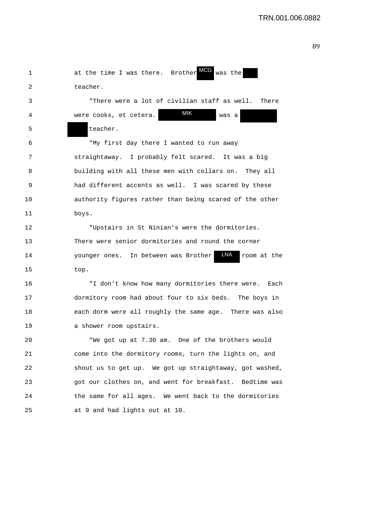| 1  | MCG<br>was the<br>at the time I was there. Brother         |
|----|------------------------------------------------------------|
| 2  | teacher.                                                   |
| 3  | "There were a lot of civilian staff as well. There         |
| 4  | <b>MIK</b><br>were cooks, et cetera.<br>was a              |
| 5  | teacher.                                                   |
| 6  | "My first day there I wanted to run away                   |
| 7  | straightaway. I probably felt scared. It was a big         |
| 8  | building with all these men with collars on. They all      |
| 9  | had different accents as well. I was scared by these       |
| 10 | authority figures rather than being scared of the other    |
| 11 | boys.                                                      |
| 12 | "Upstairs in St Ninian's were the dormitories.             |
| 13 | There were senior dormitories and round the corner         |
| 14 | LNA<br>younger ones. In between was Brother<br>room at the |
| 15 | top.                                                       |
| 16 | "I don't know how many dormitories there were.<br>Each     |
| 17 | dormitory room had about four to six beds. The boys in     |
| 18 | each dorm were all roughly the same age. There was also    |
| 19 | a shower room upstairs.                                    |
| 20 | "We got up at 7.30 am. One of the brothers would           |
| 21 | come into the dormitory rooms, turn the lights on, and     |
| 22 | shout us to get up. We got up straightaway, got washed,    |
| 23 | got our clothes on, and went for breakfast. Bedtime was    |
| 24 | the same for all ages. We went back to the dormitories     |
| 25 | at 9 and had lights out at 10.                             |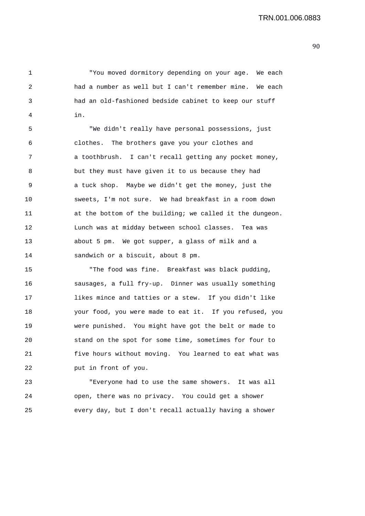1 "You moved dormitory depending on your age. We each 2 had a number as well but I can't remember mine. We each 3 had an old-fashioned bedside cabinet to keep our stuff 4 in.

5 "We didn't really have personal possessions, just 6 clothes. The brothers gave you your clothes and 7 a toothbrush. I can't recall getting any pocket money, 8 but they must have given it to us because they had 9 a tuck shop. Maybe we didn't get the money, just the 10 sweets, I'm not sure. We had breakfast in a room down 11 at the bottom of the building; we called it the dungeon. 12 Lunch was at midday between school classes. Tea was 13 about 5 pm. We got supper, a glass of milk and a 14 sandwich or a biscuit, about 8 pm.

15 "The food was fine. Breakfast was black pudding, 16 sausages, a full fry-up. Dinner was usually something 17 likes mince and tatties or a stew. If you didn't like 18 your food, you were made to eat it. If you refused, you 19 were punished. You might have got the belt or made to 20 stand on the spot for some time, sometimes for four to 21 five hours without moving. You learned to eat what was 22 put in front of you.

23 "Everyone had to use the same showers. It was all 24 open, there was no privacy. You could get a shower 25 every day, but I don't recall actually having a shower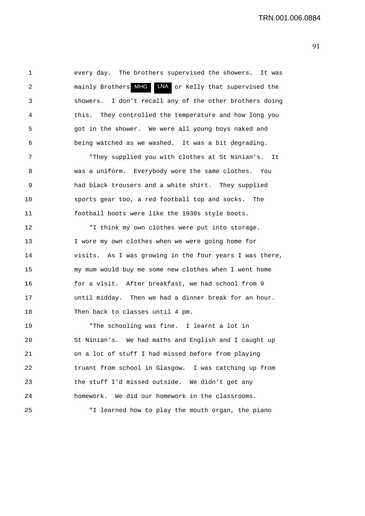1 every day. The brothers supervised the showers. It was 2 mainly Brothers MHG LNA or Kelly that supervised the 3 showers. I don't recall any of the other brothers doing 4 this. They controlled the temperature and how long you 5 got in the shower. We were all young boys naked and 6 being watched as we washed. It was a bit degrading.

7 "They supplied you with clothes at St Ninian's. It 8 was a uniform. Everybody wore the same clothes. You 9 had black trousers and a white shirt. They supplied 10 sports gear too, a red football top and socks. The 11 football boots were like the 1930s style boots.

12 "I think my own clothes were put into storage. 13 I wore my own clothes when we were going home for 14 visits. As I was growing in the four years I was there, 15 my mum would buy me some new clothes when I went home 16 for a visit. After breakfast, we had school from 9 17 until midday. Then we had a dinner break for an hour. 18 Then back to classes until 4 pm.

19 "The schooling was fine. I learnt a lot in 20 St Ninian's. We had maths and English and I caught up 21 on a lot of stuff I had missed before from playing 22 truant from school in Glasgow. I was catching up from 23 the stuff I'd missed outside. We didn't get any 24 homework. We did our homework in the classrooms. 25 "I learned how to play the mouth organ, the piano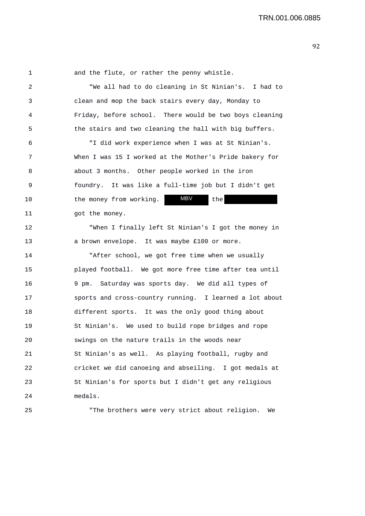1 and the flute, or rather the penny whistle.

2 "We all had to do cleaning in St Ninian's. I had to 3 clean and mop the back stairs every day, Monday to 4 Friday, before school. There would be two boys cleaning 5 the stairs and two cleaning the hall with big buffers. 6 "I did work experience when I was at St Ninian's. 7 When I was 15 I worked at the Mother's Pride bakery for 8 about 3 months. Other people worked in the iron 9 foundry. It was like a full-time job but I didn't get 10 the money from working. MBV the 11 got the money. 12 "When I finally left St Ninian's I got the money in 13 a brown envelope. It was maybe £100 or more. 14 "After school, we got free time when we usually 15 played football. We got more free time after tea until 16 9 pm. Saturday was sports day. We did all types of 17 sports and cross-country running. I learned a lot about 18 different sports. It was the only good thing about 19 St Ninian's. We used to build rope bridges and rope 20 swings on the nature trails in the woods near 21 St Ninian's as well. As playing football, rugby and 22 cricket we did canoeing and abseiling. I got medals at 23 St Ninian's for sports but I didn't get any religious 24 medals. 25 "The brothers were very strict about religion. We MBV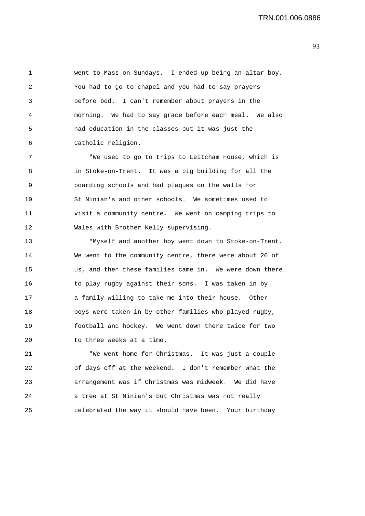1 went to Mass on Sundays. I ended up being an altar boy. 2 You had to go to chapel and you had to say prayers 3 before bed. I can't remember about prayers in the 4 morning. We had to say grace before each meal. We also 5 had education in the classes but it was just the 6 Catholic religion.

7 "We used to go to trips to Leitcham House, which is 8 in Stoke-on-Trent. It was a big building for all the 9 boarding schools and had plaques on the walls for 10 St Ninian's and other schools. We sometimes used to 11 visit a community centre. We went on camping trips to 12 Wales with Brother Kelly supervising.

13 "Myself and another boy went down to Stoke-on-Trent. 14 We went to the community centre, there were about 20 of 15 us, and then these families came in. We were down there 16 to play rugby against their sons. I was taken in by 17 a family willing to take me into their house. Other 18 boys were taken in by other families who played rugby, 19 football and hockey. We went down there twice for two 20 to three weeks at a time.

21 "We went home for Christmas. It was just a couple 22 of days off at the weekend. I don't remember what the 23 arrangement was if Christmas was midweek. We did have 24 a tree at St Ninian's but Christmas was not really 25 celebrated the way it should have been. Your birthday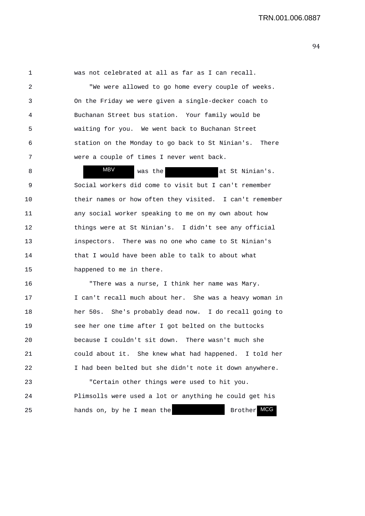1 was not celebrated at all as far as I can recall.

2 "We were allowed to go home every couple of weeks. 3 On the Friday we were given a single-decker coach to 4 Buchanan Street bus station. Your family would be 5 waiting for you. We went back to Buchanan Street 6 station on the Monday to go back to St Ninian's. There 7 were a couple of times I never went back.

8 WBV was the at St Ninian's. 9 Social workers did come to visit but I can't remember 10 their names or how often they visited. I can't remember 11 any social worker speaking to me on my own about how 12 things were at St Ninian's. I didn't see any official 13 inspectors. There was no one who came to St Ninian's 14 that I would have been able to talk to about what 15 happened to me in there. MBV

16 "There was a nurse, I think her name was Mary. 17 I can't recall much about her. She was a heavy woman in 18 her 50s. She's probably dead now. I do recall going to 19 see her one time after I got belted on the buttocks 20 because I couldn't sit down. There wasn't much she 21 could about it. She knew what had happened. I told her 22 I had been belted but she didn't note it down anywhere.

23 "Certain other things were used to hit you. 24 Plimsolls were used a lot or anything he could get his 25 hands on, by he I mean the Brother MCG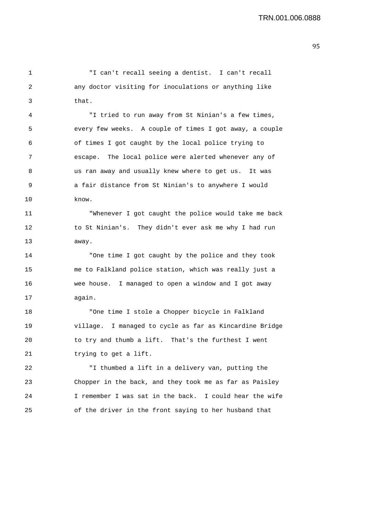1 "I can't recall seeing a dentist. I can't recall 2 any doctor visiting for inoculations or anything like 3 that.

4 "I tried to run away from St Ninian's a few times, 5 every few weeks. A couple of times I got away, a couple 6 of times I got caught by the local police trying to 7 escape. The local police were alerted whenever any of 8 us ran away and usually knew where to get us. It was 9 a fair distance from St Ninian's to anywhere I would 10 know.

11 "Whenever I got caught the police would take me back 12 to St Ninian's. They didn't ever ask me why I had run 13 away.

14 "One time I got caught by the police and they took 15 me to Falkland police station, which was really just a 16 wee house. I managed to open a window and I got away 17 again.

18 "One time I stole a Chopper bicycle in Falkland 19 village. I managed to cycle as far as Kincardine Bridge 20 to try and thumb a lift. That's the furthest I went 21 trying to get a lift.

22 "I thumbed a lift in a delivery van, putting the 23 Chopper in the back, and they took me as far as Paisley 24 I remember I was sat in the back. I could hear the wife 25 of the driver in the front saying to her husband that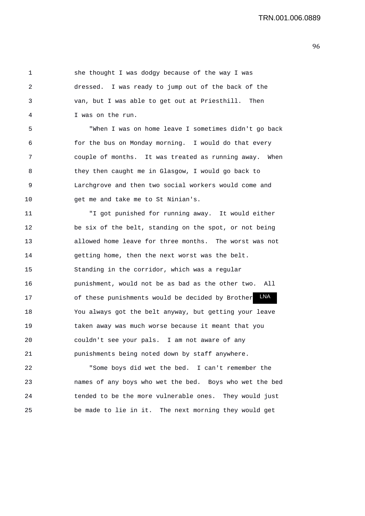1 she thought I was dodgy because of the way I was 2 dressed. I was ready to jump out of the back of the 3 van, but I was able to get out at Priesthill. Then 4 I was on the run. 5 "When I was on home leave I sometimes didn't go back 6 for the bus on Monday morning. I would do that every 7 couple of months. It was treated as running away. When 8 they then caught me in Glasgow, I would go back to 9 Larchgrove and then two social workers would come and 10 get me and take me to St Ninian's. 11 "I got punished for running away. It would either 12 be six of the belt, standing on the spot, or not being 13 allowed home leave for three months. The worst was not 14 getting home, then the next worst was the belt. 15 Standing in the corridor, which was a regular 16 punishment, would not be as bad as the other two. All 17 of these punishments would be decided by Brother LNA 18 You always got the belt anyway, but getting your leave 19 taken away was much worse because it meant that you 20 couldn't see your pals. I am not aware of any 21 punishments being noted down by staff anywhere. 22 "Some boys did wet the bed. I can't remember the

23 names of any boys who wet the bed. Boys who wet the bed 24 tended to be the more vulnerable ones. They would just 25 be made to lie in it. The next morning they would get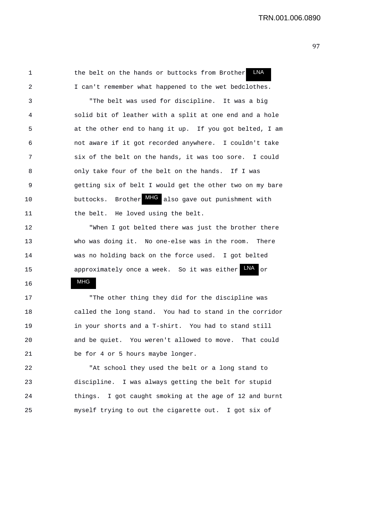1 the belt on the hands or buttocks from Brother 2 I can't remember what happened to the wet bedclothes. LNA

3 "The belt was used for discipline. It was a big 4 solid bit of leather with a split at one end and a hole 5 at the other end to hang it up. If you got belted, I am 6 not aware if it got recorded anywhere. I couldn't take 7 six of the belt on the hands, it was too sore. I could 8 only take four of the belt on the hands. If I was 9 getting six of belt I would get the other two on my bare 10 buttocks. Brother MHG also gave out punishment with 11 the belt. He loved using the belt.

12 "When I got belted there was just the brother there 13 who was doing it. No one-else was in the room. There 14 was no holding back on the force used. I got belted 15 approximately once a week. So it was either LNA or

MHG

16

17 "The other thing they did for the discipline was 18 called the long stand. You had to stand in the corridor 19 in your shorts and a T-shirt. You had to stand still 20 and be quiet. You weren't allowed to move. That could 21 be for 4 or 5 hours maybe longer.

22 "At school they used the belt or a long stand to 23 discipline. I was always getting the belt for stupid 24 things. I got caught smoking at the age of 12 and burnt 25 myself trying to out the cigarette out. I got six of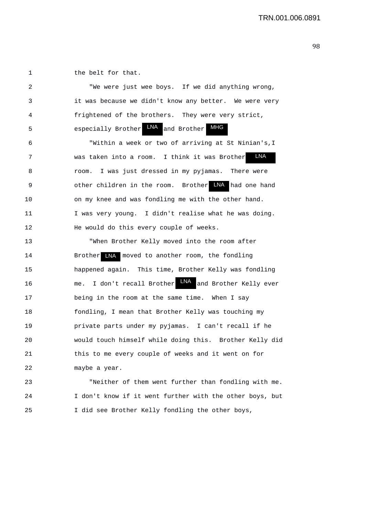1 the belt for that.

|                | "We were just wee boys. If we did anything wrong,      |
|----------------|--------------------------------------------------------|
| 3              | it was because we didn't know any better. We were very |
| $\overline{4}$ | frightened of the brothers. They were very strict,     |
| -5             | especially Brother LNA and Brother MHG                 |

6 "Within a week or two of arriving at St Ninian's,I 7 was taken into a room. I think it was Brother 8 room. I was just dressed in my pyjamas. There were 9 0 other children in the room. Brother LNA had one hand 10 on my knee and was fondling me with the other hand. 11 I was very young. I didn't realise what he was doing. 12 He would do this every couple of weeks. **LNA** 

13 "When Brother Kelly moved into the room after 14 Brother LNA moved to another room, the fondling 15 happened again. This time, Brother Kelly was fondling 16 me. I don't recall Brother LNA and Brother Kelly ever 17 being in the room at the same time. When I say 18 fondling, I mean that Brother Kelly was touching my 19 private parts under my pyjamas. I can't recall if he 20 would touch himself while doing this. Brother Kelly did 21 this to me every couple of weeks and it went on for 22 maybe a year.

23 "Neither of them went further than fondling with me. 24 I don't know if it went further with the other boys, but 25 I did see Brother Kelly fondling the other boys,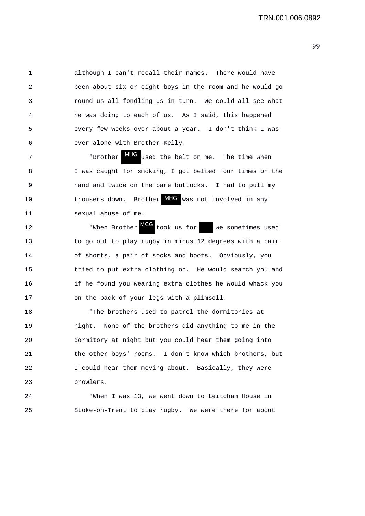1 although I can't recall their names. There would have 2 been about six or eight boys in the room and he would go 3 round us all fondling us in turn. We could all see what 4 he was doing to each of us. As I said, this happened 5 every few weeks over about a year. I don't think I was 6 ever alone with Brother Kelly.

7 The state of the state of the belt on me. The time when 8 I was caught for smoking, I got belted four times on the 9 hand and twice on the bare buttocks. I had to pull my 10 **trousers down.** Brother **MHG** was not involved in any 11 sexual abuse of me.

12 **When Brother** MCG took us for we sometimes used 13 to go out to play rugby in minus 12 degrees with a pair 14 of shorts, a pair of socks and boots. Obviously, you 15 tried to put extra clothing on. He would search you and 16 if he found you wearing extra clothes he would whack you 17 on the back of your legs with a plimsoll.

18 "The brothers used to patrol the dormitories at 19 night. None of the brothers did anything to me in the 20 dormitory at night but you could hear them going into 21 the other boys' rooms. I don't know which brothers, but 22 I could hear them moving about. Basically, they were 23 prowlers.

24 "When I was 13, we went down to Leitcham House in 25 Stoke-on-Trent to play rugby. We were there for about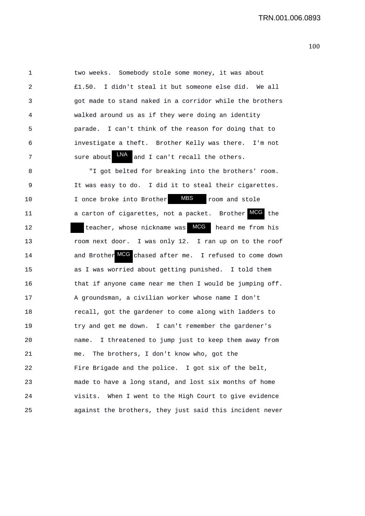1 two weeks. Somebody stole some money, it was about 2 £1.50. I didn't steal it but someone else did. We all 3 got made to stand naked in a corridor while the brothers 4 walked around us as if they were doing an identity 5 parade. I can't think of the reason for doing that to 6 investigate a theft. Brother Kelly was there. I'm not 7 Sure about  $\frac{LNA}{2}$  and I can't recall the others.

8 "I got belted for breaking into the brothers' room. 9 It was easy to do. I did it to steal their cigarettes. 10 10 I once broke into Brother MBS room and stole 11 a carton of cigarettes, not a packet. Brother MCG the 12 teacher, whose nickname was **MCG** heard me from his 13 room next door. I was only 12. I ran up on to the roof 14 and Brother MCG chased after me. I refused to come down 15 as I was worried about getting punished. I told them 16 that if anyone came near me then I would be jumping off. 17 A groundsman, a civilian worker whose name I don't 18 recall, got the gardener to come along with ladders to 19 try and get me down. I can't remember the gardener's 20 name. I threatened to jump just to keep them away from 21 me. The brothers, I don't know who, got the 22 Fire Brigade and the police. I got six of the belt, 23 made to have a long stand, and lost six months of home 24 visits. When I went to the High Court to give evidence 25 against the brothers, they just said this incident never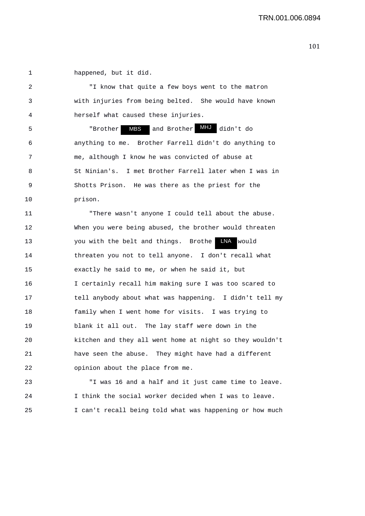1 happened, but it did.

2 "I know that quite a few boys went to the matron 3 with injuries from being belted. She would have known 4 herself what caused these injuries.

5 The "Brother MBS and Brother MHJ didn't do 6 anything to me. Brother Farrell didn't do anything to 7 me, although I know he was convicted of abuse at 8 St Ninian's. I met Brother Farrell later when I was in 9 Shotts Prison. He was there as the priest for the 10 prison. MBS

11 "There wasn't anyone I could tell about the abuse. 12 When you were being abused, the brother would threaten 13 You with the belt and things. Brothe LNA would 14 threaten you not to tell anyone. I don't recall what 15 exactly he said to me, or when he said it, but 16 I certainly recall him making sure I was too scared to 17 tell anybody about what was happening. I didn't tell my 18 family when I went home for visits. I was trying to 19 blank it all out. The lay staff were down in the 20 kitchen and they all went home at night so they wouldn't 21 have seen the abuse. They might have had a different 22 opinion about the place from me.

23 "I was 16 and a half and it just came time to leave. 24 I think the social worker decided when I was to leave. 25 I can't recall being told what was happening or how much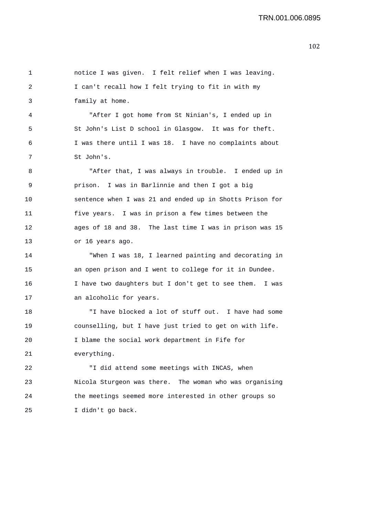1 notice I was given. I felt relief when I was leaving. 2 I can't recall how I felt trying to fit in with my 3 family at home. 4 "After I got home from St Ninian's, I ended up in 5 St John's List D school in Glasgow. It was for theft. 6 I was there until I was 18. I have no complaints about 7 St John's. 8 "After that, I was always in trouble. I ended up in 9 prison. I was in Barlinnie and then I got a big 10 sentence when I was 21 and ended up in Shotts Prison for 11 five years. I was in prison a few times between the 12 ages of 18 and 38. The last time I was in prison was 15 13 or 16 years ago. 14 "When I was 18, I learned painting and decorating in 15 an open prison and I went to college for it in Dundee. 16 I have two daughters but I don't get to see them. I was 17 an alcoholic for years. 18 "I have blocked a lot of stuff out. I have had some 19 counselling, but I have just tried to get on with life. 20 I blame the social work department in Fife for 21 everything. 22 "I did attend some meetings with INCAS, when 23 Nicola Sturgeon was there. The woman who was organising 24 the meetings seemed more interested in other groups so 25 I didn't go back.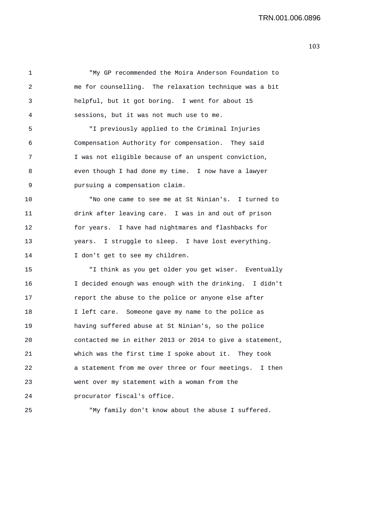1 "My GP recommended the Moira Anderson Foundation to 2 me for counselling. The relaxation technique was a bit 3 helpful, but it got boring. I went for about 15 4 sessions, but it was not much use to me. 5 "I previously applied to the Criminal Injuries 6 Compensation Authority for compensation. They said 7 I was not eligible because of an unspent conviction, 8 even though I had done my time. I now have a lawyer 9 pursuing a compensation claim. 10 "No one came to see me at St Ninian's. I turned to 11 drink after leaving care. I was in and out of prison 12 for years. I have had nightmares and flashbacks for 13 years. I struggle to sleep. I have lost everything. 14 I don't get to see my children. 15 "I think as you get older you get wiser. Eventually 16 I decided enough was enough with the drinking. I didn't 17 report the abuse to the police or anyone else after 18 I left care. Someone gave my name to the police as 19 having suffered abuse at St Ninian's, so the police 20 contacted me in either 2013 or 2014 to give a statement, 21 which was the first time I spoke about it. They took 22 a statement from me over three or four meetings. I then 23 went over my statement with a woman from the 24 procurator fiscal's office. 25 "My family don't know about the abuse I suffered.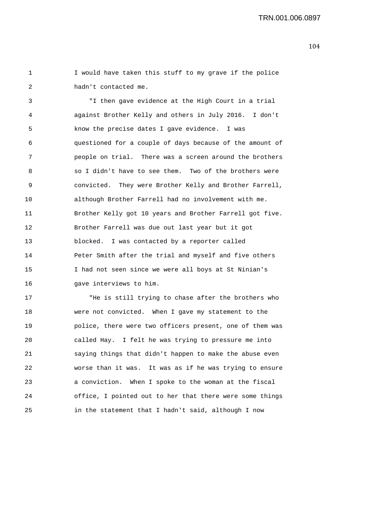1 I would have taken this stuff to my grave if the police 2 hadn't contacted me.

3 "I then gave evidence at the High Court in a trial 4 against Brother Kelly and others in July 2016. I don't 5 know the precise dates I gave evidence. I was 6 questioned for a couple of days because of the amount of 7 people on trial. There was a screen around the brothers 8 so I didn't have to see them. Two of the brothers were 9 convicted. They were Brother Kelly and Brother Farrell, 10 although Brother Farrell had no involvement with me. 11 Brother Kelly got 10 years and Brother Farrell got five. 12 Brother Farrell was due out last year but it got 13 blocked. I was contacted by a reporter called 14 Peter Smith after the trial and myself and five others 15 I had not seen since we were all boys at St Ninian's 16 gave interviews to him.

17 "He is still trying to chase after the brothers who 18 were not convicted. When I gave my statement to the 19 police, there were two officers present, one of them was 20 called Hay. I felt he was trying to pressure me into 21 saying things that didn't happen to make the abuse even 22 worse than it was. It was as if he was trying to ensure 23 a conviction. When I spoke to the woman at the fiscal 24 office, I pointed out to her that there were some things 25 in the statement that I hadn't said, although I now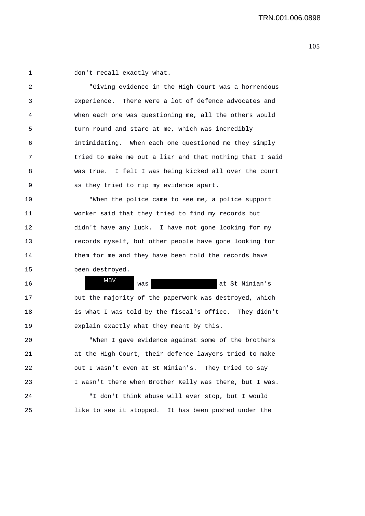1 don't recall exactly what.

2 "Giving evidence in the High Court was a horrendous 3 experience. There were a lot of defence advocates and 4 when each one was questioning me, all the others would 5 turn round and stare at me, which was incredibly 6 intimidating. When each one questioned me they simply 7 tried to make me out a liar and that nothing that I said 8 was true. I felt I was being kicked all over the court 9 as they tried to rip my evidence apart.

10 "When the police came to see me, a police support 11 worker said that they tried to find my records but 12 didn't have any luck. I have not gone looking for my 13 records myself, but other people have gone looking for 14 them for me and they have been told the records have 15 been destroyed.

16 at St Ninian's was at St Ninian's 17 but the majority of the paperwork was destroyed, which 18 is what I was told by the fiscal's office. They didn't 19 explain exactly what they meant by this. MBV

20 "When I gave evidence against some of the brothers 21 at the High Court, their defence lawyers tried to make 22 out I wasn't even at St Ninian's. They tried to say 23 I wasn't there when Brother Kelly was there, but I was. 24 "I don't think abuse will ever stop, but I would

25 like to see it stopped. It has been pushed under the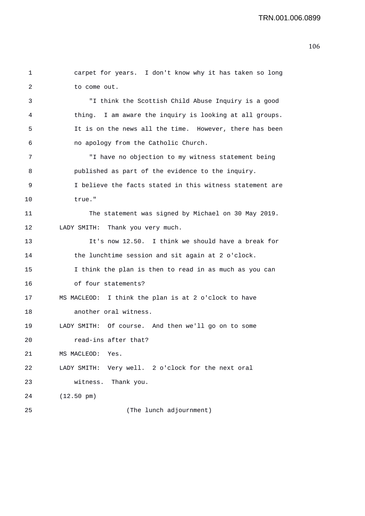```
1 carpet for years. I don't know why it has taken so long 
2 to come out. 
3 "I think the Scottish Child Abuse Inquiry is a good 
4 thing. I am aware the inquiry is looking at all groups. 
5 It is on the news all the time. However, there has been 
6 no apology from the Catholic Church. 
7 "I have no objection to my witness statement being 
8 published as part of the evidence to the inquiry. 
9 I believe the facts stated in this witness statement are 
10 true." 
11 The statement was signed by Michael on 30 May 2019. 
12 LADY SMITH: Thank you very much. 
13 It's now 12.50. I think we should have a break for 
14 the lunchtime session and sit again at 2 o'clock. 
15 I think the plan is then to read in as much as you can 
16 of four statements? 
17 MS MACLEOD: I think the plan is at 2 o'clock to have 
18 another oral witness. 
19 LADY SMITH: Of course. And then we'll go on to some 
20 read-ins after that? 
21 MS MACLEOD: Yes. 
22 LADY SMITH: Very well. 2 o'clock for the next oral 
23 witness. Thank you. 
24 (12.50 pm) 
25 (The lunch adjournment)
```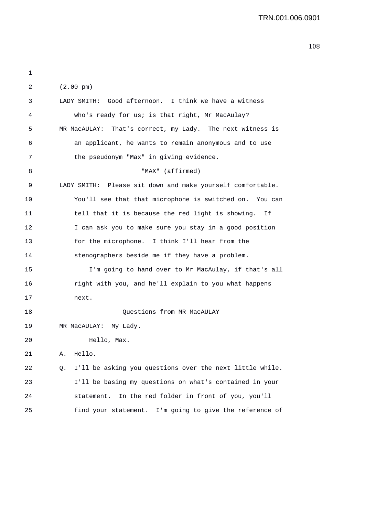| LADY SMITH: Good afternoon. I think we have a witness<br>3<br>who's ready for us; is that right, Mr MacAulay?<br>4<br>5<br>6<br>an applicant, he wants to remain anonymous and to use<br>the pseudonym "Max" in giving evidence.<br>7<br>"MAX" (affirmed)<br>8<br>9<br>10<br>tell that it is because the red light is showing.<br>11<br>Ιf<br>12<br>I can ask you to make sure you stay in a good position<br>for the microphone. I think I'll hear from the<br>13<br>14<br>stenographers beside me if they have a problem.<br>15<br>16<br>right with you, and he'll explain to you what happens<br>17<br>next.<br>18<br>Questions from MR MacAULAY<br>19<br>MR MacAULAY: My Lady.<br>20<br>Hello, Max.<br>Hello.<br>21<br>Α.<br>22<br>Q.<br>23<br>24<br>statement. In the red folder in front of you, you'll<br>25 | 2 | $(2.00 \text{ pm})$                                        |
|---------------------------------------------------------------------------------------------------------------------------------------------------------------------------------------------------------------------------------------------------------------------------------------------------------------------------------------------------------------------------------------------------------------------------------------------------------------------------------------------------------------------------------------------------------------------------------------------------------------------------------------------------------------------------------------------------------------------------------------------------------------------------------------------------------------------|---|------------------------------------------------------------|
|                                                                                                                                                                                                                                                                                                                                                                                                                                                                                                                                                                                                                                                                                                                                                                                                                     |   |                                                            |
|                                                                                                                                                                                                                                                                                                                                                                                                                                                                                                                                                                                                                                                                                                                                                                                                                     |   |                                                            |
|                                                                                                                                                                                                                                                                                                                                                                                                                                                                                                                                                                                                                                                                                                                                                                                                                     |   | MR MacAULAY: That's correct, my Lady. The next witness is  |
|                                                                                                                                                                                                                                                                                                                                                                                                                                                                                                                                                                                                                                                                                                                                                                                                                     |   |                                                            |
|                                                                                                                                                                                                                                                                                                                                                                                                                                                                                                                                                                                                                                                                                                                                                                                                                     |   |                                                            |
|                                                                                                                                                                                                                                                                                                                                                                                                                                                                                                                                                                                                                                                                                                                                                                                                                     |   |                                                            |
|                                                                                                                                                                                                                                                                                                                                                                                                                                                                                                                                                                                                                                                                                                                                                                                                                     |   | LADY SMITH: Please sit down and make yourself comfortable. |
|                                                                                                                                                                                                                                                                                                                                                                                                                                                                                                                                                                                                                                                                                                                                                                                                                     |   | You'll see that that microphone is switched on. You can    |
|                                                                                                                                                                                                                                                                                                                                                                                                                                                                                                                                                                                                                                                                                                                                                                                                                     |   |                                                            |
|                                                                                                                                                                                                                                                                                                                                                                                                                                                                                                                                                                                                                                                                                                                                                                                                                     |   |                                                            |
|                                                                                                                                                                                                                                                                                                                                                                                                                                                                                                                                                                                                                                                                                                                                                                                                                     |   |                                                            |
|                                                                                                                                                                                                                                                                                                                                                                                                                                                                                                                                                                                                                                                                                                                                                                                                                     |   |                                                            |
|                                                                                                                                                                                                                                                                                                                                                                                                                                                                                                                                                                                                                                                                                                                                                                                                                     |   | I'm going to hand over to Mr MacAulay, if that's all       |
|                                                                                                                                                                                                                                                                                                                                                                                                                                                                                                                                                                                                                                                                                                                                                                                                                     |   |                                                            |
|                                                                                                                                                                                                                                                                                                                                                                                                                                                                                                                                                                                                                                                                                                                                                                                                                     |   |                                                            |
|                                                                                                                                                                                                                                                                                                                                                                                                                                                                                                                                                                                                                                                                                                                                                                                                                     |   |                                                            |
|                                                                                                                                                                                                                                                                                                                                                                                                                                                                                                                                                                                                                                                                                                                                                                                                                     |   |                                                            |
|                                                                                                                                                                                                                                                                                                                                                                                                                                                                                                                                                                                                                                                                                                                                                                                                                     |   |                                                            |
|                                                                                                                                                                                                                                                                                                                                                                                                                                                                                                                                                                                                                                                                                                                                                                                                                     |   |                                                            |
|                                                                                                                                                                                                                                                                                                                                                                                                                                                                                                                                                                                                                                                                                                                                                                                                                     |   | I'll be asking you questions over the next little while.   |
|                                                                                                                                                                                                                                                                                                                                                                                                                                                                                                                                                                                                                                                                                                                                                                                                                     |   | I'll be basing my questions on what's contained in your    |
|                                                                                                                                                                                                                                                                                                                                                                                                                                                                                                                                                                                                                                                                                                                                                                                                                     |   |                                                            |
|                                                                                                                                                                                                                                                                                                                                                                                                                                                                                                                                                                                                                                                                                                                                                                                                                     |   | find your statement. I'm going to give the reference of    |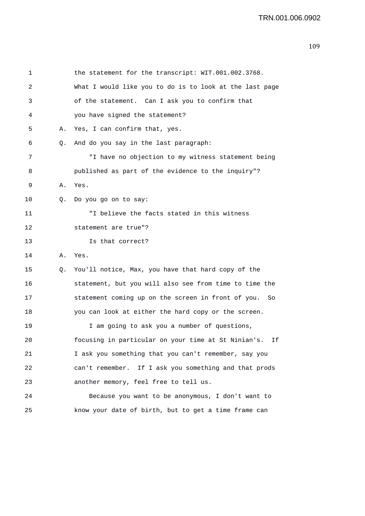1 2 3 the statement for the transcript: WIT.001.002.3768. What I would like you to do is to look at the last page of the statement. Can I ask you to confirm that 4 you have signed the statement? 5 A. Yes, I can confirm that, yes. 6 Q. And do you say in the last paragraph: 7 "I have no objection to my witness statement being 8 published as part of the evidence to the inquiry"? 9 A. Yes. 10 0. Do you go on to say: 11 "I believe the facts stated in this witness 12 statement are true"? 13 Is that correct? 14 A. Yes. 15 Q. You'll notice, Max, you have that hard copy of the 16 statement, but you will also see from time to time the 17 statement coming up on the screen in front of you. So 18 you can look at either the hard copy or the screen. 19 I am going to ask you a number of questions, 20 focusing in particular on your time at St Ninian's. If 21 I ask you something that you can't remember, say you 22 can't remember. If I ask you something and that prods 23 another memory, feel free to tell us. 24 Because you want to be anonymous, I don't want to 25 know your date of birth, but to get a time frame can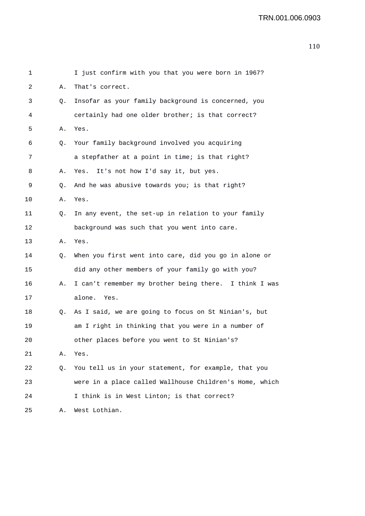| 1  |    | I just confirm with you that you were born in 1967?     |
|----|----|---------------------------------------------------------|
| 2  | Α. | That's correct.                                         |
| 3  | Q. | Insofar as your family background is concerned, you     |
| 4  |    | certainly had one older brother; is that correct?       |
| 5  | Α. | Yes.                                                    |
| 6  | Q. | Your family background involved you acquiring           |
| 7  |    | a stepfather at a point in time; is that right?         |
| 8  | Α. | It's not how I'd say it, but yes.<br>Yes.               |
| 9  | Q. | And he was abusive towards you; is that right?          |
| 10 | Α. | Yes.                                                    |
| 11 | Q. | In any event, the set-up in relation to your family     |
| 12 |    | background was such that you went into care.            |
| 13 | Α. | Yes.                                                    |
| 14 | Q. | When you first went into care, did you go in alone or   |
| 15 |    | did any other members of your family go with you?       |
| 16 | Α. | I can't remember my brother being there. I think I was  |
| 17 |    | alone.<br>Yes.                                          |
| 18 | Q. | As I said, we are going to focus on St Ninian's, but    |
| 19 |    | am I right in thinking that you were in a number of     |
| 20 |    | other places before you went to St Ninian's?            |
| 21 | Α. | Yes.                                                    |
| 22 | Q. | You tell us in your statement, for example, that you    |
| 23 |    | were in a place called Wallhouse Children's Home, which |
| 24 |    | I think is in West Linton; is that correct?             |
| 25 | Α. | West Lothian.                                           |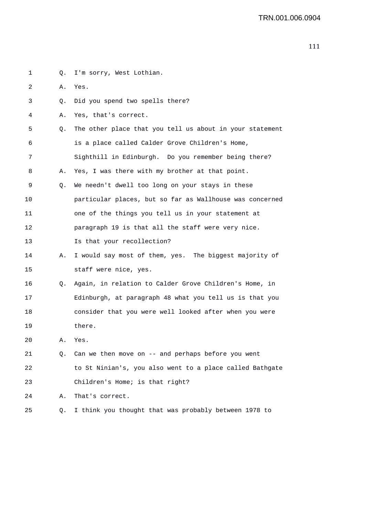| 1  | Q. | I'm sorry, West Lothian.                                 |
|----|----|----------------------------------------------------------|
| 2  | Α. | Yes.                                                     |
| 3  | Q. | Did you spend two spells there?                          |
| 4  | Α. | Yes, that's correct.                                     |
| 5  | Q. | The other place that you tell us about in your statement |
| 6  |    | is a place called Calder Grove Children's Home,          |
| 7  |    | Sighthill in Edinburgh. Do you remember being there?     |
| 8  | Α. | Yes, I was there with my brother at that point.          |
| 9  | Q. | We needn't dwell too long on your stays in these         |
| 10 |    | particular places, but so far as Wallhouse was concerned |
| 11 |    | one of the things you tell us in your statement at       |
| 12 |    | paragraph 19 is that all the staff were very nice.       |
| 13 |    | Is that your recollection?                               |
| 14 | А. | I would say most of them, yes. The biggest majority of   |
| 15 |    | staff were nice, yes.                                    |
| 16 | Q. | Again, in relation to Calder Grove Children's Home, in   |
| 17 |    | Edinburgh, at paragraph 48 what you tell us is that you  |
| 18 |    | consider that you were well looked after when you were   |
| 19 |    | there.                                                   |
| 20 | Α. | Yes.                                                     |
| 21 | Q. | Can we then move on -- and perhaps before you went       |
| 22 |    | to St Ninian's, you also went to a place called Bathgate |
| 23 |    | Children's Home; is that right?                          |
| 24 | Α. | That's correct.                                          |
| 25 | Q. | I think you thought that was probably between 1978 to    |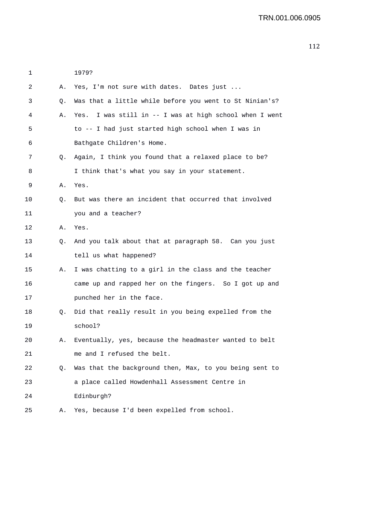| 1  |    | 1979?                                                   |
|----|----|---------------------------------------------------------|
| 2  | А. | Yes, I'm not sure with dates. Dates just                |
| 3  | Q. | Was that a little while before you went to St Ninian's? |
| 4  | Α. | Yes. I was still in -- I was at high school when I went |
| 5  |    | to -- I had just started high school when I was in      |
| 6  |    | Bathgate Children's Home.                               |
| 7  | Q. | Again, I think you found that a relaxed place to be?    |
| 8  |    | I think that's what you say in your statement.          |
| 9  | Α. | Yes.                                                    |
| 10 | Q. | But was there an incident that occurred that involved   |
| 11 |    | you and a teacher?                                      |
| 12 | А. | Yes.                                                    |
| 13 | О. | And you talk about that at paragraph 58. Can you just   |
| 14 |    | tell us what happened?                                  |
| 15 | Α. | I was chatting to a girl in the class and the teacher   |
| 16 |    | came up and rapped her on the fingers. So I got up and  |
| 17 |    | punched her in the face.                                |
| 18 | Q. | Did that really result in you being expelled from the   |
| 19 |    | school?                                                 |
| 20 | Α. | Eventually, yes, because the headmaster wanted to belt  |
| 21 |    | me and I refused the belt.                              |
| 22 | Q. | Was that the background then, Max, to you being sent to |
| 23 |    | a place called Howdenhall Assessment Centre in          |
| 24 |    | Edinburgh?                                              |
| 25 | Α. | Yes, because I'd been expelled from school.             |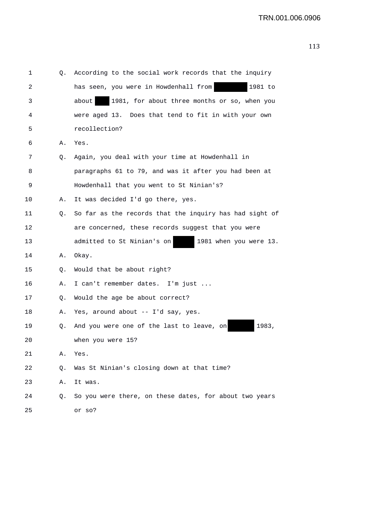|  | M<br>۰, |
|--|---------|

| 1  | Q. | According to the social work records that the inquiry   |
|----|----|---------------------------------------------------------|
| 2  |    | has seen, you were in Howdenhall from<br>1981 to        |
| 3  |    | 1981, for about three months or so, when you<br>about   |
| 4  |    | were aged 13. Does that tend to fit in with your own    |
| 5  |    | recollection?                                           |
| 6  | Α. | Yes.                                                    |
| 7  | Q. | Again, you deal with your time at Howdenhall in         |
| 8  |    | paragraphs 61 to 79, and was it after you had been at   |
| 9  |    | Howdenhall that you went to St Ninian's?                |
| 10 | Α. | It was decided I'd go there, yes.                       |
| 11 | Q. | So far as the records that the inquiry has had sight of |
| 12 |    | are concerned, these records suggest that you were      |
| 13 |    | admitted to St Ninian's on<br>1981 when you were 13.    |
| 14 | Α. | Okay.                                                   |
| 15 | Q. | Would that be about right?                              |
| 16 | Α. | I can't remember dates. I'm just                        |
| 17 | Q. | Would the age be about correct?                         |
| 18 | Α. | Yes, around about -- I'd say, yes.                      |
| 19 | Q. | 1983,<br>And you were one of the last to leave, on      |
| 20 |    | when you were 15?                                       |
| 21 | Α. | Yes.                                                    |
| 22 | Q. | Was St Ninian's closing down at that time?              |
| 23 | Α. | It was.                                                 |
| 24 | Q. | So you were there, on these dates, for about two years  |
| 25 |    | or so?                                                  |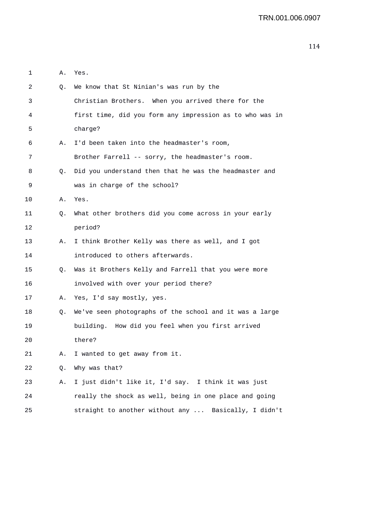| 1  | Α. | Yes.                                                       |
|----|----|------------------------------------------------------------|
| 2  | Q. | We know that St Ninian's was run by the                    |
| 3  |    | Christian Brothers. When you arrived there for the         |
| 4  |    | first time, did you form any impression as to who was in   |
| 5  |    | charge?                                                    |
| 6  | Α. | I'd been taken into the headmaster's room,                 |
| 7  |    | Brother Farrell -- sorry, the headmaster's room.           |
| 8  | Q. | Did you understand then that he was the headmaster and     |
| 9  |    | was in charge of the school?                               |
| 10 |    | A. Yes.                                                    |
| 11 | Q. | What other brothers did you come across in your early      |
| 12 |    | period?                                                    |
| 13 | Α. | I think Brother Kelly was there as well, and I got         |
| 14 |    | introduced to others afterwards.                           |
| 15 | Q. | Was it Brothers Kelly and Farrell that you were more       |
| 16 |    | involved with over your period there?                      |
| 17 | Α. | Yes, I'd say mostly, yes.                                  |
| 18 |    | Q. We've seen photographs of the school and it was a large |
| 19 |    | building. How did you feel when you first arrived          |
| 20 |    | there?                                                     |
| 21 | Α. | I wanted to get away from it.                              |
| 22 | Q. | Why was that?                                              |
| 23 | Α. | I just didn't like it, I'd say. I think it was just        |
| 24 |    | really the shock as well, being in one place and going     |
| 25 |    | straight to another without any  Basically, I didn't       |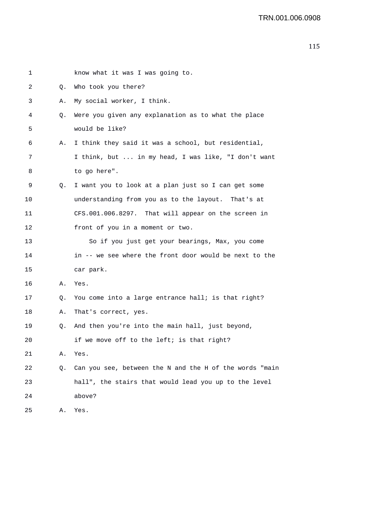| 1  |    | know what it was I was going to.                        |
|----|----|---------------------------------------------------------|
| 2  | Q. | Who took you there?                                     |
| 3  | Α. | My social worker, I think.                              |
| 4  | Q. | Were you given any explanation as to what the place     |
| 5  |    | would be like?                                          |
| 6  | Α. | I think they said it was a school, but residential,     |
| 7  |    | I think, but  in my head, I was like, "I don't want     |
| 8  |    | to go here".                                            |
| 9  | Q. | I want you to look at a plan just so I can get some     |
| 10 |    | understanding from you as to the layout. That's at      |
| 11 |    | CFS.001.006.8297. That will appear on the screen in     |
| 12 |    | front of you in a moment or two.                        |
| 13 |    | So if you just get your bearings, Max, you come         |
| 14 |    | in -- we see where the front door would be next to the  |
| 15 |    | car park.                                               |
| 16 | Α. | Yes.                                                    |
| 17 | Q. | You come into a large entrance hall; is that right?     |
| 18 | Α. | That's correct, yes.                                    |
| 19 | Q. | And then you're into the main hall, just beyond,        |
| 20 |    | if we move off to the left; is that right?              |
| 21 | Α. | Yes.                                                    |
| 22 | Q. | Can you see, between the N and the H of the words "main |
| 23 |    | hall", the stairs that would lead you up to the level   |
| 24 |    | above?                                                  |
| 25 | Α. | Yes.                                                    |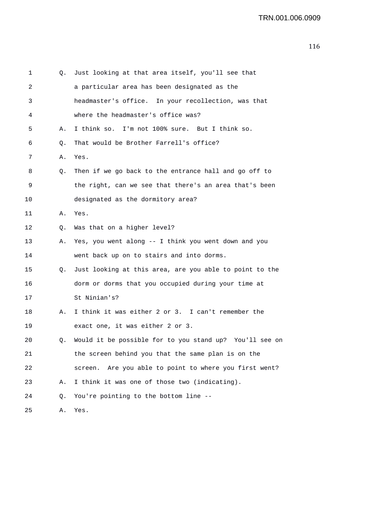| 1  | Q. | Just looking at that area itself, you'll see that          |
|----|----|------------------------------------------------------------|
| 2  |    | a particular area has been designated as the               |
| 3  |    | headmaster's office. In your recollection, was that        |
| 4  |    | where the headmaster's office was?                         |
| 5  | А. | I think so. I'm not 100% sure. But I think so.             |
| 6  | Q. | That would be Brother Farrell's office?                    |
| 7  | Α. | Yes.                                                       |
| 8  | Q. | Then if we go back to the entrance hall and go off to      |
| 9  |    | the right, can we see that there's an area that's been     |
| 10 |    | designated as the dormitory area?                          |
| 11 | А. | Yes.                                                       |
| 12 | Q. | Was that on a higher level?                                |
| 13 | Α. | Yes, you went along -- I think you went down and you       |
| 14 |    | went back up on to stairs and into dorms.                  |
| 15 | Q. | Just looking at this area, are you able to point to the    |
| 16 |    | dorm or dorms that you occupied during your time at        |
| 17 |    | St Ninian's?                                               |
| 18 | Α. | I think it was either 2 or 3. I can't remember the         |
| 19 |    | exact one, it was either 2 or 3.                           |
| 20 | О. | Would it be possible for to you stand up?<br>You'll see on |
| 21 |    | the screen behind you that the same plan is on the         |
| 22 |    | Are you able to point to where you first went?<br>screen.  |
| 23 | Α. | I think it was one of those two (indicating).              |
| 24 | Q. | You're pointing to the bottom line --                      |
| 25 | Α. | Yes.                                                       |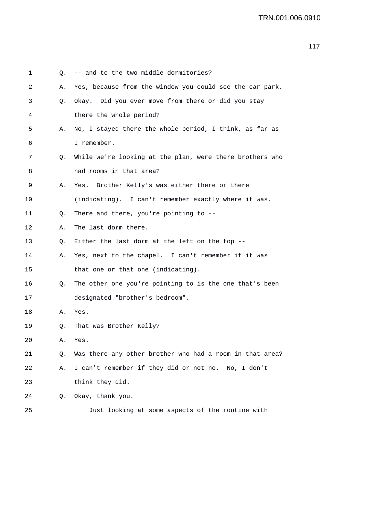| 1  |    | Q. -- and to the two middle dormitories?                 |
|----|----|----------------------------------------------------------|
| 2  | А. | Yes, because from the window you could see the car park. |
| 3  | Q. | Okay. Did you ever move from there or did you stay       |
| 4  |    | there the whole period?                                  |
| 5  | А. | No, I stayed there the whole period, I think, as far as  |
| 6  |    | I remember.                                              |
| 7  | Q. | While we're looking at the plan, were there brothers who |
| 8  |    | had rooms in that area?                                  |
| 9  | Α. | Yes. Brother Kelly's was either there or there           |
| 10 |    | (indicating). I can't remember exactly where it was.     |
| 11 | Q. | There and there, you're pointing to --                   |
| 12 | Α. | The last dorm there.                                     |
| 13 | Q. | Either the last dorm at the left on the top $-$ -        |
| 14 | Α. | Yes, next to the chapel. I can't remember if it was      |
| 15 |    | that one or that one (indicating).                       |
| 16 | Q. | The other one you're pointing to is the one that's been  |
| 17 |    | designated "brother's bedroom".                          |
| 18 | Α. | Yes.                                                     |
| 19 | Q. | That was Brother Kelly?                                  |
| 20 | Α. | Yes.                                                     |
| 21 | Q. | Was there any other brother who had a room in that area? |
| 22 | Α. | I can't remember if they did or not no. No, I don't      |
| 23 |    | think they did.                                          |
| 24 | Q. | Okay, thank you.                                         |
| 25 |    | Just looking at some aspects of the routine with         |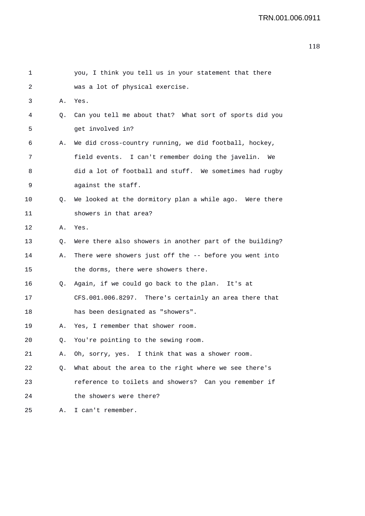| 1       |    | you, I think you tell us in your statement that there    |
|---------|----|----------------------------------------------------------|
| 2       |    | was a lot of physical exercise.                          |
| 3       | Α. | Yes.                                                     |
| 4       | Q. | Can you tell me about that? What sort of sports did you  |
| 5       |    | get involved in?                                         |
| 6       | Α. | We did cross-country running, we did football, hockey,   |
| 7       |    | field events. I can't remember doing the javelin.<br>We  |
| 8       |    | did a lot of football and stuff. We sometimes had rugby  |
| 9       |    | against the staff.                                       |
| $10 \,$ | Q. | We looked at the dormitory plan a while ago. Were there  |
| 11      |    | showers in that area?                                    |
| 12      | А. | Yes.                                                     |
| 13      | Q. | Were there also showers in another part of the building? |
| 14      | Α. | There were showers just off the -- before you went into  |
| 15      |    | the dorms, there were showers there.                     |
| 16      | Q. | Again, if we could go back to the plan. It's at          |
| 17      |    | CFS.001.006.8297. There's certainly an area there that   |
| 18      |    | has been designated as "showers".                        |
| 19      | Α. | Yes, I remember that shower room.                        |
| 20      | Q. | You're pointing to the sewing room.                      |
| 21      | Α. | Oh, sorry, yes. I think that was a shower room.          |
| 22      | Q. | What about the area to the right where we see there's    |
| 23      |    | reference to toilets and showers? Can you remember if    |
| 24      |    | the showers were there?                                  |
| 25      |    | A. I can't remember.                                     |
|         |    |                                                          |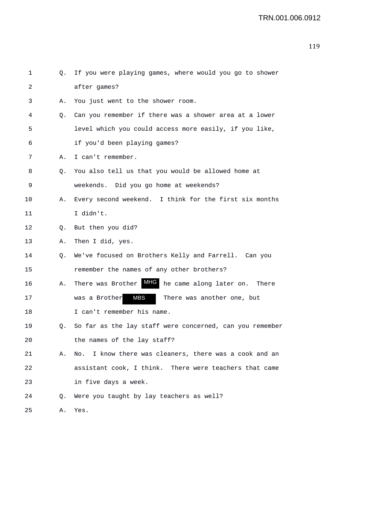| 1  | Q. | If you were playing games, where would you go to shower   |
|----|----|-----------------------------------------------------------|
| 2  |    | after games?                                              |
| 3  | Α. | You just went to the shower room.                         |
| 4  | Q. | Can you remember if there was a shower area at a lower    |
| 5  |    | level which you could access more easily, if you like,    |
| 6  |    | if you'd been playing games?                              |
| 7  | Α. | I can't remember.                                         |
| 8  | Q. | You also tell us that you would be allowed home at        |
| 9  |    | weekends. Did you go home at weekends?                    |
| 10 | Α. | Every second weekend. I think for the first six months    |
| 11 |    | I didn't.                                                 |
| 12 | Q. | But then you did?                                         |
| 13 | Α. | Then I did, yes.                                          |
| 14 | Q. | We've focused on Brothers Kelly and Farrell. Can you      |
| 15 |    | remember the names of any other brothers?                 |
| 16 | Α. | There was Brother MHG<br>he came along later on. There    |
| 17 |    | MBS<br>was a Brother<br>There was another one, but        |
| 18 |    | I can't remember his name.                                |
| 19 | Q. | So far as the lay staff were concerned, can you remember  |
| 20 |    | the names of the lay staff?                               |
| 21 | Α. | I know there was cleaners, there was a cook and an<br>No. |
| 22 |    | assistant cook, I think. There were teachers that came    |
| 23 |    | in five days a week.                                      |
| 24 | Q. | Were you taught by lay teachers as well?                  |
| 25 | Α. | Yes.                                                      |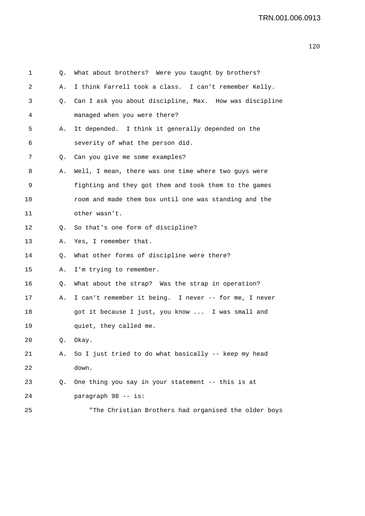| 1  | Q. | What about brothers? Were you taught by brothers?       |
|----|----|---------------------------------------------------------|
| 2  | Α. | I think Farrell took a class. I can't remember Kelly.   |
| 3  | Q. | Can I ask you about discipline, Max. How was discipline |
| 4  |    | managed when you were there?                            |
| 5  | Α. | It depended. I think it generally depended on the       |
| 6  |    | severity of what the person did.                        |
| 7  | Q. | Can you give me some examples?                          |
| 8  | Α. | Well, I mean, there was one time where two guys were    |
| 9  |    | fighting and they got them and took them to the games   |
| 10 |    | room and made them box until one was standing and the   |
| 11 |    | other wasn't.                                           |
| 12 | Q. | So that's one form of discipline?                       |
| 13 | Α. | Yes, I remember that.                                   |
| 14 | Q. | What other forms of discipline were there?              |
| 15 | Α. | I'm trying to remember.                                 |
| 16 | Q. | What about the strap? Was the strap in operation?       |
| 17 | Α. | I can't remember it being. I never -- for me, I never   |
| 18 |    | got it because I just, you know  I was small and        |
| 19 |    | quiet, they called me.                                  |
| 20 | Q. | Okay.                                                   |
| 21 | Α. | So I just tried to do what basically -- keep my head    |
| 22 |    | down.                                                   |
| 23 | Q. | One thing you say in your statement -- this is at       |
| 24 |    | paragraph 98 -- is:                                     |
| 25 |    | "The Christian Brothers had organised the older boys    |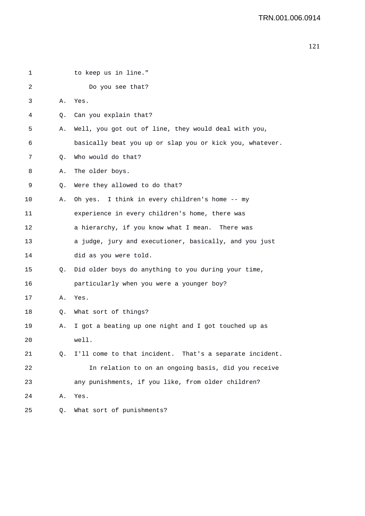| 1  |    | to keep us in line."                                     |
|----|----|----------------------------------------------------------|
| 2  |    | Do you see that?                                         |
| 3  | Α. | Yes.                                                     |
| 4  | Q. | Can you explain that?                                    |
| 5  | Α. | Well, you got out of line, they would deal with you,     |
| 6  |    | basically beat you up or slap you or kick you, whatever. |
| 7  | Q. | Who would do that?                                       |
| 8  | Α. | The older boys.                                          |
| 9  | Q. | Were they allowed to do that?                            |
| 10 | Α. | Oh yes. I think in every children's home -- my           |
| 11 |    | experience in every children's home, there was           |
| 12 |    | a hierarchy, if you know what I mean.<br>There was       |
| 13 |    | a judge, jury and executioner, basically, and you just   |
| 14 |    | did as you were told.                                    |
| 15 | Q. | Did older boys do anything to you during your time,      |
| 16 |    | particularly when you were a younger boy?                |
| 17 | Α. | Yes.                                                     |
| 18 | Q. | What sort of things?                                     |
| 19 | Α. | I got a beating up one night and I got touched up as     |
| 20 |    | well.                                                    |
| 21 | О. | I'll come to that incident. That's a separate incident.  |
| 22 |    | In relation to on an ongoing basis, did you receive      |
| 23 |    | any punishments, if you like, from older children?       |
| 24 | Α. | Yes.                                                     |
| 25 | Q. | What sort of punishments?                                |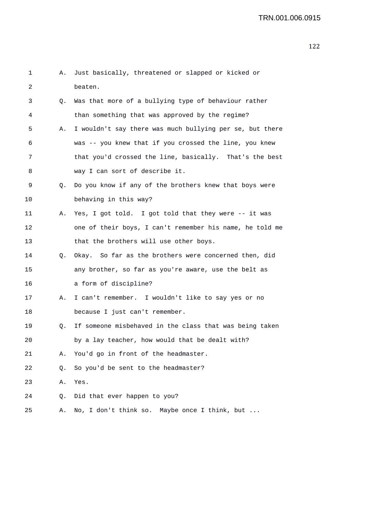| 1  | Α. | Just basically, threatened or slapped or kicked or       |
|----|----|----------------------------------------------------------|
| 2  |    | beaten.                                                  |
| 3  | Q. | Was that more of a bullying type of behaviour rather     |
| 4  |    | than something that was approved by the regime?          |
| 5  | Α. | I wouldn't say there was much bullying per se, but there |
| 6  |    | was -- you knew that if you crossed the line, you knew   |
| 7  |    | that you'd crossed the line, basically. That's the best  |
| 8  |    | way I can sort of describe it.                           |
| 9  | Q. | Do you know if any of the brothers knew that boys were   |
| 10 |    | behaving in this way?                                    |
| 11 | Α. | Yes, I got told. I got told that they were -- it was     |
| 12 |    | one of their boys, I can't remember his name, he told me |
| 13 |    | that the brothers will use other boys.                   |
| 14 | Q. | Okay. So far as the brothers were concerned then, did    |
| 15 |    | any brother, so far as you're aware, use the belt as     |
| 16 |    | a form of discipline?                                    |
| 17 | Α. | I can't remember. I wouldn't like to say yes or no       |
| 18 |    | because I just can't remember.                           |
| 19 | Q. | If someone misbehaved in the class that was being taken  |
| 20 |    | by a lay teacher, how would that be dealt with?          |
| 21 | Α. | You'd go in front of the headmaster.                     |
| 22 | Q. | So you'd be sent to the headmaster?                      |
| 23 | Α. | Yes.                                                     |
| 24 | Q. | Did that ever happen to you?                             |
| 25 | Α. | No, I don't think so. Maybe once I think, but            |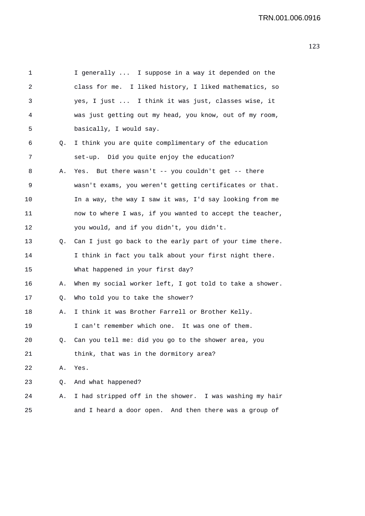1 I generally ... I suppose in a way it depended on the 2 class for me. I liked history, I liked mathematics, so 3 yes, I just ... I think it was just, classes wise, it 4 was just getting out my head, you know, out of my room, 5 basically, I would say. 6 Q. I think you are quite complimentary of the education 7 set-up. Did you quite enjoy the education? 8 A. Yes. But there wasn't -- you couldn't get -- there 9 wasn't exams, you weren't getting certificates or that. 10 In a way, the way I saw it was, I'd say looking from me 11 now to where I was, if you wanted to accept the teacher, 12 you would, and if you didn't, you didn't. 13 Q. Can I just go back to the early part of your time there. 14 I think in fact you talk about your first night there. 15 What happened in your first day? 16 A. When my social worker left, I got told to take a shower. 17 Q. Who told you to take the shower? 18 A. I think it was Brother Farrell or Brother Kelly. 19 I can't remember which one. It was one of them. 20 Q. Can you tell me: did you go to the shower area, you 21 think, that was in the dormitory area? 22 A. Yes. 23 Q. And what happened? 24 A. I had stripped off in the shower. I was washing my hair 25 and I heard a door open. And then there was a group of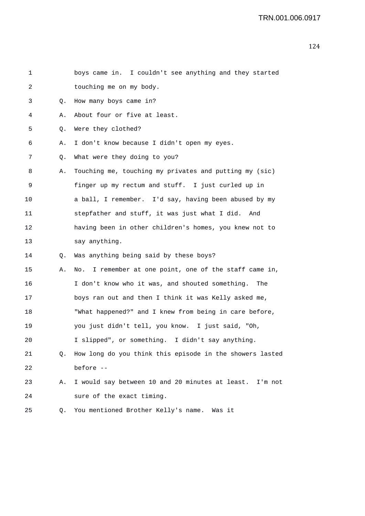| 1  |    | boys came in. I couldn't see anything and they started   |
|----|----|----------------------------------------------------------|
| 2  |    | touching me on my body.                                  |
| 3  | Q. | How many boys came in?                                   |
| 4  | Α. | About four or five at least.                             |
| 5  | Q. | Were they clothed?                                       |
| 6  | Α. | I don't know because I didn't open my eyes.              |
| 7  | Q. | What were they doing to you?                             |
| 8  | Α. | Touching me, touching my privates and putting my (sic)   |
| 9  |    | finger up my rectum and stuff. I just curled up in       |
| 10 |    | a ball, I remember. I'd say, having been abused by my    |
| 11 |    | stepfather and stuff, it was just what I did. And        |
| 12 |    | having been in other children's homes, you knew not to   |
| 13 |    | say anything.                                            |
| 14 | Q. | Was anything being said by these boys?                   |
| 15 | Α. | No. I remember at one point, one of the staff came in,   |
| 16 |    | I don't know who it was, and shouted something. The      |
| 17 |    | boys ran out and then I think it was Kelly asked me,     |
| 18 |    | "What happened?" and I knew from being in care before,   |
| 19 |    | you just didn't tell, you know. I just said, "Oh,        |
| 20 |    | I slipped", or something. I didn't say anything.         |
| 21 | Q. | How long do you think this episode in the showers lasted |
| 22 |    | before --                                                |
| 23 | Α. | I would say between 10 and 20 minutes at least. I'm not  |
| 24 |    | sure of the exact timing.                                |
| 25 | Q. | You mentioned Brother Kelly's name.<br>Was it            |
|    |    |                                                          |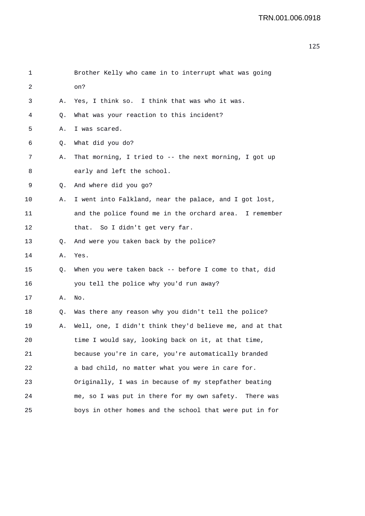| 1  |    | Brother Kelly who came in to interrupt what was going    |
|----|----|----------------------------------------------------------|
| 2  |    | on?                                                      |
| 3  | Α. | Yes, I think so. I think that was who it was.            |
| 4  | Q. | What was your reaction to this incident?                 |
| 5  | Α. | I was scared.                                            |
| 6  | Q. | What did you do?                                         |
| 7  | Α. | That morning, I tried to -- the next morning, I got up   |
| 8  |    | early and left the school.                               |
| 9  | Q. | And where did you go?                                    |
| 10 | Α. | I went into Falkland, near the palace, and I got lost,   |
| 11 |    | and the police found me in the orchard area. I remember  |
| 12 |    | that. So I didn't get very far.                          |
| 13 | Q. | And were you taken back by the police?                   |
| 14 | Α. | Yes.                                                     |
| 15 | Q. | When you were taken back -- before I come to that, did   |
| 16 |    | you tell the police why you'd run away?                  |
| 17 | Α. | No.                                                      |
| 18 | Q. | Was there any reason why you didn't tell the police?     |
| 19 | Α. | Well, one, I didn't think they'd believe me, and at that |
| 20 |    | time I would say, looking back on it, at that time,      |
| 21 |    | because you're in care, you're automatically branded     |
| 22 |    | a bad child, no matter what you were in care for.        |
| 23 |    | Originally, I was in because of my stepfather beating    |
| 24 |    | me, so I was put in there for my own safety. There was   |
| 25 |    | boys in other homes and the school that were put in for  |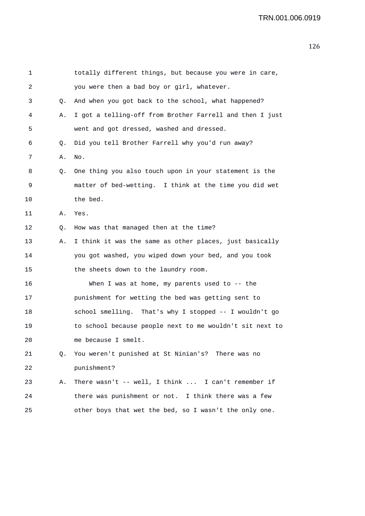| 1  |    | totally different things, but because you were in care,  |
|----|----|----------------------------------------------------------|
| 2  |    | you were then a bad boy or girl, whatever.               |
| 3  | Q. | And when you got back to the school, what happened?      |
| 4  | Α. | I got a telling-off from Brother Farrell and then I just |
| 5  |    | went and got dressed, washed and dressed.                |
| 6  | Q. | Did you tell Brother Farrell why you'd run away?         |
| 7  | Α. | No.                                                      |
| 8  | Q. | One thing you also touch upon in your statement is the   |
| 9  |    | matter of bed-wetting. I think at the time you did wet   |
| 10 |    | the bed.                                                 |
| 11 | Α. | Yes.                                                     |
| 12 | Q. | How was that managed then at the time?                   |
| 13 | Α. | I think it was the same as other places, just basically  |
| 14 |    | you got washed, you wiped down your bed, and you took    |
| 15 |    | the sheets down to the laundry room.                     |
| 16 |    | When I was at home, my parents used to $-$ - the         |
| 17 |    | punishment for wetting the bed was getting sent to       |
| 18 |    | school smelling. That's why I stopped -- I wouldn't go   |
| 19 |    | to school because people next to me wouldn't sit next to |
| 20 |    | me because I smelt.                                      |
| 21 | Q. | You weren't punished at St Ninian's? There was no        |
| 22 |    | punishment?                                              |
| 23 | Α. | There wasn't -- well, I think  I can't remember if       |
| 24 |    | there was punishment or not. I think there was a few     |
| 25 |    | other boys that wet the bed, so I wasn't the only one.   |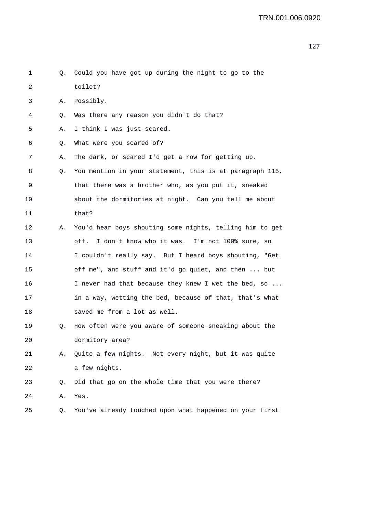| 1  | Q. | Could you have got up during the night to go to the      |
|----|----|----------------------------------------------------------|
| 2  |    | toilet?                                                  |
| 3  | Α. | Possibly.                                                |
| 4  | Q. | Was there any reason you didn't do that?                 |
| 5  | Α. | I think I was just scared.                               |
| 6  | Q. | What were you scared of?                                 |
| 7  | Α. | The dark, or scared I'd get a row for getting up.        |
| 8  | Q. | You mention in your statement, this is at paragraph 115, |
| 9  |    | that there was a brother who, as you put it, sneaked     |
| 10 |    | about the dormitories at night. Can you tell me about    |
| 11 |    | that?                                                    |
| 12 | Α. | You'd hear boys shouting some nights, telling him to get |
| 13 |    | I don't know who it was. I'm not 100% sure, so<br>off.   |
| 14 |    | I couldn't really say. But I heard boys shouting, "Get   |
| 15 |    | off me", and stuff and it'd go quiet, and then  but      |
| 16 |    | I never had that because they knew I wet the bed, so     |
| 17 |    | in a way, wetting the bed, because of that, that's what  |
| 18 |    | saved me from a lot as well.                             |
| 19 | Q. | How often were you aware of someone sneaking about the   |
| 20 |    | dormitory area?                                          |
| 21 | Α. | Quite a few nights. Not every night, but it was quite    |
| 22 |    | a few nights.                                            |
| 23 | Q. | Did that go on the whole time that you were there?       |
| 24 | Α. | Yes.                                                     |
| 25 | Q. | You've already touched upon what happened on your first  |
|    |    |                                                          |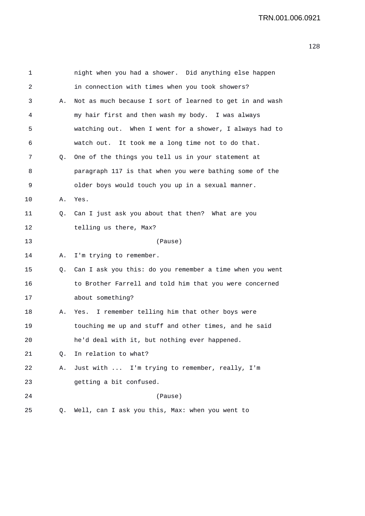| 1  |    | night when you had a shower. Did anything else happen    |
|----|----|----------------------------------------------------------|
| 2  |    | in connection with times when you took showers?          |
| 3  | Α. | Not as much because I sort of learned to get in and wash |
| 4  |    | my hair first and then wash my body. I was always        |
| 5  |    | watching out. When I went for a shower, I always had to  |
| 6  |    | watch out. It took me a long time not to do that.        |
| 7  | Q. | One of the things you tell us in your statement at       |
| 8  |    | paragraph 117 is that when you were bathing some of the  |
| 9  |    | older boys would touch you up in a sexual manner.        |
| 10 | Α. | Yes.                                                     |
| 11 | Q. | Can I just ask you about that then? What are you         |
| 12 |    | telling us there, Max?                                   |
| 13 |    | (Pause)                                                  |
| 14 | Α. | I'm trying to remember.                                  |
| 15 | Q. | Can I ask you this: do you remember a time when you went |
| 16 |    | to Brother Farrell and told him that you were concerned  |
| 17 |    | about something?                                         |
| 18 | Α. | Yes. I remember telling him that other boys were         |
| 19 |    | touching me up and stuff and other times, and he said    |
| 20 |    | he'd deal with it, but nothing ever happened.            |
| 21 | Q. | In relation to what?                                     |
| 22 | Α. | Just with  I'm trying to remember, really, I'm           |
| 23 |    | getting a bit confused.                                  |
| 24 |    | (Pause)                                                  |
| 25 | Q. | Well, can I ask you this, Max: when you went to          |
|    |    |                                                          |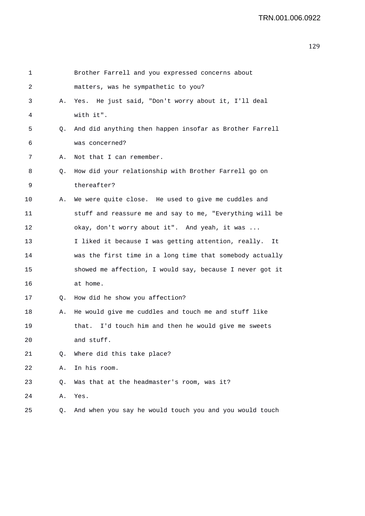| 1  |    | Brother Farrell and you expressed concerns about          |
|----|----|-----------------------------------------------------------|
| 2  |    | matters, was he sympathetic to you?                       |
| 3  | Α. | Yes. He just said, "Don't worry about it, I'll deal       |
| 4  |    | with it".                                                 |
| 5  | Q. | And did anything then happen insofar as Brother Farrell   |
| 6  |    | was concerned?                                            |
| 7  | Α. | Not that I can remember.                                  |
| 8  | Q. | How did your relationship with Brother Farrell go on      |
| 9  |    | thereafter?                                               |
| 10 | Α. | We were quite close. He used to give me cuddles and       |
| 11 |    | stuff and reassure me and say to me, "Everything will be  |
| 12 |    | okay, don't worry about it". And yeah, it was             |
| 13 |    | I liked it because I was getting attention, really.<br>It |
| 14 |    | was the first time in a long time that somebody actually  |
| 15 |    | showed me affection, I would say, because I never got it  |
| 16 |    | at home.                                                  |
| 17 | 0. | How did he show you affection?                            |
| 18 | Α. | He would give me cuddles and touch me and stuff like      |
| 19 |    | I'd touch him and then he would give me sweets<br>that.   |
| 20 |    | and stuff.                                                |
| 21 | О. | Where did this take place?                                |
| 22 | Α. | In his room.                                              |
| 23 | Q. | Was that at the headmaster's room, was it?                |
| 24 | Α. | Yes.                                                      |
| 25 | Q. | And when you say he would touch you and you would touch   |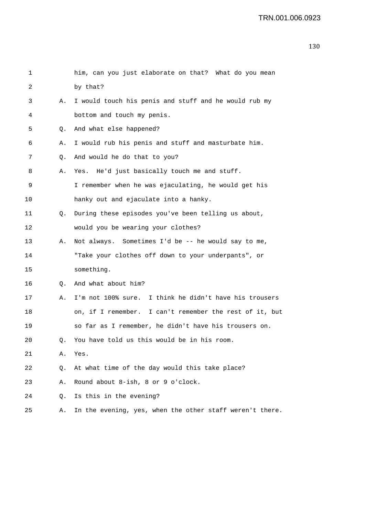| 1  |    | him, can you just elaborate on that? What do you mean    |
|----|----|----------------------------------------------------------|
| 2  |    | by that?                                                 |
| 3  | Α. | I would touch his penis and stuff and he would rub my    |
| 4  |    | bottom and touch my penis.                               |
| 5  | Q. | And what else happened?                                  |
| 6  | Α. | I would rub his penis and stuff and masturbate him.      |
| 7  | Q. | And would he do that to you?                             |
| 8  | Α. | Yes. He'd just basically touch me and stuff.             |
| 9  |    | I remember when he was ejaculating, he would get his     |
| 10 |    | hanky out and ejaculate into a hanky.                    |
| 11 | Q. | During these episodes you've been telling us about,      |
| 12 |    | would you be wearing your clothes?                       |
| 13 | Α. | Not always. Sometimes I'd be -- he would say to me,      |
| 14 |    | "Take your clothes off down to your underpants", or      |
| 15 |    | something.                                               |
| 16 | Q. | And what about him?                                      |
| 17 | Α. | I'm not 100% sure. I think he didn't have his trousers   |
| 18 |    | on, if I remember. I can't remember the rest of it, but  |
| 19 |    | so far as I remember, he didn't have his trousers on.    |
| 20 |    | You have told us this would be in his room.              |
| 21 | Α. | Yes.                                                     |
| 22 | Q. | At what time of the day would this take place?           |
| 23 | Α. | Round about 8-ish, 8 or 9 o'clock.                       |
| 24 | Q. | Is this in the evening?                                  |
| 25 | Α. | In the evening, yes, when the other staff weren't there. |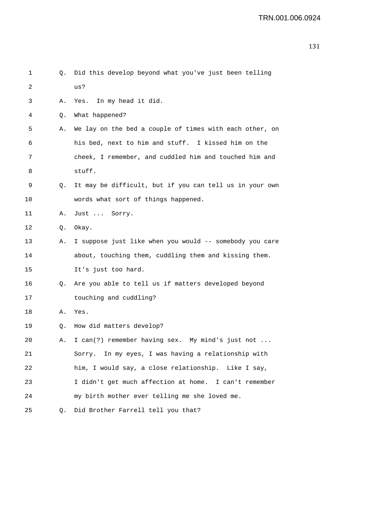| 1       | Q. | Did this develop beyond what you've just been telling   |
|---------|----|---------------------------------------------------------|
| 2       |    | us?                                                     |
| 3       | Α. | In my head it did.<br>Yes.                              |
| 4       | Q. | What happened?                                          |
| 5       | Α. | We lay on the bed a couple of times with each other, on |
| 6       |    | his bed, next to him and stuff. I kissed him on the     |
| 7       |    | cheek, I remember, and cuddled him and touched him and  |
| 8       |    | stuff.                                                  |
| 9       | Q. | It may be difficult, but if you can tell us in your own |
| $10 \,$ |    | words what sort of things happened.                     |
| 11      | Α. | Just  Sorry.                                            |
| 12      | Q. | Okay.                                                   |
| 13      | Α. | I suppose just like when you would -- somebody you care |
| 14      |    | about, touching them, cuddling them and kissing them.   |
| 15      |    | It's just too hard.                                     |
| 16      | Q. | Are you able to tell us if matters developed beyond     |
| 17      |    | touching and cuddling?                                  |
| 18      | Α. | Yes.                                                    |
| 19      | Q. | How did matters develop?                                |
| 20      | Α. | I can(?) remember having sex.<br>My mind's just not     |
| 21      |    | Sorry. In my eyes, I was having a relationship with     |
| 22      |    | him, I would say, a close relationship. Like I say,     |
| 23      |    | I didn't get much affection at home. I can't remember   |
| 24      |    | my birth mother ever telling me she loved me.           |
| 25      | Q. | Did Brother Farrell tell you that?                      |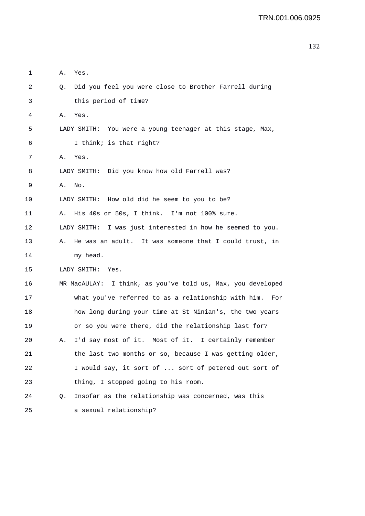| 1  | Α. | Yes.                                                        |
|----|----|-------------------------------------------------------------|
| 2  | Q. | Did you feel you were close to Brother Farrell during       |
| 3  |    | this period of time?                                        |
| 4  | Α. | Yes.                                                        |
| 5  |    | LADY SMITH: You were a young teenager at this stage, Max,   |
| 6  |    | I think; is that right?                                     |
| 7  | Α. | Yes.                                                        |
| 8  |    | LADY SMITH: Did you know how old Farrell was?               |
| 9  | Α. | No.                                                         |
| 10 |    | LADY SMITH: How old did he seem to you to be?               |
| 11 | Α. | His 40s or 50s, I think. I'm not 100% sure.                 |
| 12 |    | LADY SMITH: I was just interested in how he seemed to you.  |
| 13 | Α. | He was an adult. It was someone that I could trust, in      |
| 14 |    | my head.                                                    |
| 15 |    | LADY SMITH:<br>Yes.                                         |
| 16 |    | MR MacAULAY: I think, as you've told us, Max, you developed |
| 17 |    | what you've referred to as a relationship with him.<br>For  |
| 18 |    | how long during your time at St Ninian's, the two years     |
| 19 |    | or so you were there, did the relationship last for?        |
| 20 |    | I'd say most of it. Most of it. I certainly remember        |
| 21 |    | the last two months or so, because I was getting older,     |
| 22 |    | I would say, it sort of  sort of petered out sort of        |
| 23 |    | thing, I stopped going to his room.                         |
| 24 | Q. | Insofar as the relationship was concerned, was this         |
| 25 |    | a sexual relationship?                                      |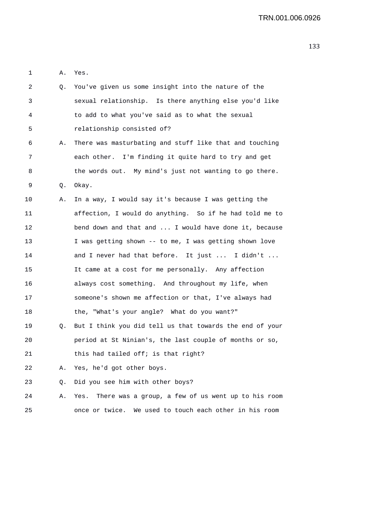1 A. Yes.

| 2  | Q. | You've given us some insight into the nature of the        |
|----|----|------------------------------------------------------------|
| 3  |    | sexual relationship. Is there anything else you'd like     |
| 4  |    | to add to what you've said as to what the sexual           |
| 5  |    | relationship consisted of?                                 |
| 6  | Α. | There was masturbating and stuff like that and touching    |
| 7  |    | each other. I'm finding it quite hard to try and get       |
| 8  |    | the words out. My mind's just not wanting to go there.     |
| 9  | Q. | Okay.                                                      |
| 10 | Α. | In a way, I would say it's because I was getting the       |
| 11 |    | affection, I would do anything. So if he had told me to    |
| 12 |    | bend down and that and  I would have done it, because      |
| 13 |    | I was getting shown -- to me, I was getting shown love     |
| 14 |    | and I never had that before. It just  I didn't             |
| 15 |    | It came at a cost for me personally. Any affection         |
| 16 |    | always cost something. And throughout my life, when        |
| 17 |    | someone's shown me affection or that, I've always had      |
| 18 |    | the, "What's your angle? What do you want?"                |
| 19 | Q. | But I think you did tell us that towards the end of your   |
| 20 |    | period at St Ninian's, the last couple of months or so,    |
| 21 |    | this had tailed off; is that right?                        |
| 22 | Α. | Yes, he'd got other boys.                                  |
| 23 | Q. | Did you see him with other boys?                           |
| 24 | Α. | There was a group, a few of us went up to his room<br>Yes. |
| 25 |    | We used to touch each other in his room<br>once or twice.  |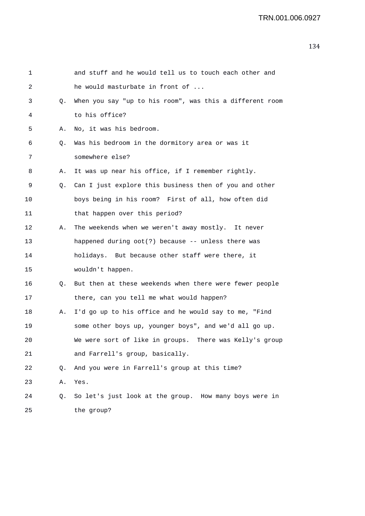| 1  |    | and stuff and he would tell us to touch each other and   |
|----|----|----------------------------------------------------------|
| 2  |    | he would masturbate in front of                          |
| 3  | Q. | When you say "up to his room", was this a different room |
| 4  |    | to his office?                                           |
| 5  | Α. | No, it was his bedroom.                                  |
| 6  | Q. | Was his bedroom in the dormitory area or was it          |
| 7  |    | somewhere else?                                          |
| 8  | Α. | It was up near his office, if I remember rightly.        |
| 9  | Q. | Can I just explore this business then of you and other   |
| 10 |    | boys being in his room? First of all, how often did      |
| 11 |    | that happen over this period?                            |
| 12 | Α. | The weekends when we weren't away mostly. It never       |
| 13 |    | happened during oot(?) because -- unless there was       |
| 14 |    | holidays. But because other staff were there, it         |
| 15 |    | wouldn't happen.                                         |
| 16 | Q. | But then at these weekends when there were fewer people  |
| 17 |    | there, can you tell me what would happen?                |
| 18 | Α. | I'd go up to his office and he would say to me, "Find    |
| 19 |    | some other boys up, younger boys", and we'd all go up.   |
| 20 |    | We were sort of like in groups. There was Kelly's group  |
| 21 |    | and Farrell's group, basically.                          |
| 22 | Q. | And you were in Farrell's group at this time?            |
| 23 | Α. | Yes.                                                     |
| 24 | Q. | So let's just look at the group. How many boys were in   |
| 25 |    | the group?                                               |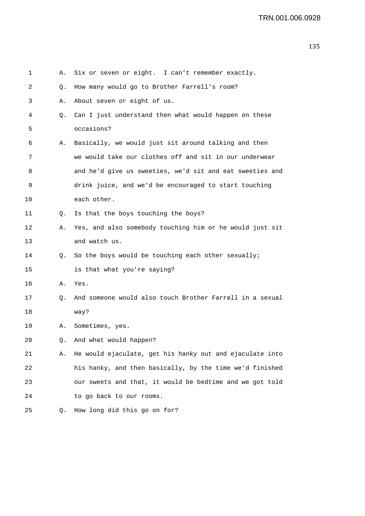| 1  | Α. | Six or seven or eight. I can't remember exactly.         |
|----|----|----------------------------------------------------------|
| 2  | Q. | How many would go to Brother Farrell's room?             |
| 3  | Α. | About seven or eight of us.                              |
| 4  | Q. | Can I just understand then what would happen on these    |
| 5  |    | occasions?                                               |
| 6  | Α. | Basically, we would just sit around talking and then     |
| 7  |    | we would take our clothes off and sit in our underwear   |
| 8  |    | and he'd give us sweeties, we'd sit and eat sweeties and |
| 9  |    | drink juice, and we'd be encouraged to start touching    |
| 10 |    | each other.                                              |
| 11 | Q. | Is that the boys touching the boys?                      |
| 12 | Α. | Yes, and also somebody touching him or he would just sit |
| 13 |    | and watch us.                                            |
| 14 | Q. | So the boys would be touching each other sexually;       |
| 15 |    | is that what you're saying?                              |
| 16 | Α. | Yes.                                                     |
| 17 | Q. | And someone would also touch Brother Farrell in a sexual |
| 18 |    | way?                                                     |
| 19 | Α. | Sometimes, yes.                                          |
| 20 | Q. | And what would happen?                                   |
| 21 | Α. | He would ejaculate, get his hanky out and ejaculate into |
| 22 |    | his hanky, and then basically, by the time we'd finished |
| 23 |    | our sweets and that, it would be bedtime and we got told |
| 24 |    | to go back to our rooms.                                 |
| 25 | Q. | How long did this go on for?                             |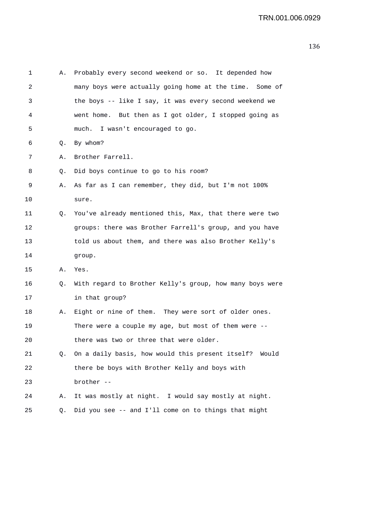| 1  | Α. | Probably every second weekend or so. It depended how     |
|----|----|----------------------------------------------------------|
| 2  |    | many boys were actually going home at the time. Some of  |
| 3  |    | the boys -- like I say, it was every second weekend we   |
| 4  |    | went home. But then as I got older, I stopped going as   |
| 5  |    | much. I wasn't encouraged to go.                         |
| 6  | Q. | By whom?                                                 |
| 7  | Α. | Brother Farrell.                                         |
| 8  | Q. | Did boys continue to go to his room?                     |
| 9  | Α. | As far as I can remember, they did, but I'm not 100%     |
| 10 |    | sure.                                                    |
| 11 | Q. | You've already mentioned this, Max, that there were two  |
| 12 |    | groups: there was Brother Farrell's group, and you have  |
| 13 |    | told us about them, and there was also Brother Kelly's   |
| 14 |    | group.                                                   |
| 15 | Α. | Yes.                                                     |
| 16 | Q. | With regard to Brother Kelly's group, how many boys were |
| 17 |    | in that group?                                           |
| 18 | Α. | Eight or nine of them. They were sort of older ones.     |
| 19 |    | There were a couple my age, but most of them were --     |
| 20 |    | there was two or three that were older.                  |
| 21 | Q. | On a daily basis, how would this present itself? Would   |
| 22 |    | there be boys with Brother Kelly and boys with           |
| 23 |    | brother --                                               |
| 24 | Α. | It was mostly at night. I would say mostly at night.     |
| 25 | Q. | Did you see -- and I'll come on to things that might     |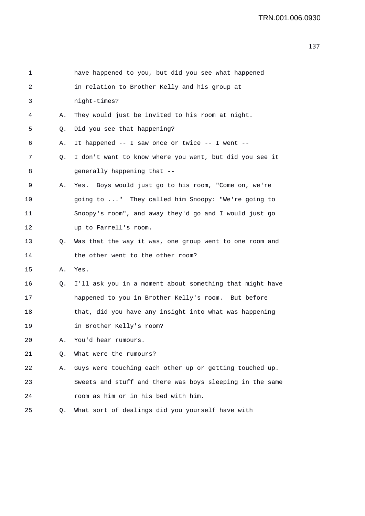| 1  |    | have happened to you, but did you see what happened      |
|----|----|----------------------------------------------------------|
| 2  |    | in relation to Brother Kelly and his group at            |
| 3  |    | night-times?                                             |
| 4  | Α. | They would just be invited to his room at night.         |
| 5  | Q. | Did you see that happening?                              |
| 6  | Α. | It happened -- I saw once or twice -- I went --          |
| 7  | Q. | I don't want to know where you went, but did you see it  |
| 8  |    | generally happening that --                              |
| 9  | Α. | Yes. Boys would just go to his room, "Come on, we're     |
| 10 |    | going to " They called him Snoopy: "We're going to       |
| 11 |    | Snoopy's room", and away they'd go and I would just go   |
| 12 |    | up to Farrell's room.                                    |
| 13 | Q. | Was that the way it was, one group went to one room and  |
| 14 |    | the other went to the other room?                        |
| 15 | Α. | Yes.                                                     |
| 16 | Q. | I'll ask you in a moment about something that might have |
| 17 |    | happened to you in Brother Kelly's room. But before      |
| 18 |    | that, did you have any insight into what was happening   |
| 19 |    | in Brother Kelly's room?                                 |
| 20 | Α. | You'd hear rumours.                                      |
| 21 | О. | What were the rumours?                                   |
| 22 | Α. | Guys were touching each other up or getting touched up.  |
| 23 |    | Sweets and stuff and there was boys sleeping in the same |
| 24 |    | room as him or in his bed with him.                      |
| 25 | Q. | What sort of dealings did you yourself have with         |
|    |    |                                                          |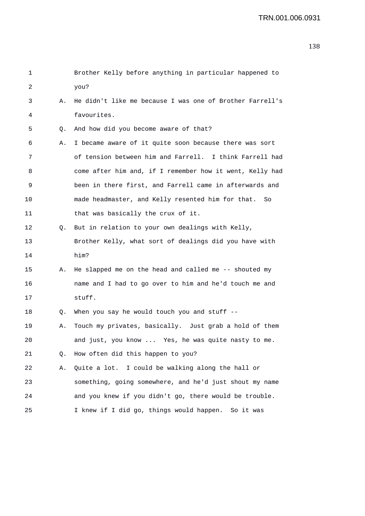| 1  |    | Brother Kelly before anything in particular happened to  |
|----|----|----------------------------------------------------------|
| 2  |    | you?                                                     |
| 3  | Α. | He didn't like me because I was one of Brother Farrell's |
| 4  |    | favourites.                                              |
| 5. | Q. | And how did you become aware of that?                    |
| 6  | Α. | I became aware of it quite soon because there was sort   |
| 7  |    | of tension between him and Farrell. I think Farrell had  |
| 8  |    | come after him and, if I remember how it went, Kelly had |
| 9  |    | been in there first, and Farrell came in afterwards and  |
| 10 |    | made headmaster, and Kelly resented him for that. So     |
| 11 |    | that was basically the crux of it.                       |
| 12 | Q. | But in relation to your own dealings with Kelly,         |
| 13 |    | Brother Kelly, what sort of dealings did you have with   |
| 14 |    | him?                                                     |
| 15 | Α. | He slapped me on the head and called me -- shouted my    |
| 16 |    | name and I had to go over to him and he'd touch me and   |
| 17 |    | stuff.                                                   |
| 18 | Q. | When you say he would touch you and stuff $-$ -          |
| 19 | Α. | Touch my privates, basically. Just grab a hold of them   |
| 20 |    | and just, you know  Yes, he was quite nasty to me.       |
| 21 | Q. | How often did this happen to you?                        |
| 22 | Α. | Quite a lot. I could be walking along the hall or        |
| 23 |    | something, going somewhere, and he'd just shout my name  |
| 24 |    | and you knew if you didn't go, there would be trouble.   |
| 25 |    | I knew if I did go, things would happen. So it was       |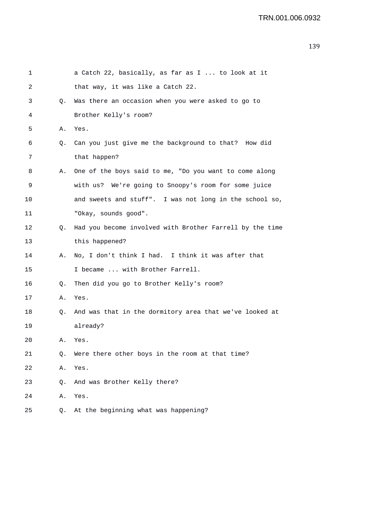| 1  |    | a Catch 22, basically, as far as I  to look at it        |
|----|----|----------------------------------------------------------|
| 2  |    | that way, it was like a Catch 22.                        |
| 3  | Q. | Was there an occasion when you were asked to go to       |
| 4  |    | Brother Kelly's room?                                    |
| 5  | Α. | Yes.                                                     |
| 6  | Q. | Can you just give me the background to that? How did     |
| 7  |    | that happen?                                             |
| 8  | Α. | One of the boys said to me, "Do you want to come along   |
| 9  |    | with us? We're going to Snoopy's room for some juice     |
| 10 |    | and sweets and stuff". I was not long in the school so,  |
| 11 |    | "Okay, sounds good".                                     |
| 12 | Q. | Had you become involved with Brother Farrell by the time |
| 13 |    | this happened?                                           |
| 14 | Α. | No, I don't think I had. I think it was after that       |
| 15 |    | I became  with Brother Farrell.                          |
| 16 | Q. | Then did you go to Brother Kelly's room?                 |
| 17 | Α. | Yes.                                                     |
| 18 | Q. | And was that in the dormitory area that we've looked at  |
| 19 |    | already?                                                 |
| 20 | Α. | Yes.                                                     |
| 21 | Q. | Were there other boys in the room at that time?          |
| 22 | Α. | Yes.                                                     |
| 23 | Q. | And was Brother Kelly there?                             |
| 24 | Α. | Yes.                                                     |
| 25 | Q. | At the beginning what was happening?                     |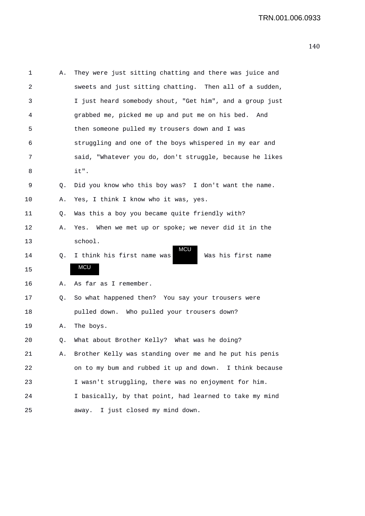| 1  | Α. | They were just sitting chatting and there was juice and  |
|----|----|----------------------------------------------------------|
| 2  |    | sweets and just sitting chatting. Then all of a sudden,  |
| 3  |    | I just heard somebody shout, "Get him", and a group just |
| 4  |    | grabbed me, picked me up and put me on his bed.<br>And   |
| 5  |    | then someone pulled my trousers down and I was           |
| 6  |    | struggling and one of the boys whispered in my ear and   |
| 7  |    | said, "Whatever you do, don't struggle, because he likes |
| 8  |    | it".                                                     |
| 9  | Q. | Did you know who this boy was? I don't want the name.    |
| 10 | Α. | Yes, I think I know who it was, yes.                     |
| 11 | Q. | Was this a boy you became quite friendly with?           |
| 12 | Α. | Yes. When we met up or spoke; we never did it in the     |
| 13 |    | school.                                                  |
| 14 | Q. | MCU<br>I think his first name was<br>Was his first name  |
| 15 |    | MCU                                                      |
| 16 | Α. | As far as I remember.                                    |
| 17 | Q. | So what happened then? You say your trousers were        |
| 18 |    | pulled down. Who pulled your trousers down?              |
| 19 | Α. | The boys.                                                |
| 20 |    | Q. What about Brother Kelly? What was he doing?          |
| 21 | Α. | Brother Kelly was standing over me and he put his penis  |
| 22 |    | on to my bum and rubbed it up and down. I think because  |
| 23 |    | I wasn't struggling, there was no enjoyment for him.     |
| 24 |    | I basically, by that point, had learned to take my mind  |
| 25 |    | I just closed my mind down.<br>away.                     |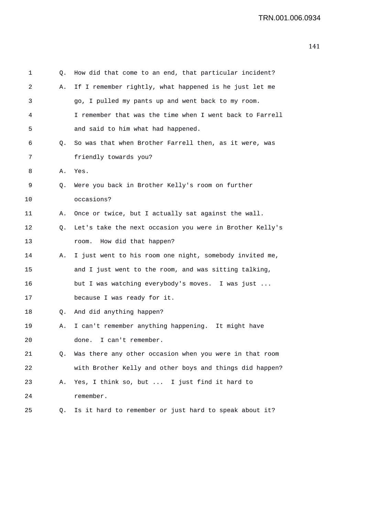| 1  | Q. | How did that come to an end, that particular incident?   |
|----|----|----------------------------------------------------------|
| 2  | Α. | If I remember rightly, what happened is he just let me   |
| 3  |    | go, I pulled my pants up and went back to my room.       |
| 4  |    | I remember that was the time when I went back to Farrell |
| 5  |    | and said to him what had happened.                       |
| 6  | Q. | So was that when Brother Farrell then, as it were, was   |
| 7  |    | friendly towards you?                                    |
| 8  | Α. | Yes.                                                     |
| 9  | Q. | Were you back in Brother Kelly's room on further         |
| 10 |    | occasions?                                               |
| 11 | Α. | Once or twice, but I actually sat against the wall.      |
| 12 | Q. | Let's take the next occasion you were in Brother Kelly's |
| 13 |    | How did that happen?<br>room.                            |
| 14 | Α. | I just went to his room one night, somebody invited me,  |
| 15 |    | and I just went to the room, and was sitting talking,    |
| 16 |    | but I was watching everybody's moves. I was just         |
| 17 |    | because I was ready for it.                              |
| 18 | Q. | And did anything happen?                                 |
| 19 | Α. | I can't remember anything happening. It might have       |
| 20 |    | done. I can't remember.                                  |
| 21 | Q. | Was there any other occasion when you were in that room  |
| 22 |    | with Brother Kelly and other boys and things did happen? |
| 23 | Α. | Yes, I think so, but  I just find it hard to             |
| 24 |    | remember.                                                |
| 25 | Q. | Is it hard to remember or just hard to speak about it?   |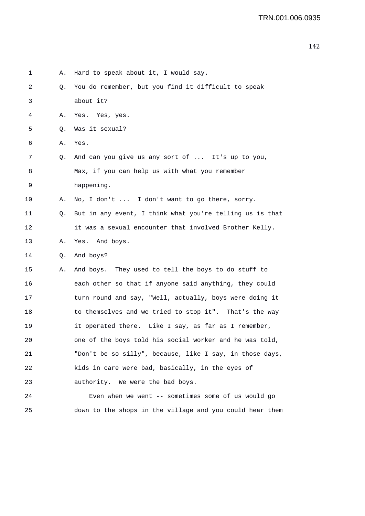| 1  | Α. | Hard to speak about it, I would say.                     |
|----|----|----------------------------------------------------------|
| 2  | Q. | You do remember, but you find it difficult to speak      |
| 3  |    | about it?                                                |
| 4  | Α. | Yes. Yes, yes.                                           |
| 5  | Q. | Was it sexual?                                           |
| 6  | Α. | Yes.                                                     |
| 7  | Q. | And can you give us any sort of  It's up to you,         |
| 8  |    | Max, if you can help us with what you remember           |
| 9  |    | happening.                                               |
| 10 | Α. | No, I don't  I don't want to go there, sorry.            |
| 11 | Q. | But in any event, I think what you're telling us is that |
| 12 |    | it was a sexual encounter that involved Brother Kelly.   |
| 13 | Α. | Yes. And boys.                                           |
| 14 | Q. | And boys?                                                |
| 15 | Α. | And boys. They used to tell the boys to do stuff to      |
| 16 |    | each other so that if anyone said anything, they could   |
| 17 |    | turn round and say, "Well, actually, boys were doing it  |
| 18 |    | to themselves and we tried to stop it". That's the way   |
| 19 |    | it operated there. Like I say, as far as I remember,     |
| 20 |    | one of the boys told his social worker and he was told,  |
| 21 |    | "Don't be so silly", because, like I say, in those days, |
| 22 |    | kids in care were bad, basically, in the eyes of         |
| 23 |    | authority. We were the bad boys.                         |
| 24 |    | Even when we went -- sometimes some of us would go       |
| 25 |    | down to the shops in the village and you could hear them |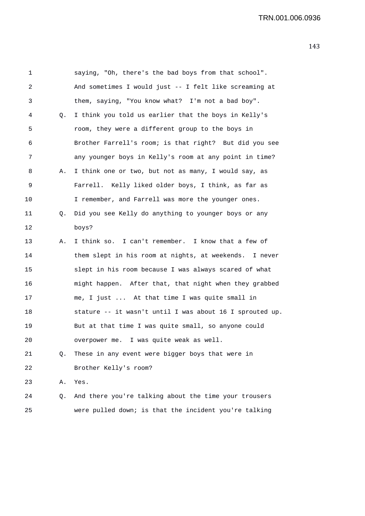1 saying, "Oh, there's the bad boys from that school". 2 And sometimes I would just -- I felt like screaming at 3 them, saying, "You know what? I'm not a bad boy". 4 Q. I think you told us earlier that the boys in Kelly's 5 room, they were a different group to the boys in 6 Brother Farrell's room; is that right? But did you see 7 any younger boys in Kelly's room at any point in time? 8 A. I think one or two, but not as many, I would say, as 9 Farrell. Kelly liked older boys, I think, as far as 10 I remember, and Farrell was more the younger ones. 11 Q. Did you see Kelly do anything to younger boys or any 12 boys? 13 A. I think so. I can't remember. I know that a few of 14 them slept in his room at nights, at weekends. I never 15 slept in his room because I was always scared of what 16 might happen. After that, that night when they grabbed 17 me, I just ... At that time I was quite small in 18 stature -- it wasn't until I was about 16 I sprouted up. 19 But at that time I was quite small, so anyone could 20 overpower me. I was quite weak as well. 21 Q. These in any event were bigger boys that were in 22 Brother Kelly's room? 23 A. Yes. 24 Q. And there you're talking about the time your trousers 25 were pulled down; is that the incident you're talking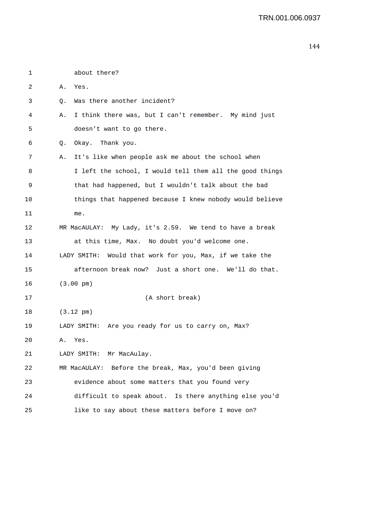| 1  | about there?                                                |
|----|-------------------------------------------------------------|
| 2  | Α.<br>Yes.                                                  |
| 3  | Was there another incident?<br>Q.                           |
| 4  | I think there was, but I can't remember. My mind just<br>Α. |
| 5  | doesn't want to go there.                                   |
| 6  | Okay. Thank you.<br>Q.                                      |
| 7  | It's like when people ask me about the school when<br>Α.    |
| 8  | I left the school, I would tell them all the good things    |
| 9  | that had happened, but I wouldn't talk about the bad        |
| 10 | things that happened because I knew nobody would believe    |
| 11 | me.                                                         |
| 12 | MR MacAULAY: My Lady, it's 2.59. We tend to have a break    |
| 13 | at this time, Max. No doubt you'd welcome one.              |
| 14 | LADY SMITH: Would that work for you, Max, if we take the    |
| 15 | afternoon break now? Just a short one. We'll do that.       |
| 16 | $(3.00 \text{ pm})$                                         |
| 17 | (A short break)                                             |
| 18 | $(3.12 \text{ pm})$                                         |
| 19 | LADY SMITH: Are you ready for us to carry on, Max?          |
| 20 | Α.<br>Yes.                                                  |
| 21 | LADY SMITH: Mr MacAulay.                                    |
| 22 | MR MacAULAY: Before the break, Max, you'd been giving       |
| 23 | evidence about some matters that you found very             |
| 24 | difficult to speak about. Is there anything else you'd      |
| 25 | like to say about these matters before I move on?           |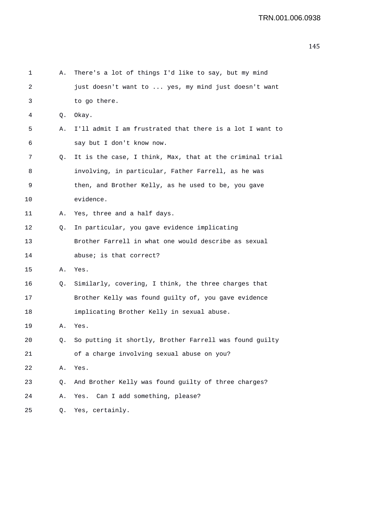| 1  | Α. | There's a lot of things I'd like to say, but my mind     |
|----|----|----------------------------------------------------------|
| 2  |    | just doesn't want to  yes, my mind just doesn't want     |
| 3  |    | to go there.                                             |
| 4  | Q. | Okay.                                                    |
| 5  | Α. | I'll admit I am frustrated that there is a lot I want to |
| 6  |    | say but I don't know now.                                |
| 7  | Q. | It is the case, I think, Max, that at the criminal trial |
| 8  |    | involving, in particular, Father Farrell, as he was      |
| 9  |    | then, and Brother Kelly, as he used to be, you gave      |
| 10 |    | evidence.                                                |
| 11 | Α. | Yes, three and a half days.                              |
| 12 | Q. | In particular, you gave evidence implicating             |
| 13 |    | Brother Farrell in what one would describe as sexual     |
| 14 |    | abuse; is that correct?                                  |
| 15 | Α. | Yes.                                                     |
| 16 | Q. | Similarly, covering, I think, the three charges that     |
| 17 |    | Brother Kelly was found guilty of, you gave evidence     |
| 18 |    | implicating Brother Kelly in sexual abuse.               |
| 19 | Α. | Yes.                                                     |
| 20 | 0. | So putting it shortly, Brother Farrell was found guilty  |
| 21 |    | of a charge involving sexual abuse on you?               |
| 22 | Α. | Yes.                                                     |
| 23 | Q. | And Brother Kelly was found guilty of three charges?     |
| 24 | Α. | Can I add something, please?<br>Yes.                     |
| 25 | Q. | Yes, certainly.                                          |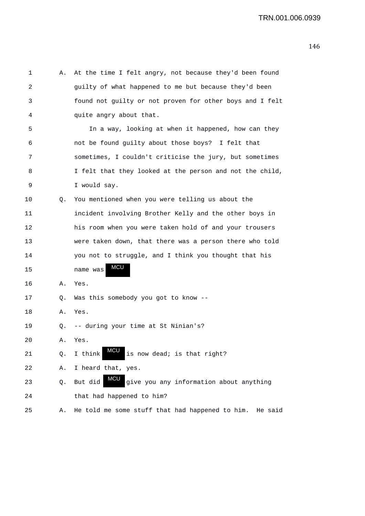| 1  | Α. | At the time I felt angry, not because they'd been found          |
|----|----|------------------------------------------------------------------|
| 2  |    | guilty of what happened to me but because they'd been            |
| 3  |    | found not guilty or not proven for other boys and I felt         |
| 4  |    | quite angry about that.                                          |
| 5  |    | In a way, looking at when it happened, how can they              |
| 6  |    | not be found guilty about those boys? I felt that                |
| 7  |    | sometimes, I couldn't criticise the jury, but sometimes          |
| 8  |    | I felt that they looked at the person and not the child,         |
| 9  |    | I would say.                                                     |
| 10 | Q. | You mentioned when you were telling us about the                 |
| 11 |    | incident involving Brother Kelly and the other boys in           |
| 12 |    | his room when you were taken hold of and your trousers           |
| 13 |    | were taken down, that there was a person there who told          |
| 14 |    | you not to struggle, and I think you thought that his            |
| 15 |    | MCU<br>name was                                                  |
| 16 | Α. | Yes.                                                             |
| 17 | Q. | Was this somebody you got to know --                             |
| 18 | Α. | Yes.                                                             |
| 19 | Q. | -- during your time at St Ninian's?                              |
| 20 | Α. | Yes.                                                             |
| 21 | Q. | MCL<br>is now dead; is that right?<br>I think                    |
| 22 | Α. | I heard that, yes.                                               |
| 23 | Q. | <b>MCU</b><br>give you any information about anything<br>But did |
| 24 |    | that had happened to him?                                        |
| 25 | Α. | He told me some stuff that had happened to him.<br>He said       |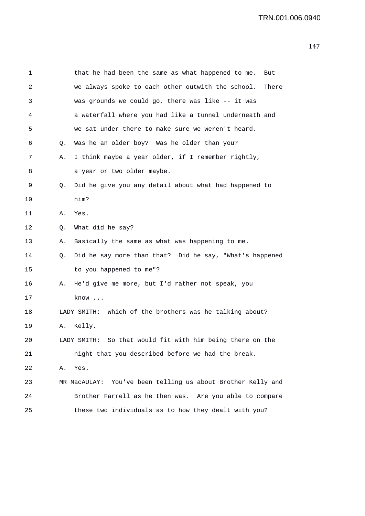| 1  |    | that he had been the same as what happened to me.<br>But     |
|----|----|--------------------------------------------------------------|
| 2  |    | we always spoke to each other outwith the school.<br>There   |
| 3  |    | was grounds we could go, there was like -- it was            |
| 4  |    | a waterfall where you had like a tunnel underneath and       |
| 5  |    | we sat under there to make sure we weren't heard.            |
| 6  | Q. | Was he an older boy? Was he older than you?                  |
| 7  | Α. | I think maybe a year older, if I remember rightly,           |
| 8  |    | a year or two older maybe.                                   |
| 9  | Q. | Did he give you any detail about what had happened to        |
| 10 |    | him?                                                         |
| 11 | А. | Yes.                                                         |
| 12 | Q. | What did he say?                                             |
| 13 | Α. | Basically the same as what was happening to me.              |
| 14 | Q. | Did he say more than that? Did he say, "What's happened      |
| 15 |    | to you happened to me"?                                      |
| 16 | Α. | He'd give me more, but I'd rather not speak, you             |
| 17 |    | know                                                         |
| 18 |    | LADY SMITH: Which of the brothers was he talking about?      |
| 19 | Α. | Kelly.                                                       |
| 20 |    | So that would fit with him being there on the<br>LADY SMITH: |
| 21 |    | night that you described before we had the break.            |
| 22 | Α. | Yes.                                                         |
| 23 |    | MR MacAULAY: You've been telling us about Brother Kelly and  |
| 24 |    | Brother Farrell as he then was. Are you able to compare      |
| 25 |    | these two individuals as to how they dealt with you?         |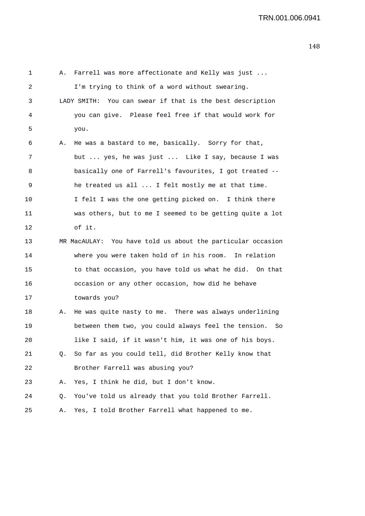| 1  | Α. | Farrell was more affectionate and Kelly was just            |
|----|----|-------------------------------------------------------------|
| 2  |    | I'm trying to think of a word without swearing.             |
| 3  |    | LADY SMITH: You can swear if that is the best description   |
| 4  |    | you can give. Please feel free if that would work for       |
| 5  |    | you.                                                        |
| 6  | Α. | He was a bastard to me, basically. Sorry for that,          |
| 7  |    | but  yes, he was just  Like I say, because I was            |
| 8  |    | basically one of Farrell's favourites, I got treated --     |
| 9  |    | he treated us all  I felt mostly me at that time.           |
| 10 |    | I felt I was the one getting picked on. I think there       |
| 11 |    | was others, but to me I seemed to be getting quite a lot    |
| 12 |    | of it.                                                      |
| 13 |    | MR MacAULAY: You have told us about the particular occasion |
| 14 |    | where you were taken hold of in his room. In relation       |
| 15 |    | to that occasion, you have told us what he did. On that     |
| 16 |    | occasion or any other occasion, how did he behave           |
| 17 |    | towards you?                                                |
| 18 | Α. | He was quite nasty to me. There was always underlining      |
| 19 |    | between them two, you could always feel the tension.<br>So  |
| 20 |    | like I said, if it wasn't him, it was one of his boys.      |
| 21 | Q. | So far as you could tell, did Brother Kelly know that       |
| 22 |    | Brother Farrell was abusing you?                            |
| 23 | Α. | Yes, I think he did, but I don't know.                      |
| 24 | Q. | You've told us already that you told Brother Farrell.       |
| 25 | Α. | Yes, I told Brother Farrell what happened to me.            |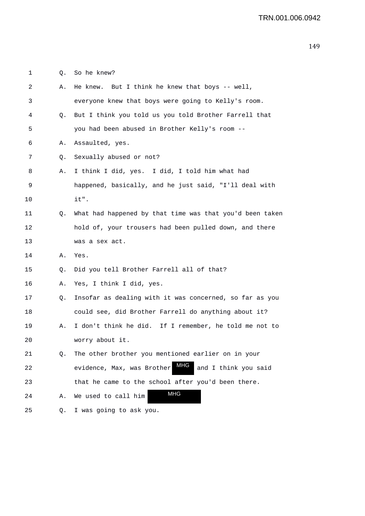1 Q. So he knew?

| 2       | Α. | He knew. But I think he knew that boys -- well,           |
|---------|----|-----------------------------------------------------------|
| 3       |    | everyone knew that boys were going to Kelly's room.       |
| 4       | Q. | But I think you told us you told Brother Farrell that     |
| 5       |    | you had been abused in Brother Kelly's room --            |
| 6       | Α. | Assaulted, yes.                                           |
| 7       | Q. | Sexually abused or not?                                   |
| 8       | Α. | I think I did, yes. I did, I told him what had            |
| 9       |    | happened, basically, and he just said, "I'll deal with    |
| $10 \,$ |    | it".                                                      |
| 11      | Q. | What had happened by that time was that you'd been taken  |
| 12      |    | hold of, your trousers had been pulled down, and there    |
| 13      |    | was a sex act.                                            |
| 14      | Α. | Yes.                                                      |
| 15      | Q. | Did you tell Brother Farrell all of that?                 |
| 16      | Α. | Yes, I think I did, yes.                                  |
| 17      | Q. | Insofar as dealing with it was concerned, so far as you   |
| 18      |    | could see, did Brother Farrell do anything about it?      |
| 19      | Α. | I don't think he did. If I remember, he told me not to    |
| 20      |    | worry about it.                                           |
| 21      | Q. | The other brother you mentioned earlier on in your        |
| 22      |    | MHG<br>evidence, Max, was Brother<br>and I think you said |
| 23      |    | that he came to the school after you'd been there.        |
| 24      | Α. | <b>MHG</b><br>We used to call him                         |
| 25      | Q. | I was going to ask you.                                   |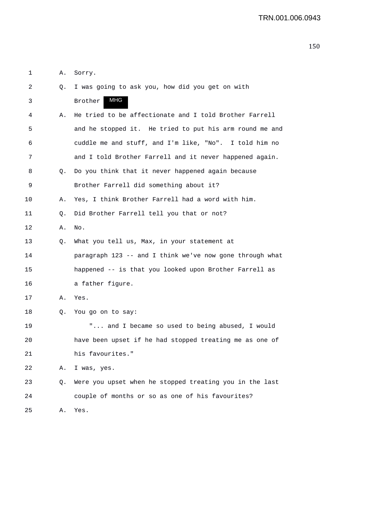|  | A. Sorry. |
|--|-----------|
|  |           |

| 2  | Q. | I was going to ask you, how did you get on with          |
|----|----|----------------------------------------------------------|
| 3  |    | <b>MHG</b><br>Brother                                    |
| 4  | Α. | He tried to be affectionate and I told Brother Farrell   |
| 5  |    | and he stopped it. He tried to put his arm round me and  |
| 6  |    | cuddle me and stuff, and I'm like, "No". I told him no   |
| 7  |    | and I told Brother Farrell and it never happened again.  |
| 8  | Q. | Do you think that it never happened again because        |
| 9  |    | Brother Farrell did something about it?                  |
| 10 | Α. | Yes, I think Brother Farrell had a word with him.        |
| 11 | Q. | Did Brother Farrell tell you that or not?                |
| 12 | Α. | No.                                                      |
| 13 | Q. | What you tell us, Max, in your statement at              |
| 14 |    | paragraph 123 -- and I think we've now gone through what |
| 15 |    | happened -- is that you looked upon Brother Farrell as   |
| 16 |    | a father figure.                                         |
| 17 | Α. | Yes.                                                     |
| 18 | Q. | You go on to say:                                        |
| 19 |    | " and I became so used to being abused, I would          |
| 20 |    | have been upset if he had stopped treating me as one of  |
| 21 |    | his favourites."                                         |
| 22 | Α. | I was, yes.                                              |
| 23 | Q. | Were you upset when he stopped treating you in the last  |
| 24 |    | couple of months or so as one of his favourites?         |
| 25 | Α. | Yes.                                                     |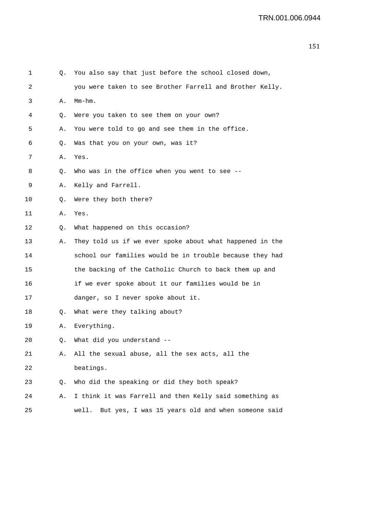| 1  | Q. | You also say that just before the school closed down,      |
|----|----|------------------------------------------------------------|
| 2  |    | you were taken to see Brother Farrell and Brother Kelly.   |
| 3  | Α. | Mm-hm.                                                     |
| 4  | Q. | Were you taken to see them on your own?                    |
| 5  | Α. | You were told to go and see them in the office.            |
| 6  | Q. | Was that you on your own, was it?                          |
| 7  | Α. | Yes.                                                       |
| 8  | Q. | Who was in the office when you went to see --              |
| 9  | Α. | Kelly and Farrell.                                         |
| 10 | Q. | Were they both there?                                      |
| 11 | Α. | Yes.                                                       |
| 12 | Q. | What happened on this occasion?                            |
| 13 | Α. | They told us if we ever spoke about what happened in the   |
| 14 |    | school our families would be in trouble because they had   |
| 15 |    | the backing of the Catholic Church to back them up and     |
| 16 |    | if we ever spoke about it our families would be in         |
| 17 |    | danger, so I never spoke about it.                         |
| 18 | Q. | What were they talking about?                              |
| 19 | Α. | Everything.                                                |
| 20 | Q. | What did you understand --                                 |
| 21 | Α. | All the sexual abuse, all the sex acts, all the            |
| 22 |    | beatings.                                                  |
| 23 | Q. | Who did the speaking or did they both speak?               |
| 24 | Α. | I think it was Farrell and then Kelly said something as    |
| 25 |    | But yes, I was 15 years old and when someone said<br>well. |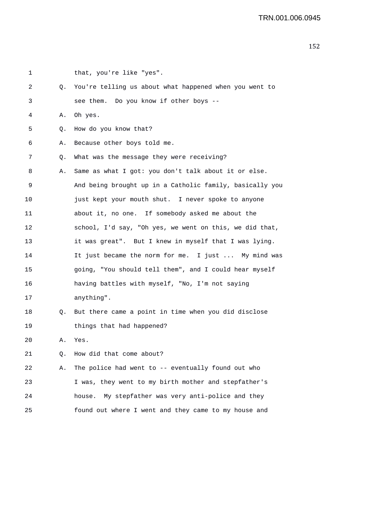| 1  |    | that, you're like "yes".                                 |
|----|----|----------------------------------------------------------|
| 2  | Q. | You're telling us about what happened when you went to   |
| 3  |    | see them. Do you know if other boys --                   |
| 4  | Α. | Oh yes.                                                  |
| 5  | Q. | How do you know that?                                    |
| 6  | Α. | Because other boys told me.                              |
| 7  | Q. | What was the message they were receiving?                |
| 8  | Α. | Same as what I got: you don't talk about it or else.     |
| 9  |    | And being brought up in a Catholic family, basically you |
| 10 |    | just kept your mouth shut. I never spoke to anyone       |
| 11 |    | about it, no one. If somebody asked me about the         |
| 12 |    | school, I'd say, "Oh yes, we went on this, we did that,  |
| 13 |    | it was great". But I knew in myself that I was lying.    |
| 14 |    | It just became the norm for me. I just  My mind was      |
| 15 |    | going, "You should tell them", and I could hear myself   |
| 16 |    | having battles with myself, "No, I'm not saying          |
| 17 |    | anything".                                               |
| 18 | Q. | But there came a point in time when you did disclose     |
| 19 |    | things that had happened?                                |
| 20 | Α. | Yes.                                                     |
| 21 | Q. | How did that come about?                                 |
| 22 | Α. | The police had went to -- eventually found out who       |
| 23 |    | I was, they went to my birth mother and stepfather's     |
| 24 |    | My stepfather was very anti-police and they<br>house.    |
| 25 |    | found out where I went and they came to my house and     |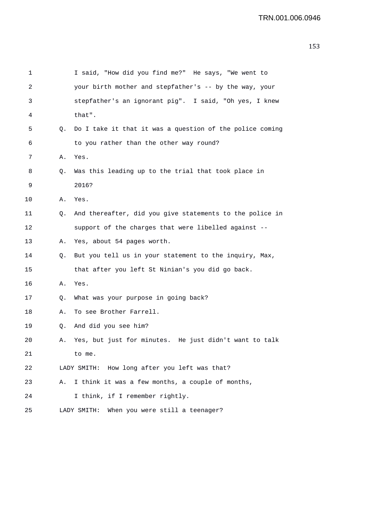| 1  |    | I said, "How did you find me?" He says, "We went to      |
|----|----|----------------------------------------------------------|
| 2  |    | your birth mother and stepfather's -- by the way, your   |
| 3  |    | stepfather's an ignorant pig". I said, "Oh yes, I knew   |
| 4  |    | that".                                                   |
| 5  | Q. | Do I take it that it was a question of the police coming |
| 6  |    | to you rather than the other way round?                  |
| 7  | Α. | Yes.                                                     |
| 8  | Q. | Was this leading up to the trial that took place in      |
| 9  |    | 2016?                                                    |
| 10 | А. | Yes.                                                     |
| 11 | Q. | And thereafter, did you give statements to the police in |
| 12 |    | support of the charges that were libelled against --     |
| 13 | Α. | Yes, about 54 pages worth.                               |
| 14 | Q. | But you tell us in your statement to the inquiry, Max,   |
| 15 |    | that after you left St Ninian's you did go back.         |
| 16 | Α. | Yes.                                                     |
| 17 | Q. | What was your purpose in going back?                     |
| 18 | Α. | To see Brother Farrell.                                  |
| 19 | Q. | And did you see him?                                     |
| 20 | А. | Yes, but just for minutes. He just didn't want to talk   |
| 21 |    | to me.                                                   |
| 22 |    | LADY SMITH: How long after you left was that?            |
| 23 | Α. | I think it was a few months, a couple of months,         |
| 24 |    | I think, if I remember rightly.                          |
| 25 |    | When you were still a teenager?<br>LADY SMITH:           |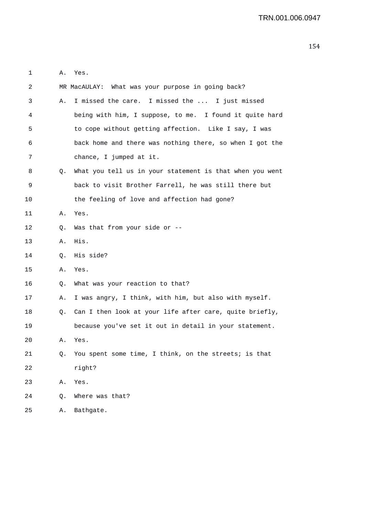| 1  |    | A. Yes.                                                    |
|----|----|------------------------------------------------------------|
| 2  |    | MR MacAULAY: What was your purpose in going back?          |
| 3  | Α. | I missed the care. I missed the  I just missed             |
| 4  |    | being with him, I suppose, to me. I found it quite hard    |
| 5  |    | to cope without getting affection. Like I say, I was       |
| 6  |    | back home and there was nothing there, so when I got the   |
| 7  |    | chance, I jumped at it.                                    |
| 8  | Q. | What you tell us in your statement is that when you went   |
| 9  |    | back to visit Brother Farrell, he was still there but      |
| 10 |    | the feeling of love and affection had gone?                |
| 11 |    | A. Yes.                                                    |
| 12 | Q. | Was that from your side or $-$ -                           |
| 13 | Α. | His.                                                       |
| 14 | Q. | His side?                                                  |
| 15 | Α. | Yes.                                                       |
| 16 | Q. | What was your reaction to that?                            |
| 17 | А. | I was angry, I think, with him, but also with myself.      |
| 18 |    | Q. Can I then look at your life after care, quite briefly, |
| 19 |    | because you've set it out in detail in your statement.     |
| 20 | Α. | Yes.                                                       |
| 21 | Q. | You spent some time, I think, on the streets; is that      |
| 22 |    | right?                                                     |
| 23 | Α. | Yes.                                                       |
| 24 | Q. | Where was that?                                            |
| 25 | Α. | Bathgate.                                                  |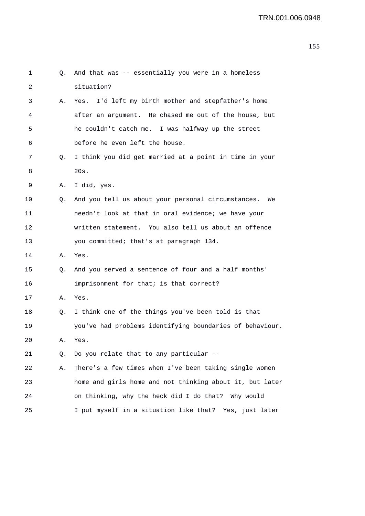| 1  | Q. | And that was -- essentially you were in a homeless        |
|----|----|-----------------------------------------------------------|
| 2  |    | situation?                                                |
| 3  | Α. | I'd left my birth mother and stepfather's home<br>Yes.    |
| 4  |    | after an argument. He chased me out of the house, but     |
| 5  |    | he couldn't catch me. I was halfway up the street         |
| 6  |    | before he even left the house.                            |
| 7  | Q. | I think you did get married at a point in time in your    |
| 8  |    | 20s.                                                      |
| 9  | Α. | I did, yes.                                               |
| 10 | Q. | And you tell us about your personal circumstances.<br>We  |
| 11 |    | needn't look at that in oral evidence; we have your       |
| 12 |    | written statement. You also tell us about an offence      |
| 13 |    | you committed; that's at paragraph 134.                   |
| 14 | Α. | Yes.                                                      |
| 15 | Q. | And you served a sentence of four and a half months'      |
| 16 |    | imprisonment for that; is that correct?                   |
| 17 | Α. | Yes.                                                      |
| 18 | Q. | I think one of the things you've been told is that        |
| 19 |    | you've had problems identifying boundaries of behaviour.  |
| 20 | А. | Yes.                                                      |
| 21 | Q. | Do you relate that to any particular --                   |
| 22 | Α. | There's a few times when I've been taking single women    |
| 23 |    | home and girls home and not thinking about it, but later  |
| 24 |    | on thinking, why the heck did I do that? Why would        |
| 25 |    | I put myself in a situation like that?<br>Yes, just later |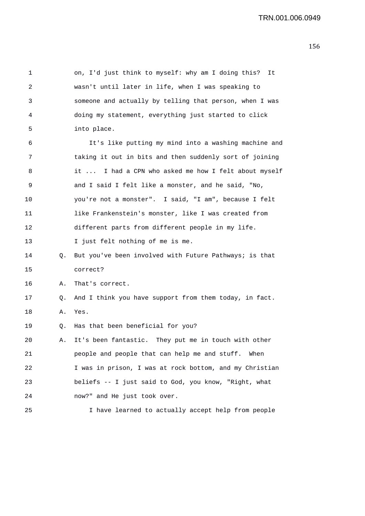1 on, I'd just think to myself: why am I doing this? It 2 wasn't until later in life, when I was speaking to 3 someone and actually by telling that person, when I was 4 doing my statement, everything just started to click 5 into place. 6 It's like putting my mind into a washing machine and 7 taking it out in bits and then suddenly sort of joining 8 it ... I had a CPN who asked me how I felt about myself 9 and I said I felt like a monster, and he said, "No, 10 you're not a monster". I said, "I am", because I felt 11 like Frankenstein's monster, like I was created from 12 different parts from different people in my life. 13 I just felt nothing of me is me. 14 Q. But you've been involved with Future Pathways; is that 15 correct? 16 A. That's correct. 17 Q. And I think you have support from them today, in fact. 18 A. Yes. 19 Q. Has that been beneficial for you? 20 A. It's been fantastic. They put me in touch with other 21 people and people that can help me and stuff. When 22 I was in prison, I was at rock bottom, and my Christian 23 beliefs -- I just said to God, you know, "Right, what 24 now?" and He just took over. 25 I have learned to actually accept help from people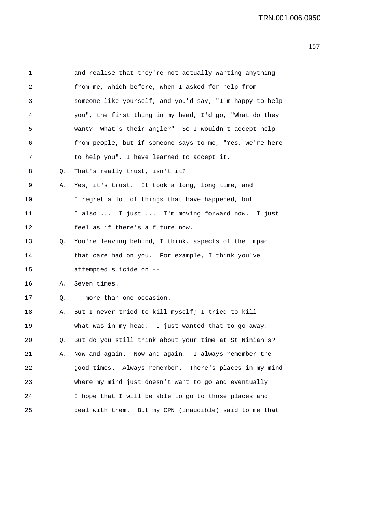| 1  |    | and realise that they're not actually wanting anything    |
|----|----|-----------------------------------------------------------|
| 2  |    | from me, which before, when I asked for help from         |
| 3  |    | someone like yourself, and you'd say, "I'm happy to help  |
| 4  |    | you", the first thing in my head, I'd go, "What do they   |
| 5  |    | want? What's their angle?" So I wouldn't accept help      |
| 6  |    | from people, but if someone says to me, "Yes, we're here  |
| 7  |    | to help you", I have learned to accept it.                |
| 8  | Q. | That's really trust, isn't it?                            |
| 9  | Α. | Yes, it's trust. It took a long, long time, and           |
| 10 |    | I regret a lot of things that have happened, but          |
| 11 |    | I also  I just  I'm moving forward now. I just            |
| 12 |    | feel as if there's a future now.                          |
| 13 | Q. | You're leaving behind, I think, aspects of the impact     |
| 14 |    | that care had on you. For example, I think you've         |
| 15 |    | attempted suicide on --                                   |
| 16 | Α. | Seven times.                                              |
| 17 |    | Q. -- more than one occasion.                             |
| 18 | Α. | But I never tried to kill myself; I tried to kill         |
| 19 |    | what was in my head. I just wanted that to go away.       |
| 20 | Q. | But do you still think about your time at St Ninian's?    |
| 21 | Α. | Now and again. Now and again. I always remember the       |
| 22 |    | good times. Always remember. There's places in my mind    |
| 23 |    | where my mind just doesn't want to go and eventually      |
| 24 |    | I hope that I will be able to go to those places and      |
| 25 |    | But my CPN (inaudible) said to me that<br>deal with them. |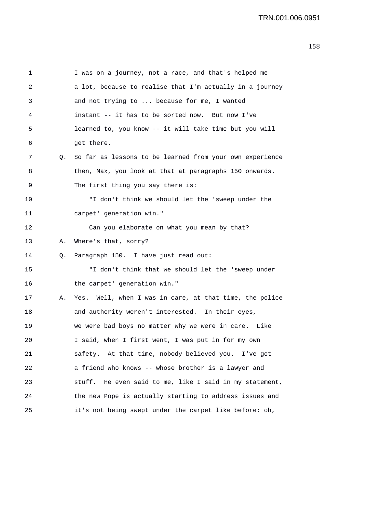1 I was on a journey, not a race, and that's helped me 2 a lot, because to realise that I'm actually in a journey 3 and not trying to ... because for me, I wanted 4 instant -- it has to be sorted now. But now I've 5 learned to, you know -- it will take time but you will 6 get there. 7 Q. So far as lessons to be learned from your own experience 8 then, Max, you look at that at paragraphs 150 onwards. 9 The first thing you say there is: 10 "I don't think we should let the 'sweep under the 11 carpet' generation win." 12 Can you elaborate on what you mean by that? 13 A. Where's that, sorry? 14 Q. Paragraph 150. I have just read out: 15 "I don't think that we should let the 'sweep under 16 the carpet' generation win." 17 A. Yes. Well, when I was in care, at that time, the police 18 and authority weren't interested. In their eyes, 19 we were bad boys no matter why we were in care. Like 20 I said, when I first went, I was put in for my own 21 safety. At that time, nobody believed you. I've got 22 a friend who knows -- whose brother is a lawyer and 23 stuff. He even said to me, like I said in my statement, 24 the new Pope is actually starting to address issues and 25 it's not being swept under the carpet like before: oh,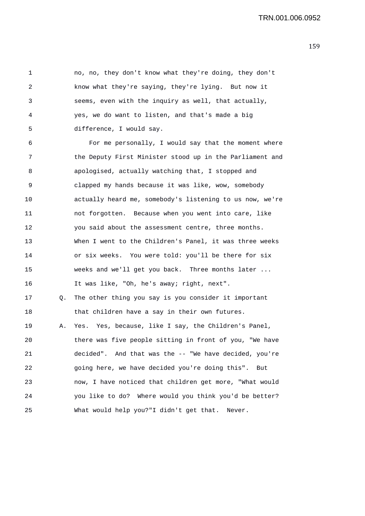1 no, no, they don't know what they're doing, they don't 2 know what they're saying, they're lying. But now it 3 seems, even with the inquiry as well, that actually, 4 yes, we do want to listen, and that's made a big 5 difference, I would say.

6 For me personally, I would say that the moment where 7 the Deputy First Minister stood up in the Parliament and 8 apologised, actually watching that, I stopped and 9 clapped my hands because it was like, wow, somebody 10 actually heard me, somebody's listening to us now, we're 11 not forgotten. Because when you went into care, like 12 you said about the assessment centre, three months. 13 When I went to the Children's Panel, it was three weeks 14 or six weeks. You were told: you'll be there for six 15 weeks and we'll get you back. Three months later ... 16 It was like, "Oh, he's away; right, next". 17 Q. The other thing you say is you consider it important 18 that children have a say in their own futures. 19 A. Yes. Yes, because, like I say, the Children's Panel, 20 there was five people sitting in front of you, "We have 21 decided". And that was the -- "We have decided, you're 22 going here, we have decided you're doing this". But 23 now, I have noticed that children get more, "What would 24 you like to do? Where would you think you'd be better? 25 What would help you?"I didn't get that. Never.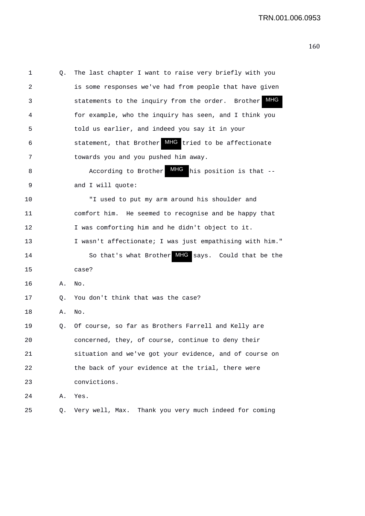| 1  | Q. | The last chapter I want to raise very briefly with you   |
|----|----|----------------------------------------------------------|
| 2  |    | is some responses we've had from people that have given  |
| 3  |    | MHG<br>statements to the inquiry from the order. Brother |
| 4  |    | for example, who the inquiry has seen, and I think you   |
| 5  |    | told us earlier, and indeed you say it in your           |
| 6  |    | statement, that Brother MHG tried to be affectionate     |
| 7  |    | towards you and you pushed him away.                     |
| 8  |    | MHG<br>According to Brother<br>his position is that --   |
| 9  |    | and I will quote:                                        |
| 10 |    | "I used to put my arm around his shoulder and            |
| 11 |    | comfort him. He seemed to recognise and be happy that    |
| 12 |    | I was comforting him and he didn't object to it.         |
| 13 |    | I wasn't affectionate; I was just empathising with him." |
| 14 |    | So that's what Brother MHG says. Could that be the       |
| 15 |    | case?                                                    |
| 16 | Α. | No.                                                      |
| 17 | Q. | You don't think that was the case?                       |
| 18 | Α. | No.                                                      |
| 19 | Q. | Of course, so far as Brothers Farrell and Kelly are      |
| 20 |    | concerned, they, of course, continue to deny their       |
| 21 |    | situation and we've got your evidence, and of course on  |
| 22 |    | the back of your evidence at the trial, there were       |
| 23 |    | convictions.                                             |
| 24 | Α. | Yes.                                                     |
| 25 | Q. | Thank you very much indeed for coming<br>Very well, Max. |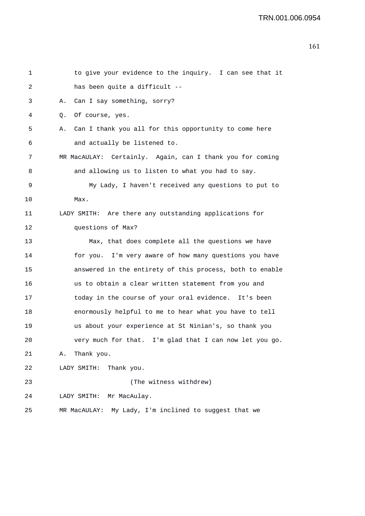```
1 to give your evidence to the inquiry. I can see that it 
2 has been quite a difficult -- 
3 A. Can I say something, sorry? 
4 Q. Of course, yes. 
5 A. Can I thank you all for this opportunity to come here 
6 and actually be listened to. 
7 MR MacAULAY: Certainly. Again, can I thank you for coming 
8 and allowing us to listen to what you had to say. 
9 My Lady, I haven't received any questions to put to 
10 Max. 
11 LADY SMITH: Are there any outstanding applications for 
12 questions of Max? 
13 Max, that does complete all the questions we have 
14 for you. I'm very aware of how many questions you have 
15 answered in the entirety of this process, both to enable 
16 us to obtain a clear written statement from you and 
17 today in the course of your oral evidence. It's been 
18 enormously helpful to me to hear what you have to tell 
19 us about your experience at St Ninian's, so thank you 
20 very much for that. I'm glad that I can now let you go. 
21 A. Thank you. 
22 LADY SMITH: Thank you. 
23 (The witness withdrew) 
24 LADY SMITH: Mr MacAulay. 
25 MR MacAULAY: My Lady, I'm inclined to suggest that we
```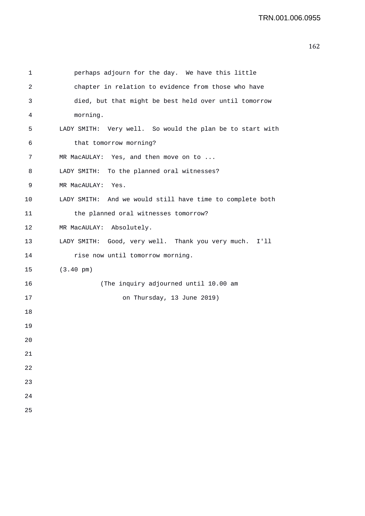```
1 perhaps adjourn for the day. We have this little 
2 chapter in relation to evidence from those who have 
3 died, but that might be best held over until tomorrow 
4 morning. 
5 LADY SMITH: Very well. So would the plan be to start with 
6 that tomorrow morning? 
7 MR MacAULAY: Yes, and then move on to ...
8 LADY SMITH: To the planned oral witnesses? 
9 MR MacAULAY: Yes. 
10 LADY SMITH: And we would still have time to complete both 
11 the planned oral witnesses tomorrow? 
12 MR MacAULAY: Absolutely. 
13 LADY SMITH: Good, very well. Thank you very much. I'll 
14 rise now until tomorrow morning.
15 (3.40 pm) 
16 (The inquiry adjourned until 10.00 am 
17 on Thursday, 13 June 2019) 
 18 
 19 
 20 
 21 
 22 
 23 
 24 
 25
```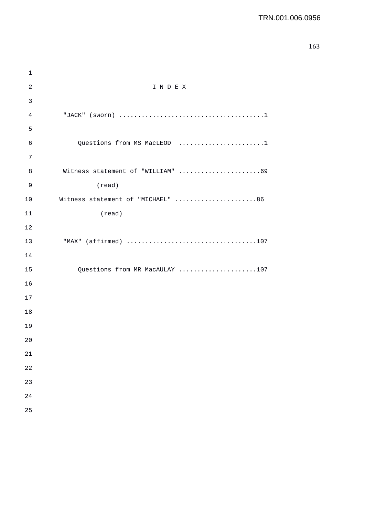| $\mathbf 1$ |                                   |
|-------------|-----------------------------------|
| $\sqrt{2}$  | INDEX                             |
| 3           |                                   |
| 4           |                                   |
| 5           |                                   |
| 6           | Questions from MS MacLEOD 1       |
| 7           |                                   |
| 8           | Witness statement of "WILLIAM" 69 |
| 9           | (read)                            |
| 10          | Witness statement of "MICHAEL" 86 |
| 11          | (read)                            |
| 12          |                                   |
| 13          | "MAX" (affirmed) 107              |
| 14          |                                   |
| 15          | Questions from MR MacAULAY 107    |
| 16          |                                   |
| 17          |                                   |
| 18          |                                   |
| 19          |                                   |
| 20          |                                   |
| 21          |                                   |
| 22          |                                   |
| 23          |                                   |
| 24          |                                   |
| 25          |                                   |